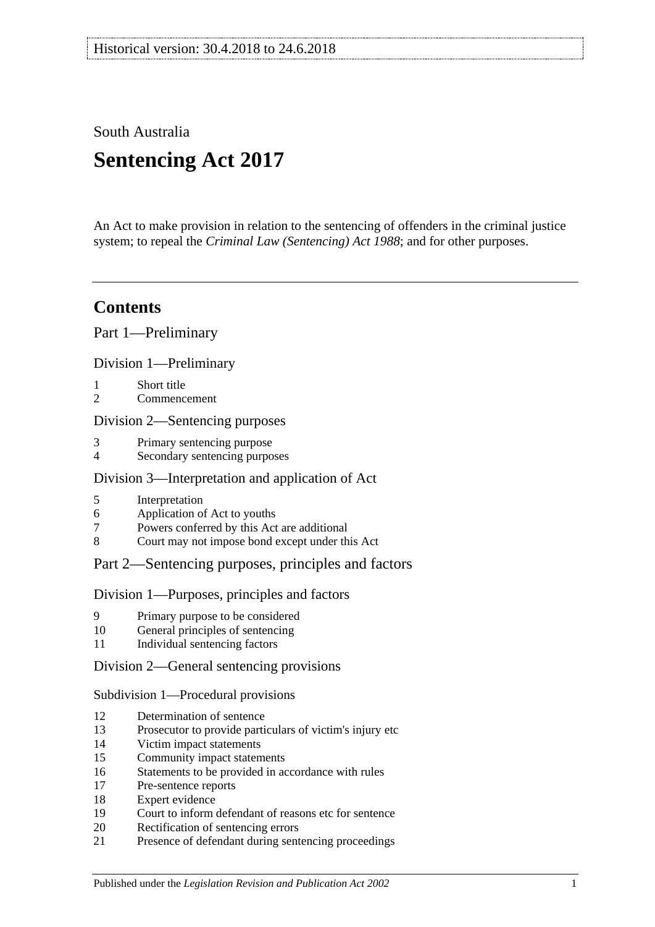South Australia

# **Sentencing Act 2017**

An Act to make provision in relation to the sentencing of offenders in the criminal justice system; to repeal the *[Criminal Law \(Sentencing\) Act](http://www.legislation.sa.gov.au/index.aspx?action=legref&type=act&legtitle=Criminal%20Law%20(Sentencing)%20Act%201988) 1988*; and for other purposes.

## **Contents**

Part [1—Preliminary](#page-4-0)

Division [1—Preliminary](#page-4-1)

- 1 [Short title](#page-4-2)
- 2 [Commencement](#page-4-3)

## Division [2—Sentencing purposes](#page-4-4)

- 3 [Primary sentencing purpose](#page-4-5)
- 4 [Secondary sentencing purposes](#page-4-6)

## Division [3—Interpretation and application of Act](#page-5-0)

- 5 [Interpretation](#page-5-1)
- 6 [Application of Act to youths](#page-9-0)
- 7 [Powers conferred by this Act are additional](#page-9-1)
- 8 [Court may not impose bond except under this Act](#page-9-2)

## Part [2—Sentencing purposes, principles and factors](#page-10-0)

## Division [1—Purposes, principles and factors](#page-10-1)

- 9 [Primary purpose to be considered](#page-10-2)
- 10 [General principles of sentencing](#page-10-3)
- 11 [Individual sentencing factors](#page-10-4)

## Division [2—General sentencing provisions](#page-12-0)

## Subdivision [1—Procedural provisions](#page-12-1)

- 12 [Determination of sentence](#page-12-2)
- 13 [Prosecutor to provide particulars of victim's injury etc](#page-12-3)
- 14 [Victim impact statements](#page-12-4)
- 15 [Community impact statements](#page-14-0)
- 16 [Statements to be provided in accordance with rules](#page-14-1)
- 17 [Pre-sentence reports](#page-14-2)
- 18 [Expert evidence](#page-15-0)
- 19 [Court to inform defendant of reasons etc for sentence](#page-16-0)
- 20 [Rectification of sentencing errors](#page-16-1)
- 21 [Presence of defendant during sentencing proceedings](#page-16-2)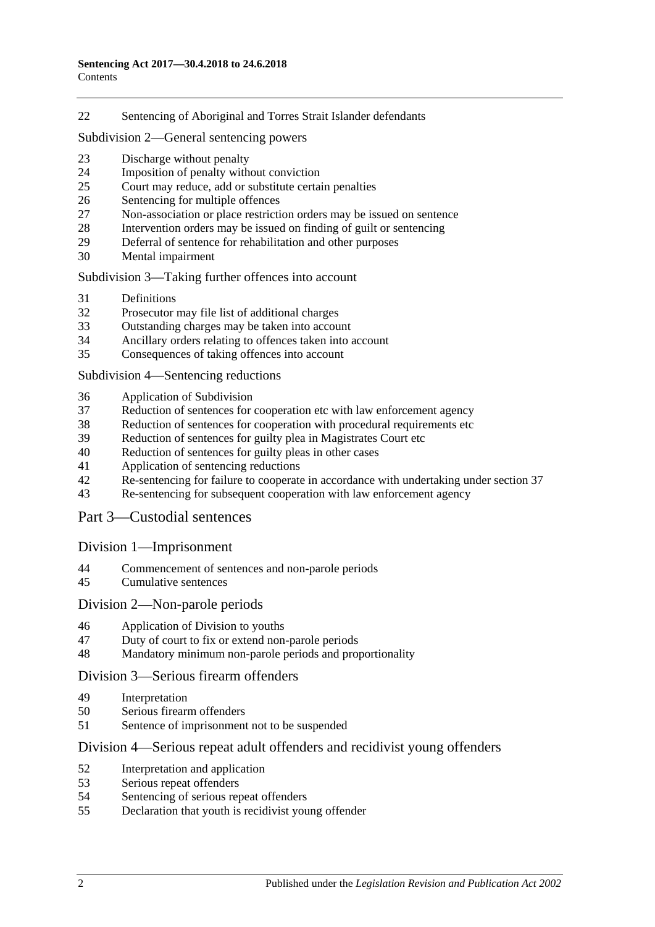[Sentencing of Aboriginal and Torres Strait Islander defendants](#page-17-0)

#### Subdivision [2—General sentencing powers](#page-18-0)

- [Discharge without penalty](#page-18-1)
- [Imposition of penalty without conviction](#page-18-2)
- [Court may reduce, add or substitute certain penalties](#page-19-0)
- [Sentencing for multiple offences](#page-20-0)
- [Non-association or place restriction orders may be issued on sentence](#page-20-1)<br>28 Intervention orders may be issued on finding of guilt or sentencing
- [Intervention orders may be issued on finding of guilt or sentencing](#page-21-0)
- [Deferral of sentence for rehabilitation and other purposes](#page-22-0)
- [Mental impairment](#page-23-0)

#### Subdivision [3—Taking further offences into account](#page-24-0)

- [Definitions](#page-24-1)
- [Prosecutor may file list of additional charges](#page-25-0)
- [Outstanding charges may be taken into account](#page-25-1)
- [Ancillary orders relating to offences taken into account](#page-26-0)
- [Consequences of taking offences into account](#page-26-1)

#### Subdivision [4—Sentencing reductions](#page-27-0)

- [Application of Subdivision](#page-27-1)
- [Reduction of sentences for cooperation etc with law enforcement agency](#page-27-2)
- [Reduction of sentences for cooperation with procedural requirements etc](#page-28-0)
- [Reduction of sentences for guilty plea in Magistrates Court etc](#page-28-1)
- [Reduction of sentences for guilty pleas in other cases](#page-30-0)
- [Application of sentencing reductions](#page-32-0)
- [Re-sentencing for failure to cooperate in accordance with undertaking under section](#page-33-0) 37
- [Re-sentencing for subsequent cooperation with law enforcement agency](#page-33-1)

## Part [3—Custodial sentences](#page-35-0)

## Division [1—Imprisonment](#page-35-1)

- [Commencement of sentences and non-parole periods](#page-35-2)
- [Cumulative sentences](#page-36-0)

## Division [2—Non-parole periods](#page-36-1)

- [Application of Division to youths](#page-36-2)
- [Duty of court to fix or extend non-parole periods](#page-36-3)
- [Mandatory minimum non-parole periods and proportionality](#page-40-0)

## Division [3—Serious firearm offenders](#page-40-1)

- [Interpretation](#page-40-2)
- [Serious firearm offenders](#page-42-0)
- [Sentence of imprisonment not to be suspended](#page-42-1)

## Division [4—Serious repeat adult offenders and recidivist young offenders](#page-43-0)

- [Interpretation and application](#page-43-1)
- [Serious repeat offenders](#page-45-0)
- [Sentencing of serious repeat offenders](#page-45-1)
- [Declaration that youth is recidivist young offender](#page-46-0)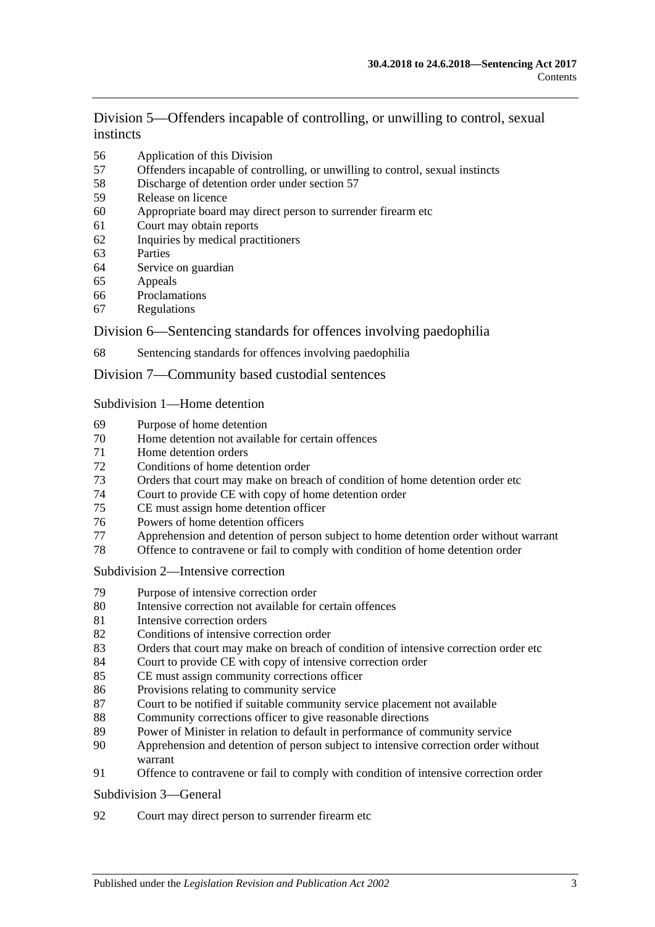Division [5—Offenders incapable of controlling, or unwilling to control, sexual](#page-46-1)  [instincts](#page-46-1)

- [Application of this Division](#page-46-2)
- [Offenders incapable of controlling, or unwilling to control, sexual instincts](#page-47-0)
- [Discharge of detention order under section](#page-49-0) 57
- [Release on licence](#page-50-0)
- [Appropriate board may direct person to surrender firearm etc](#page-53-0)
- [Court may obtain reports](#page-53-1)
- [Inquiries by medical practitioners](#page-54-0)
- [Parties](#page-54-1)
- [Service on guardian](#page-54-2)
- [Appeals](#page-54-3)<br>66 Proclama
- [Proclamations](#page-55-0)
- [Regulations](#page-55-1)

## Division [6—Sentencing standards for offences involving paedophilia](#page-55-2)

[Sentencing standards for offences involving paedophilia](#page-55-3)

## Division [7—Community based custodial sentences](#page-56-0)

#### Subdivision [1—Home detention](#page-56-1)

- [Purpose of home detention](#page-56-2)
- [Home detention not available for certain offences](#page-56-3)
- [Home detention orders](#page-56-4)
- [Conditions of home detention order](#page-59-0)
- [Orders that court may make on breach of condition of home detention order etc](#page-61-0)
- [Court to provide CE with copy of home detention order](#page-63-0)
- [CE must assign home detention officer](#page-63-1)
- [Powers of home detention officers](#page-63-2)
- [Apprehension and detention of person subject to home detention order without warrant](#page-63-3)
- [Offence to contravene or fail to comply with condition of home detention order](#page-64-0)

#### Subdivision [2—Intensive correction](#page-64-1)

- [Purpose of intensive correction order](#page-64-2)
- [Intensive correction not available for certain offences](#page-64-3)
- [Intensive correction orders](#page-64-4)
- [Conditions of intensive correction order](#page-65-0)
- [Orders that court may make on breach of condition of intensive correction order etc](#page-67-0)
- [Court to provide CE with copy of intensive correction order](#page-69-0)
- [CE must assign community corrections officer](#page-69-1)
- [Provisions relating to community service](#page-69-2)
- [Court to be notified if suitable community service placement not available](#page-70-0)
- [Community corrections officer to give reasonable directions](#page-70-1)
- [Power of Minister in relation to default in performance of community service](#page-71-0)
- [Apprehension and detention of person subject to intensive correction order without](#page-71-1)  [warrant](#page-71-1)
- [Offence to contravene or fail to comply with condition of intensive correction order](#page-72-0)

#### [Subdivision](#page-72-1) 3—General

[Court may direct person to surrender firearm etc](#page-72-2)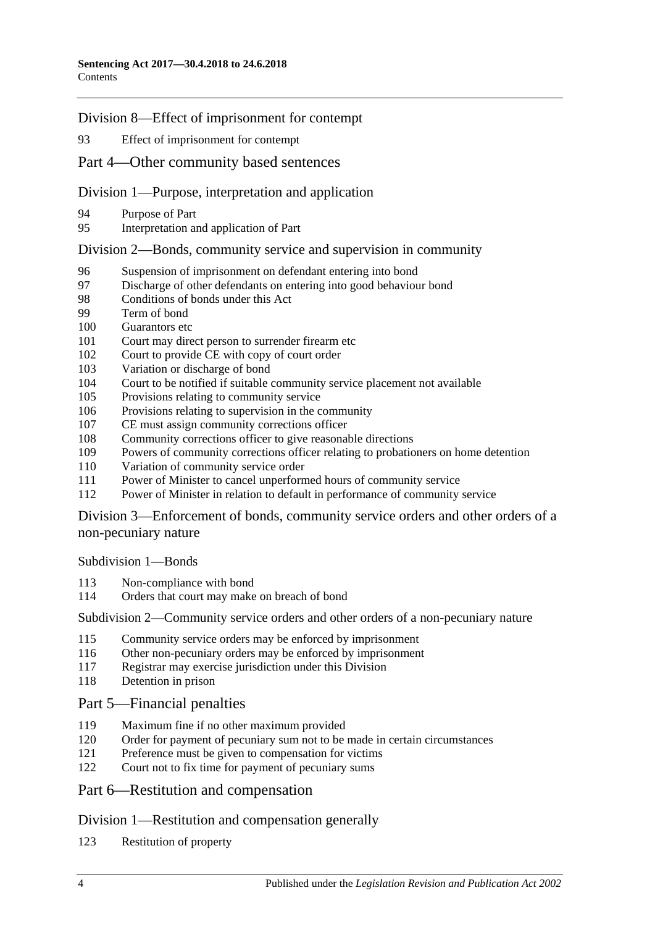Division [8—Effect of imprisonment for contempt](#page-72-3)

[Effect of imprisonment for contempt](#page-72-4)

## Part [4—Other community based sentences](#page-72-5)

## Division [1—Purpose, interpretation and application](#page-72-6)

- [Purpose of Part](#page-72-7)
- [Interpretation and application of Part](#page-73-0)

## Division [2—Bonds, community service and supervision in community](#page-73-1)

- [Suspension of imprisonment on defendant entering into bond](#page-73-2)
- [Discharge of other defendants on entering into good behaviour bond](#page-76-0)<br>98 Conditions of bonds under this Act
- [Conditions of bonds under this Act](#page-76-1)
- [Term of bond](#page-78-0)
- [Guarantors etc](#page-78-1)
- [Court may direct person to surrender firearm etc](#page-79-0)
- [Court to provide CE with copy of court order](#page-79-1)
- [Variation or discharge of bond](#page-79-2)
- [Court to be notified if suitable community service placement not available](#page-80-0)
- [Provisions relating to community service](#page-80-1)
- [Provisions relating to supervision in the community](#page-81-0)
- [CE must assign community corrections officer](#page-81-1)
- [Community corrections officer to give reasonable directions](#page-82-0)
- [Powers of community corrections officer relating to probationers on home detention](#page-82-1)
- [Variation of community service order](#page-83-0)
- [Power of Minister to cancel unperformed hours of community service](#page-83-1)
- [Power of Minister in relation to default in performance of community service](#page-84-0)

Division [3—Enforcement of bonds, community service orders and other orders of a](#page-84-1)  [non-pecuniary nature](#page-84-1)

[Subdivision](#page-84-2) 1—Bonds

- [Non-compliance with bond](#page-84-3)
- [Orders that court may make on breach of bond](#page-85-0)

Subdivision [2—Community service orders and other orders of a non-pecuniary nature](#page-87-0)

- [Community service orders may be enforced by imprisonment](#page-87-1)
- [Other non-pecuniary orders may be enforced by imprisonment](#page-89-0)
- [Registrar may exercise jurisdiction under this Division](#page-89-1)
- [Detention in prison](#page-89-2)

## Part [5—Financial penalties](#page-90-0)

- [Maximum fine if no other maximum provided](#page-90-1)
- [Order for payment of pecuniary sum not to be made in certain circumstances](#page-90-2)
- [Preference must be given to compensation for victims](#page-90-3)
- [Court not to fix time for payment of pecuniary sums](#page-90-4)

## Part [6—Restitution and compensation](#page-91-0)

## Division [1—Restitution and compensation generally](#page-91-1)

[Restitution of property](#page-91-2)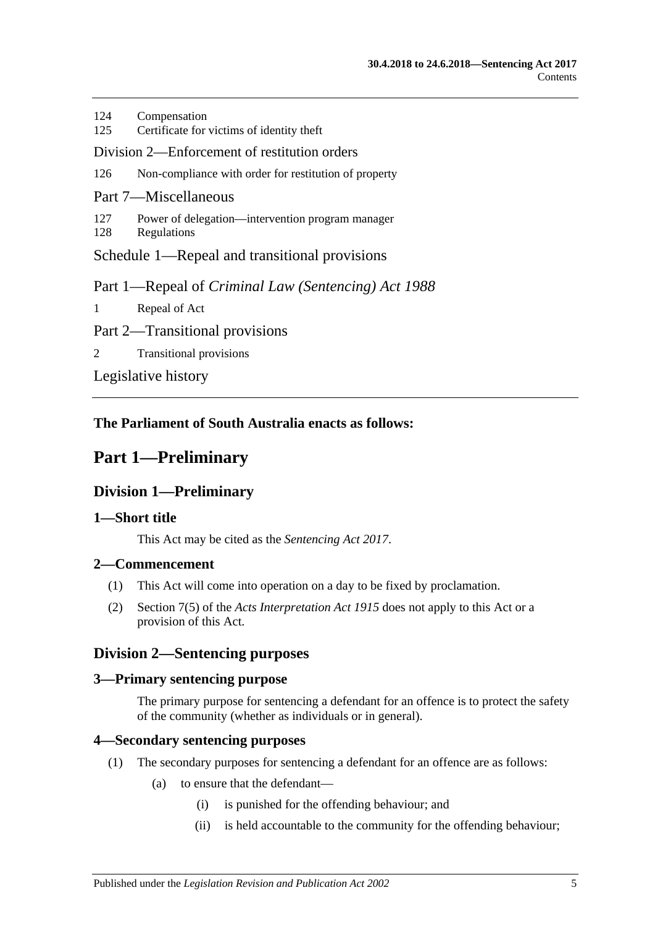| 124                                                 | Compensation                                                    |
|-----------------------------------------------------|-----------------------------------------------------------------|
| 125                                                 | Certificate for victims of identity theft                       |
| Division 2—Enforcement of restitution orders        |                                                                 |
| 126                                                 | Non-compliance with order for restitution of property           |
| Part 7—Miscellaneous                                |                                                                 |
| 127<br>128                                          | Power of delegation—intervention program manager<br>Regulations |
| Schedule 1—Repeal and transitional provisions       |                                                                 |
| Part 1—Repeal of Criminal Law (Sentencing) Act 1988 |                                                                 |
| $\mathbf{1}$                                        | Repeal of Act                                                   |
| Part 2—Transitional provisions                      |                                                                 |
| 2                                                   | <b>Transitional provisions</b>                                  |
| Legislative history                                 |                                                                 |

**The Parliament of South Australia enacts as follows:**

# <span id="page-4-1"></span><span id="page-4-0"></span>**Part 1—Preliminary**

## **Division 1—Preliminary**

## <span id="page-4-2"></span>**1—Short title**

This Act may be cited as the *Sentencing Act 2017*.

## <span id="page-4-3"></span>**2—Commencement**

- (1) This Act will come into operation on a day to be fixed by proclamation.
- (2) Section 7(5) of the *[Acts Interpretation Act](http://www.legislation.sa.gov.au/index.aspx?action=legref&type=act&legtitle=Acts%20Interpretation%20Act%201915) 1915* does not apply to this Act or a provision of this Act.

## <span id="page-4-4"></span>**Division 2—Sentencing purposes**

## <span id="page-4-5"></span>**3—Primary sentencing purpose**

The primary purpose for sentencing a defendant for an offence is to protect the safety of the community (whether as individuals or in general).

## <span id="page-4-7"></span><span id="page-4-6"></span>**4—Secondary sentencing purposes**

- (1) The secondary purposes for sentencing a defendant for an offence are as follows:
	- (a) to ensure that the defendant—
		- (i) is punished for the offending behaviour; and
		- (ii) is held accountable to the community for the offending behaviour;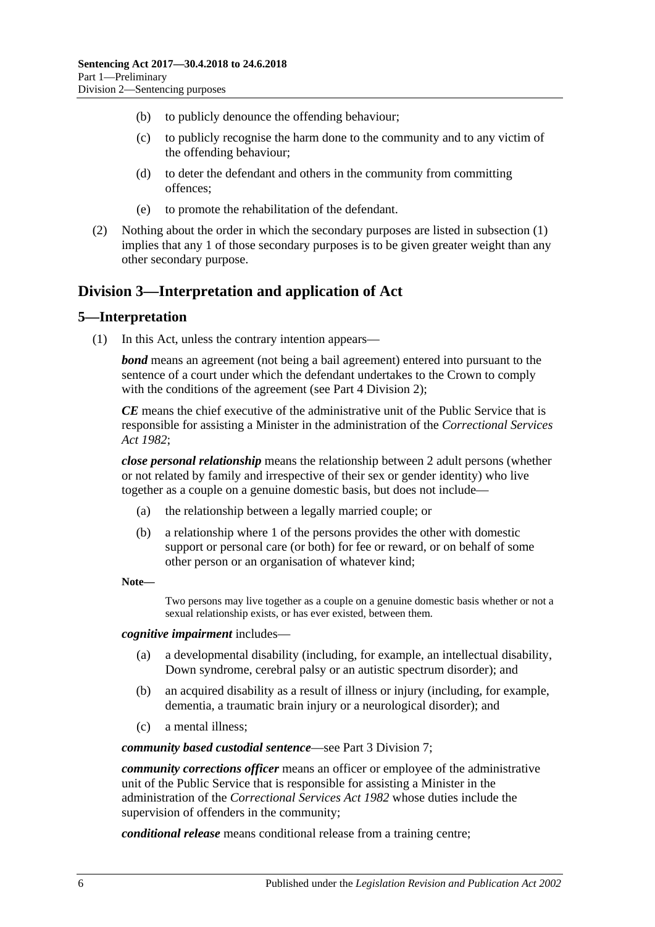- (b) to publicly denounce the offending behaviour;
- (c) to publicly recognise the harm done to the community and to any victim of the offending behaviour;
- (d) to deter the defendant and others in the community from committing offences;
- (e) to promote the rehabilitation of the defendant.
- (2) Nothing about the order in which the secondary purposes are listed in [subsection](#page-4-7) (1) implies that any 1 of those secondary purposes is to be given greater weight than any other secondary purpose.

## <span id="page-5-0"></span>**Division 3—Interpretation and application of Act**

## <span id="page-5-1"></span>**5—Interpretation**

(1) In this Act, unless the contrary intention appears—

*bond* means an agreement (not being a bail agreement) entered into pursuant to the sentence of a court under which the defendant undertakes to the Crown to comply with the conditions of the agreement (see Part [4 Division](#page-73-1) 2);

*CE* means the chief executive of the administrative unit of the Public Service that is responsible for assisting a Minister in the administration of the *[Correctional Services](http://www.legislation.sa.gov.au/index.aspx?action=legref&type=act&legtitle=Correctional%20Services%20Act%201982)  Act [1982](http://www.legislation.sa.gov.au/index.aspx?action=legref&type=act&legtitle=Correctional%20Services%20Act%201982)*;

*close personal relationship* means the relationship between 2 adult persons (whether or not related by family and irrespective of their sex or gender identity) who live together as a couple on a genuine domestic basis, but does not include—

- (a) the relationship between a legally married couple; or
- (b) a relationship where 1 of the persons provides the other with domestic support or personal care (or both) for fee or reward, or on behalf of some other person or an organisation of whatever kind;
- **Note—**

Two persons may live together as a couple on a genuine domestic basis whether or not a sexual relationship exists, or has ever existed, between them.

#### *cognitive impairment* includes—

- (a) a developmental disability (including, for example, an intellectual disability, Down syndrome, cerebral palsy or an autistic spectrum disorder); and
- (b) an acquired disability as a result of illness or injury (including, for example, dementia, a traumatic brain injury or a neurological disorder); and
- (c) a mental illness;

#### *community based custodial sentence*—see Part [3 Division](#page-56-0) 7;

*community corrections officer* means an officer or employee of the administrative unit of the Public Service that is responsible for assisting a Minister in the administration of the *[Correctional Services Act](http://www.legislation.sa.gov.au/index.aspx?action=legref&type=act&legtitle=Correctional%20Services%20Act%201982) 1982* whose duties include the supervision of offenders in the community;

*conditional release* means conditional release from a training centre;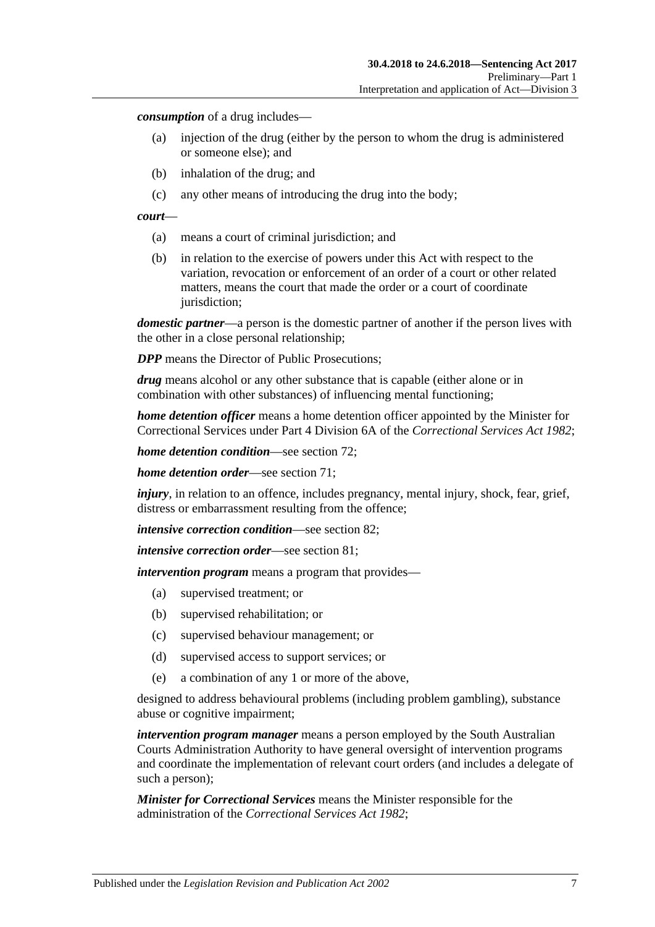*consumption* of a drug includes—

- (a) injection of the drug (either by the person to whom the drug is administered or someone else); and
- (b) inhalation of the drug; and
- (c) any other means of introducing the drug into the body;

#### *court*—

- (a) means a court of criminal jurisdiction; and
- (b) in relation to the exercise of powers under this Act with respect to the variation, revocation or enforcement of an order of a court or other related matters, means the court that made the order or a court of coordinate jurisdiction;

*domestic partner*—a person is the domestic partner of another if the person lives with the other in a close personal relationship;

*DPP* means the Director of Public Prosecutions;

*drug* means alcohol or any other substance that is capable (either alone or in combination with other substances) of influencing mental functioning;

*home detention officer* means a home detention officer appointed by the Minister for Correctional Services under Part 4 Division 6A of the *[Correctional Services Act](http://www.legislation.sa.gov.au/index.aspx?action=legref&type=act&legtitle=Correctional%20Services%20Act%201982) 1982*;

*home detention condition*—see [section](#page-59-0) 72;

*home detention order*—see [section](#page-56-4) 71;

*injury*, in relation to an offence, includes pregnancy, mental injury, shock, fear, grief, distress or embarrassment resulting from the offence;

*intensive correction condition*—see [section](#page-65-0) 82;

*intensive correction order*—see [section](#page-64-4) 81;

*intervention program* means a program that provides—

- (a) supervised treatment; or
- (b) supervised rehabilitation; or
- (c) supervised behaviour management; or
- (d) supervised access to support services; or
- (e) a combination of any 1 or more of the above,

designed to address behavioural problems (including problem gambling), substance abuse or cognitive impairment;

*intervention program manager* means a person employed by the South Australian Courts Administration Authority to have general oversight of intervention programs and coordinate the implementation of relevant court orders (and includes a delegate of such a person);

*Minister for Correctional Services* means the Minister responsible for the administration of the *[Correctional Services Act](http://www.legislation.sa.gov.au/index.aspx?action=legref&type=act&legtitle=Correctional%20Services%20Act%201982) 1982*;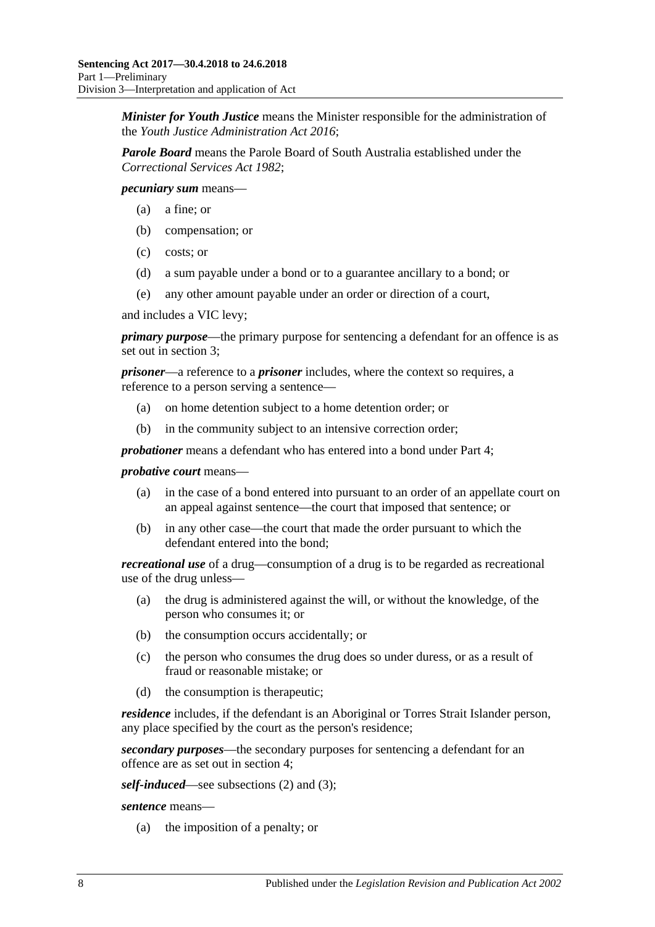*Minister for Youth Justice* means the Minister responsible for the administration of the *[Youth Justice Administration Act](http://www.legislation.sa.gov.au/index.aspx?action=legref&type=act&legtitle=Youth%20Justice%20Administration%20Act%202016) 2016*;

*Parole Board* means the Parole Board of South Australia established under the *[Correctional Services Act](http://www.legislation.sa.gov.au/index.aspx?action=legref&type=act&legtitle=Correctional%20Services%20Act%201982) 1982*;

*pecuniary sum* means—

- (a) a fine; or
- (b) compensation; or
- (c) costs; or
- (d) a sum payable under a bond or to a guarantee ancillary to a bond; or
- (e) any other amount payable under an order or direction of a court,

and includes a VIC levy;

*primary purpose*—the primary purpose for sentencing a defendant for an offence is as set out in [section](#page-4-5) 3;

*prisoner*—a reference to a *prisoner* includes, where the context so requires, a reference to a person serving a sentence—

- (a) on home detention subject to a home detention order; or
- (b) in the community subject to an intensive correction order;

*probationer* means a defendant who has entered into a bond under [Part](#page-72-5) 4;

#### *probative court* means—

- (a) in the case of a bond entered into pursuant to an order of an appellate court on an appeal against sentence—the court that imposed that sentence; or
- (b) in any other case—the court that made the order pursuant to which the defendant entered into the bond;

*recreational use* of a drug—consumption of a drug is to be regarded as recreational use of the drug unless—

- (a) the drug is administered against the will, or without the knowledge, of the person who consumes it; or
- (b) the consumption occurs accidentally; or
- (c) the person who consumes the drug does so under duress, or as a result of fraud or reasonable mistake; or
- (d) the consumption is therapeutic;

*residence* includes, if the defendant is an Aboriginal or Torres Strait Islander person, any place specified by the court as the person's residence;

*secondary purposes*—the secondary purposes for sentencing a defendant for an offence are as set out in [section](#page-4-6) 4;

*self-induced*—see [subsections \(2\)](#page-8-0) and [\(3\);](#page-8-1)

*sentence* means—

(a) the imposition of a penalty; or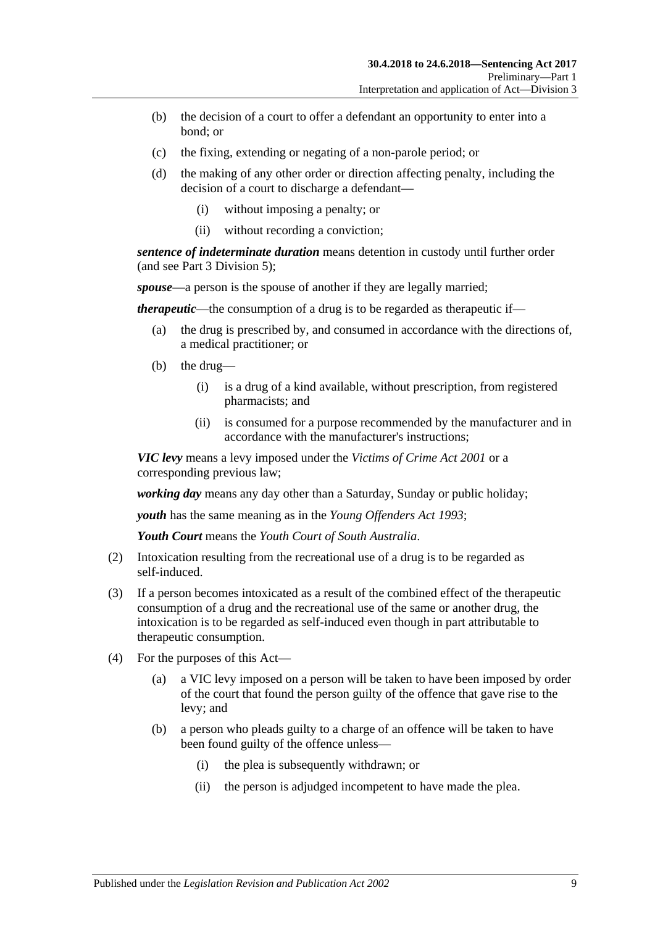- (b) the decision of a court to offer a defendant an opportunity to enter into a bond; or
- (c) the fixing, extending or negating of a non-parole period; or
- (d) the making of any other order or direction affecting penalty, including the decision of a court to discharge a defendant—
	- (i) without imposing a penalty; or
	- (ii) without recording a conviction;

*sentence of indeterminate duration* means detention in custody until further order (and see Part [3 Division](#page-46-1) 5);

*spouse*—a person is the spouse of another if they are legally married;

*therapeutic*—the consumption of a drug is to be regarded as therapeutic if—

- (a) the drug is prescribed by, and consumed in accordance with the directions of, a medical practitioner; or
- (b) the drug—
	- (i) is a drug of a kind available, without prescription, from registered pharmacists; and
	- (ii) is consumed for a purpose recommended by the manufacturer and in accordance with the manufacturer's instructions;

*VIC levy* means a levy imposed under the *[Victims of Crime Act](http://www.legislation.sa.gov.au/index.aspx?action=legref&type=act&legtitle=Victims%20of%20Crime%20Act%202001) 2001* or a corresponding previous law;

*working day* means any day other than a Saturday, Sunday or public holiday;

*youth* has the same meaning as in the *[Young Offenders Act](http://www.legislation.sa.gov.au/index.aspx?action=legref&type=act&legtitle=Young%20Offenders%20Act%201993) 1993*;

*Youth Court* means the *Youth Court of South Australia*.

- <span id="page-8-0"></span>(2) Intoxication resulting from the recreational use of a drug is to be regarded as self-induced.
- <span id="page-8-1"></span>(3) If a person becomes intoxicated as a result of the combined effect of the therapeutic consumption of a drug and the recreational use of the same or another drug, the intoxication is to be regarded as self-induced even though in part attributable to therapeutic consumption.
- (4) For the purposes of this Act—
	- (a) a VIC levy imposed on a person will be taken to have been imposed by order of the court that found the person guilty of the offence that gave rise to the levy; and
	- (b) a person who pleads guilty to a charge of an offence will be taken to have been found guilty of the offence unless—
		- (i) the plea is subsequently withdrawn; or
		- (ii) the person is adjudged incompetent to have made the plea.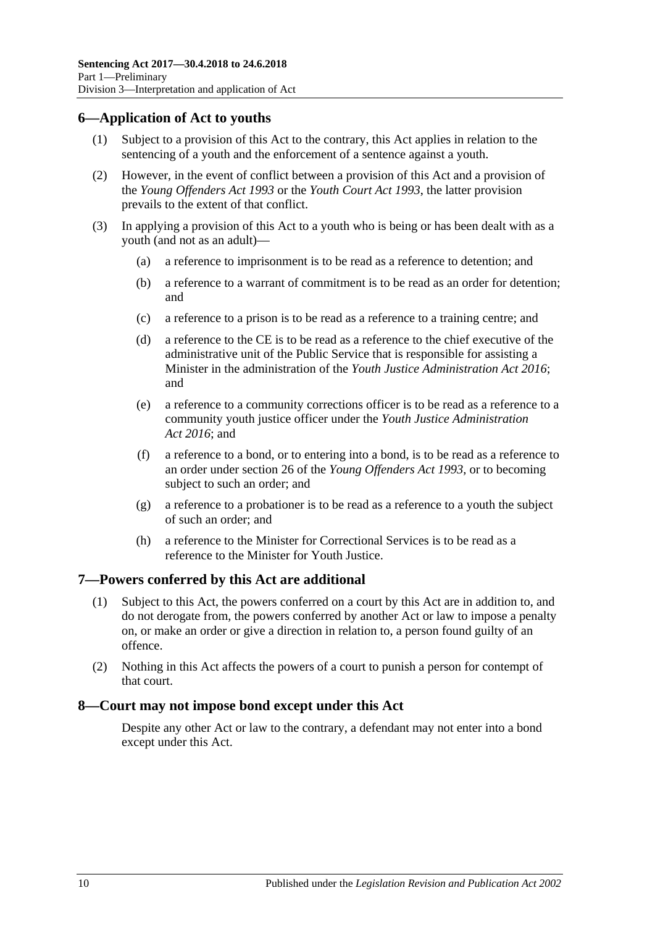## <span id="page-9-0"></span>**6—Application of Act to youths**

- (1) Subject to a provision of this Act to the contrary, this Act applies in relation to the sentencing of a youth and the enforcement of a sentence against a youth.
- (2) However, in the event of conflict between a provision of this Act and a provision of the *[Young Offenders Act](http://www.legislation.sa.gov.au/index.aspx?action=legref&type=act&legtitle=Young%20Offenders%20Act%201993) 1993* or the *[Youth Court Act](http://www.legislation.sa.gov.au/index.aspx?action=legref&type=act&legtitle=Youth%20Court%20Act%201993) 1993*, the latter provision prevails to the extent of that conflict.
- (3) In applying a provision of this Act to a youth who is being or has been dealt with as a youth (and not as an adult)—
	- (a) a reference to imprisonment is to be read as a reference to detention; and
	- (b) a reference to a warrant of commitment is to be read as an order for detention; and
	- (c) a reference to a prison is to be read as a reference to a training centre; and
	- (d) a reference to the CE is to be read as a reference to the chief executive of the administrative unit of the Public Service that is responsible for assisting a Minister in the administration of the *[Youth Justice Administration Act](http://www.legislation.sa.gov.au/index.aspx?action=legref&type=act&legtitle=Youth%20Justice%20Administration%20Act%202016) 2016*; and
	- (e) a reference to a community corrections officer is to be read as a reference to a community youth justice officer under the *[Youth Justice Administration](http://www.legislation.sa.gov.au/index.aspx?action=legref&type=act&legtitle=Youth%20Justice%20Administration%20Act%202016)  Act [2016](http://www.legislation.sa.gov.au/index.aspx?action=legref&type=act&legtitle=Youth%20Justice%20Administration%20Act%202016)*; and
	- (f) a reference to a bond, or to entering into a bond, is to be read as a reference to an order under section 26 of the *[Young Offenders Act](http://www.legislation.sa.gov.au/index.aspx?action=legref&type=act&legtitle=Young%20Offenders%20Act%201993) 1993*, or to becoming subject to such an order; and
	- (g) a reference to a probationer is to be read as a reference to a youth the subject of such an order; and
	- (h) a reference to the Minister for Correctional Services is to be read as a reference to the Minister for Youth Justice.

## <span id="page-9-1"></span>**7—Powers conferred by this Act are additional**

- (1) Subject to this Act, the powers conferred on a court by this Act are in addition to, and do not derogate from, the powers conferred by another Act or law to impose a penalty on, or make an order or give a direction in relation to, a person found guilty of an offence.
- (2) Nothing in this Act affects the powers of a court to punish a person for contempt of that court.

## <span id="page-9-2"></span>**8—Court may not impose bond except under this Act**

Despite any other Act or law to the contrary, a defendant may not enter into a bond except under this Act.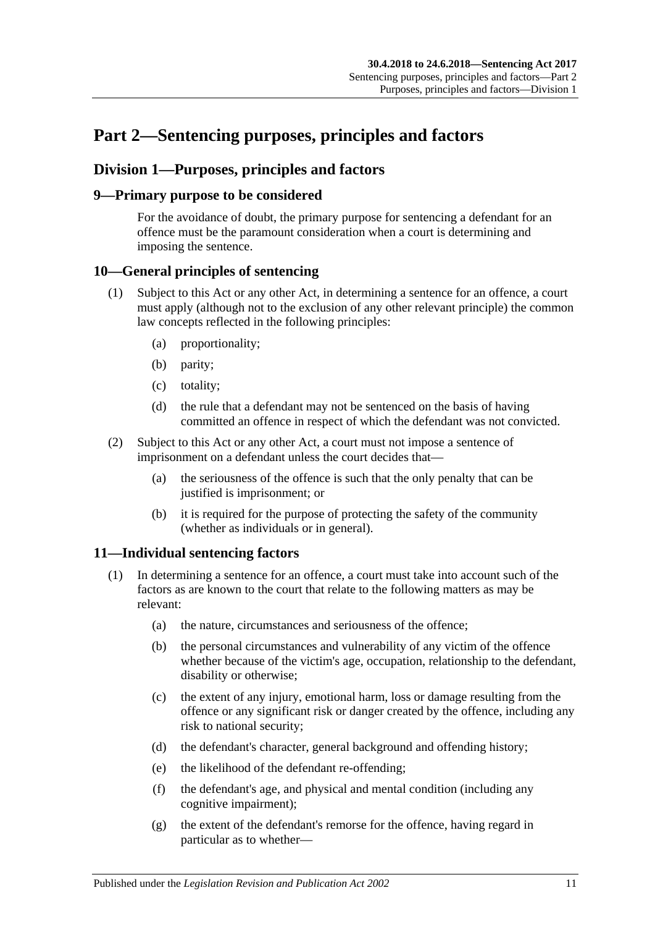# <span id="page-10-0"></span>**Part 2—Sentencing purposes, principles and factors**

## <span id="page-10-1"></span>**Division 1—Purposes, principles and factors**

## <span id="page-10-2"></span>**9—Primary purpose to be considered**

For the avoidance of doubt, the primary purpose for sentencing a defendant for an offence must be the paramount consideration when a court is determining and imposing the sentence.

## <span id="page-10-3"></span>**10—General principles of sentencing**

- (1) Subject to this Act or any other Act, in determining a sentence for an offence, a court must apply (although not to the exclusion of any other relevant principle) the common law concepts reflected in the following principles:
	- (a) proportionality;
	- (b) parity;
	- (c) totality;
	- (d) the rule that a defendant may not be sentenced on the basis of having committed an offence in respect of which the defendant was not convicted.
- (2) Subject to this Act or any other Act, a court must not impose a sentence of imprisonment on a defendant unless the court decides that—
	- (a) the seriousness of the offence is such that the only penalty that can be justified is imprisonment; or
	- (b) it is required for the purpose of protecting the safety of the community (whether as individuals or in general).

## <span id="page-10-5"></span><span id="page-10-4"></span>**11—Individual sentencing factors**

- <span id="page-10-6"></span>(1) In determining a sentence for an offence, a court must take into account such of the factors as are known to the court that relate to the following matters as may be relevant:
	- (a) the nature, circumstances and seriousness of the offence;
	- (b) the personal circumstances and vulnerability of any victim of the offence whether because of the victim's age, occupation, relationship to the defendant, disability or otherwise;
	- (c) the extent of any injury, emotional harm, loss or damage resulting from the offence or any significant risk or danger created by the offence, including any risk to national security;
	- (d) the defendant's character, general background and offending history;
	- (e) the likelihood of the defendant re-offending;
	- (f) the defendant's age, and physical and mental condition (including any cognitive impairment);
	- (g) the extent of the defendant's remorse for the offence, having regard in particular as to whether—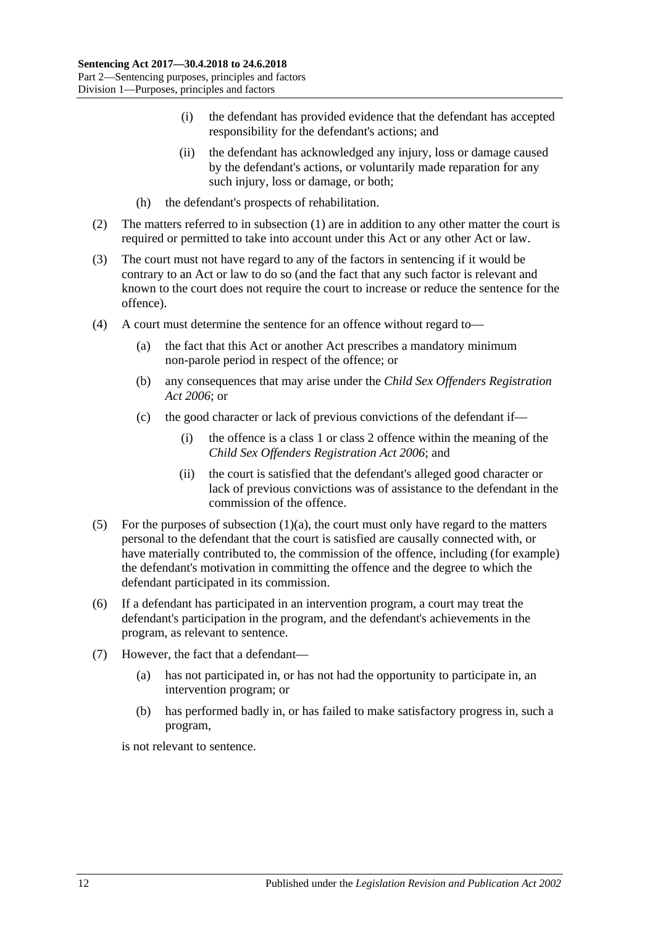- (i) the defendant has provided evidence that the defendant has accepted responsibility for the defendant's actions; and
- (ii) the defendant has acknowledged any injury, loss or damage caused by the defendant's actions, or voluntarily made reparation for any such injury, loss or damage, or both;
- (h) the defendant's prospects of rehabilitation.
- (2) The matters referred to in [subsection](#page-10-5) (1) are in addition to any other matter the court is required or permitted to take into account under this Act or any other Act or law.
- (3) The court must not have regard to any of the factors in sentencing if it would be contrary to an Act or law to do so (and the fact that any such factor is relevant and known to the court does not require the court to increase or reduce the sentence for the offence).
- (4) A court must determine the sentence for an offence without regard to—
	- (a) the fact that this Act or another Act prescribes a mandatory minimum non-parole period in respect of the offence; or
	- (b) any consequences that may arise under the *[Child Sex Offenders Registration](http://www.legislation.sa.gov.au/index.aspx?action=legref&type=act&legtitle=Child%20Sex%20Offenders%20Registration%20Act%202006)  Act [2006](http://www.legislation.sa.gov.au/index.aspx?action=legref&type=act&legtitle=Child%20Sex%20Offenders%20Registration%20Act%202006)*; or
	- (c) the good character or lack of previous convictions of the defendant if—
		- (i) the offence is a class 1 or class 2 offence within the meaning of the *[Child Sex Offenders Registration Act](http://www.legislation.sa.gov.au/index.aspx?action=legref&type=act&legtitle=Child%20Sex%20Offenders%20Registration%20Act%202006) 2006*; and
		- (ii) the court is satisfied that the defendant's alleged good character or lack of previous convictions was of assistance to the defendant in the commission of the offence.
- (5) For the purposes of [subsection](#page-10-6)  $(1)(a)$ , the court must only have regard to the matters personal to the defendant that the court is satisfied are causally connected with, or have materially contributed to, the commission of the offence, including (for example) the defendant's motivation in committing the offence and the degree to which the defendant participated in its commission.
- (6) If a defendant has participated in an intervention program, a court may treat the defendant's participation in the program, and the defendant's achievements in the program, as relevant to sentence.
- (7) However, the fact that a defendant—
	- (a) has not participated in, or has not had the opportunity to participate in, an intervention program; or
	- (b) has performed badly in, or has failed to make satisfactory progress in, such a program,

is not relevant to sentence.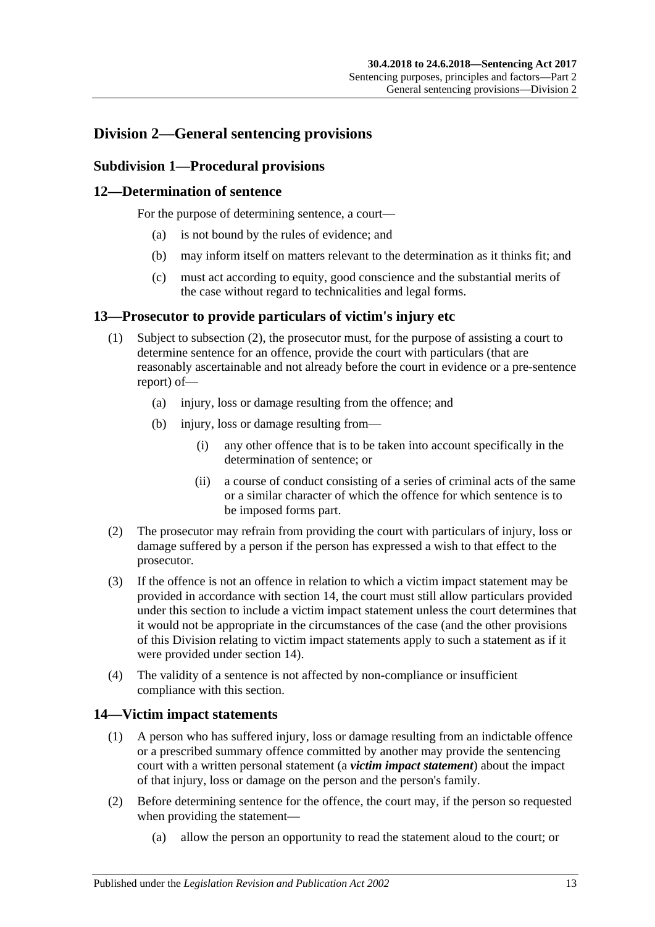## <span id="page-12-1"></span><span id="page-12-0"></span>**Division 2—General sentencing provisions**

## **Subdivision 1—Procedural provisions**

## <span id="page-12-2"></span>**12—Determination of sentence**

For the purpose of determining sentence, a court—

- (a) is not bound by the rules of evidence; and
- (b) may inform itself on matters relevant to the determination as it thinks fit; and
- (c) must act according to equity, good conscience and the substantial merits of the case without regard to technicalities and legal forms.

## <span id="page-12-3"></span>**13—Prosecutor to provide particulars of victim's injury etc**

- (1) Subject to [subsection](#page-12-5) (2), the prosecutor must, for the purpose of assisting a court to determine sentence for an offence, provide the court with particulars (that are reasonably ascertainable and not already before the court in evidence or a pre-sentence report) of—
	- (a) injury, loss or damage resulting from the offence; and
	- (b) injury, loss or damage resulting from—
		- (i) any other offence that is to be taken into account specifically in the determination of sentence; or
		- (ii) a course of conduct consisting of a series of criminal acts of the same or a similar character of which the offence for which sentence is to be imposed forms part.
- <span id="page-12-5"></span>(2) The prosecutor may refrain from providing the court with particulars of injury, loss or damage suffered by a person if the person has expressed a wish to that effect to the prosecutor.
- (3) If the offence is not an offence in relation to which a victim impact statement may be provided in accordance with [section](#page-12-4) 14, the court must still allow particulars provided under this section to include a victim impact statement unless the court determines that it would not be appropriate in the circumstances of the case (and the other provisions of this Division relating to victim impact statements apply to such a statement as if it were provided under [section](#page-12-4) 14).
- (4) The validity of a sentence is not affected by non-compliance or insufficient compliance with this section.

## <span id="page-12-4"></span>**14—Victim impact statements**

- (1) A person who has suffered injury, loss or damage resulting from an indictable offence or a prescribed summary offence committed by another may provide the sentencing court with a written personal statement (a *victim impact statement*) about the impact of that injury, loss or damage on the person and the person's family.
- (2) Before determining sentence for the offence, the court may, if the person so requested when providing the statement—
	- (a) allow the person an opportunity to read the statement aloud to the court; or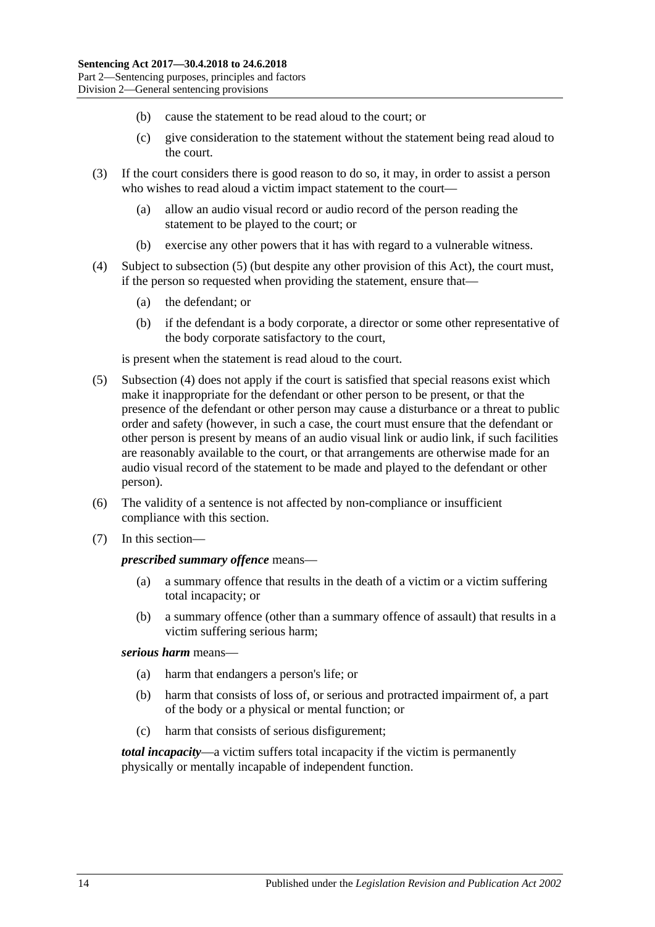- (b) cause the statement to be read aloud to the court; or
- (c) give consideration to the statement without the statement being read aloud to the court.
- (3) If the court considers there is good reason to do so, it may, in order to assist a person who wishes to read aloud a victim impact statement to the court—
	- (a) allow an audio visual record or audio record of the person reading the statement to be played to the court; or
	- (b) exercise any other powers that it has with regard to a vulnerable witness.
- <span id="page-13-1"></span>(4) Subject to [subsection](#page-13-0) (5) (but despite any other provision of this Act), the court must, if the person so requested when providing the statement, ensure that—
	- (a) the defendant; or
	- (b) if the defendant is a body corporate, a director or some other representative of the body corporate satisfactory to the court,

is present when the statement is read aloud to the court.

- <span id="page-13-0"></span>(5) [Subsection](#page-13-1) (4) does not apply if the court is satisfied that special reasons exist which make it inappropriate for the defendant or other person to be present, or that the presence of the defendant or other person may cause a disturbance or a threat to public order and safety (however, in such a case, the court must ensure that the defendant or other person is present by means of an audio visual link or audio link, if such facilities are reasonably available to the court, or that arrangements are otherwise made for an audio visual record of the statement to be made and played to the defendant or other person).
- (6) The validity of a sentence is not affected by non-compliance or insufficient compliance with this section.
- (7) In this section—

#### *prescribed summary offence* means—

- (a) a summary offence that results in the death of a victim or a victim suffering total incapacity; or
- (b) a summary offence (other than a summary offence of assault) that results in a victim suffering serious harm;

## *serious harm* means—

- (a) harm that endangers a person's life; or
- (b) harm that consists of loss of, or serious and protracted impairment of, a part of the body or a physical or mental function; or
- (c) harm that consists of serious disfigurement;

*total incapacity*—a victim suffers total incapacity if the victim is permanently physically or mentally incapable of independent function.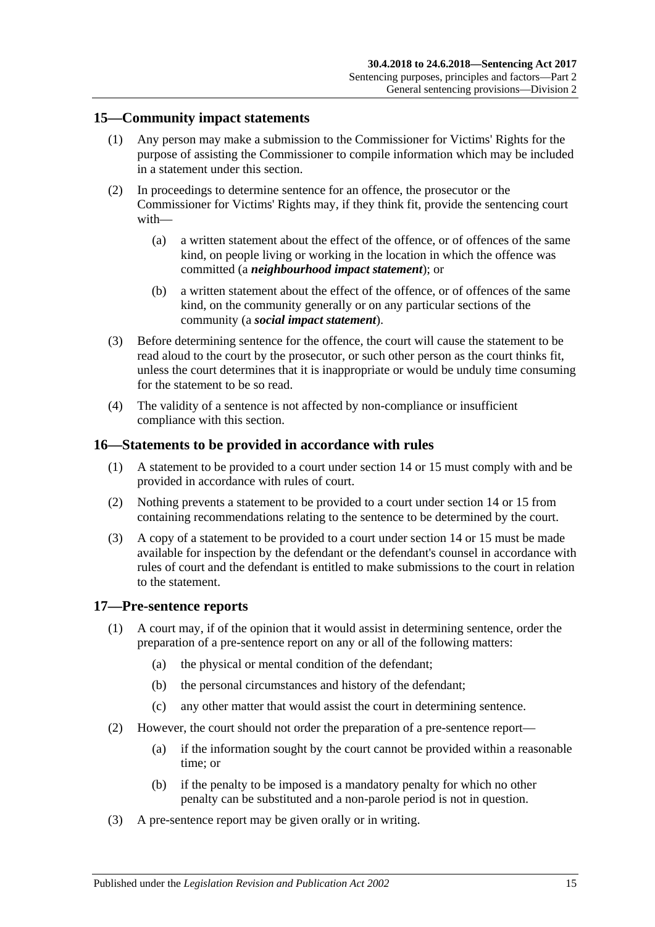## <span id="page-14-0"></span>**15—Community impact statements**

- (1) Any person may make a submission to the Commissioner for Victims' Rights for the purpose of assisting the Commissioner to compile information which may be included in a statement under this section.
- (2) In proceedings to determine sentence for an offence, the prosecutor or the Commissioner for Victims' Rights may, if they think fit, provide the sentencing court with—
	- (a) a written statement about the effect of the offence, or of offences of the same kind, on people living or working in the location in which the offence was committed (a *neighbourhood impact statement*); or
	- (b) a written statement about the effect of the offence, or of offences of the same kind, on the community generally or on any particular sections of the community (a *social impact statement*).
- (3) Before determining sentence for the offence, the court will cause the statement to be read aloud to the court by the prosecutor, or such other person as the court thinks fit, unless the court determines that it is inappropriate or would be unduly time consuming for the statement to be so read.
- (4) The validity of a sentence is not affected by non-compliance or insufficient compliance with this section.

## <span id="page-14-1"></span>**16—Statements to be provided in accordance with rules**

- (1) A statement to be provided to a court under [section](#page-12-4) 14 or [15](#page-14-0) must comply with and be provided in accordance with rules of court.
- (2) Nothing prevents a statement to be provided to a court under [section](#page-12-4) 14 or [15](#page-14-0) from containing recommendations relating to the sentence to be determined by the court.
- (3) A copy of a statement to be provided to a court under [section](#page-12-4) 14 or [15](#page-14-0) must be made available for inspection by the defendant or the defendant's counsel in accordance with rules of court and the defendant is entitled to make submissions to the court in relation to the statement.

## <span id="page-14-2"></span>**17—Pre-sentence reports**

- (1) A court may, if of the opinion that it would assist in determining sentence, order the preparation of a pre-sentence report on any or all of the following matters:
	- (a) the physical or mental condition of the defendant;
	- (b) the personal circumstances and history of the defendant;
	- (c) any other matter that would assist the court in determining sentence.
- (2) However, the court should not order the preparation of a pre-sentence report—
	- (a) if the information sought by the court cannot be provided within a reasonable time; or
	- (b) if the penalty to be imposed is a mandatory penalty for which no other penalty can be substituted and a non-parole period is not in question.
- (3) A pre-sentence report may be given orally or in writing.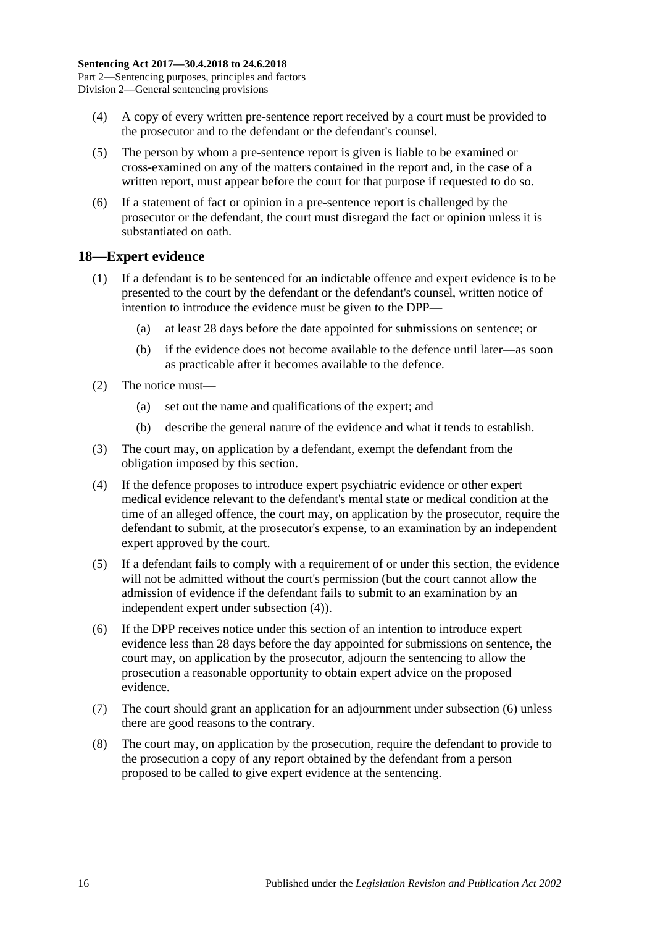- (4) A copy of every written pre-sentence report received by a court must be provided to the prosecutor and to the defendant or the defendant's counsel.
- (5) The person by whom a pre-sentence report is given is liable to be examined or cross-examined on any of the matters contained in the report and, in the case of a written report, must appear before the court for that purpose if requested to do so.
- (6) If a statement of fact or opinion in a pre-sentence report is challenged by the prosecutor or the defendant, the court must disregard the fact or opinion unless it is substantiated on oath.

## <span id="page-15-0"></span>**18—Expert evidence**

- (1) If a defendant is to be sentenced for an indictable offence and expert evidence is to be presented to the court by the defendant or the defendant's counsel, written notice of intention to introduce the evidence must be given to the DPP—
	- (a) at least 28 days before the date appointed for submissions on sentence; or
	- (b) if the evidence does not become available to the defence until later—as soon as practicable after it becomes available to the defence.
- (2) The notice must—
	- (a) set out the name and qualifications of the expert; and
	- (b) describe the general nature of the evidence and what it tends to establish.
- (3) The court may, on application by a defendant, exempt the defendant from the obligation imposed by this section.
- <span id="page-15-1"></span>(4) If the defence proposes to introduce expert psychiatric evidence or other expert medical evidence relevant to the defendant's mental state or medical condition at the time of an alleged offence, the court may, on application by the prosecutor, require the defendant to submit, at the prosecutor's expense, to an examination by an independent expert approved by the court.
- (5) If a defendant fails to comply with a requirement of or under this section, the evidence will not be admitted without the court's permission (but the court cannot allow the admission of evidence if the defendant fails to submit to an examination by an independent expert under [subsection](#page-15-1) (4)).
- <span id="page-15-2"></span>(6) If the DPP receives notice under this section of an intention to introduce expert evidence less than 28 days before the day appointed for submissions on sentence, the court may, on application by the prosecutor, adjourn the sentencing to allow the prosecution a reasonable opportunity to obtain expert advice on the proposed evidence.
- (7) The court should grant an application for an adjournment under [subsection](#page-15-2) (6) unless there are good reasons to the contrary.
- (8) The court may, on application by the prosecution, require the defendant to provide to the prosecution a copy of any report obtained by the defendant from a person proposed to be called to give expert evidence at the sentencing.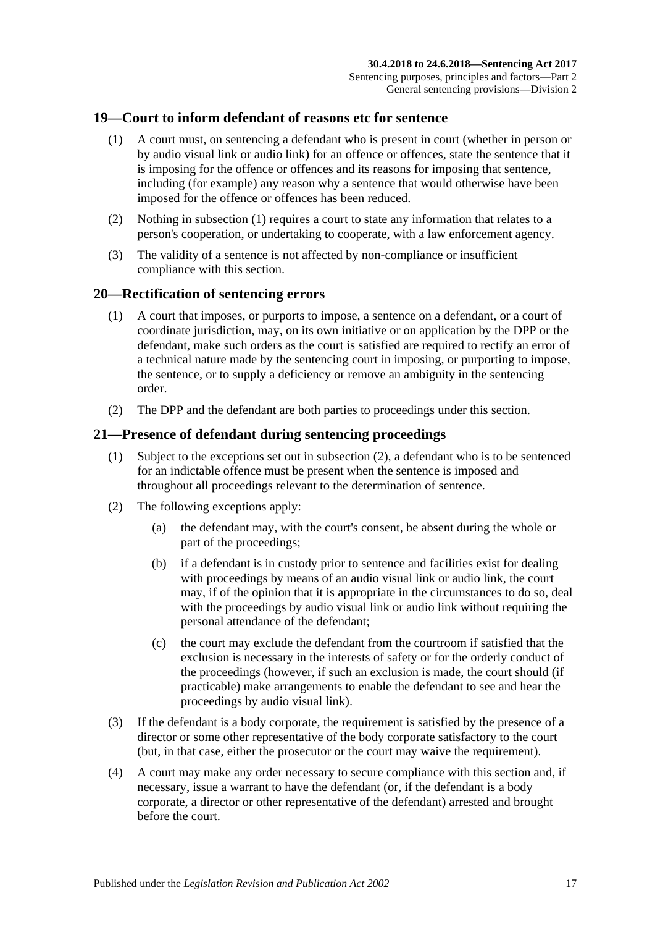## <span id="page-16-3"></span><span id="page-16-0"></span>**19—Court to inform defendant of reasons etc for sentence**

- (1) A court must, on sentencing a defendant who is present in court (whether in person or by audio visual link or audio link) for an offence or offences, state the sentence that it is imposing for the offence or offences and its reasons for imposing that sentence, including (for example) any reason why a sentence that would otherwise have been imposed for the offence or offences has been reduced.
- (2) Nothing in [subsection](#page-16-3) (1) requires a court to state any information that relates to a person's cooperation, or undertaking to cooperate, with a law enforcement agency.
- (3) The validity of a sentence is not affected by non-compliance or insufficient compliance with this section.

## <span id="page-16-1"></span>**20—Rectification of sentencing errors**

- (1) A court that imposes, or purports to impose, a sentence on a defendant, or a court of coordinate jurisdiction, may, on its own initiative or on application by the DPP or the defendant, make such orders as the court is satisfied are required to rectify an error of a technical nature made by the sentencing court in imposing, or purporting to impose, the sentence, or to supply a deficiency or remove an ambiguity in the sentencing order.
- (2) The DPP and the defendant are both parties to proceedings under this section.

## <span id="page-16-2"></span>**21—Presence of defendant during sentencing proceedings**

- (1) Subject to the exceptions set out in [subsection](#page-16-4) (2), a defendant who is to be sentenced for an indictable offence must be present when the sentence is imposed and throughout all proceedings relevant to the determination of sentence.
- <span id="page-16-4"></span>(2) The following exceptions apply:
	- (a) the defendant may, with the court's consent, be absent during the whole or part of the proceedings;
	- (b) if a defendant is in custody prior to sentence and facilities exist for dealing with proceedings by means of an audio visual link or audio link, the court may, if of the opinion that it is appropriate in the circumstances to do so, deal with the proceedings by audio visual link or audio link without requiring the personal attendance of the defendant;
	- (c) the court may exclude the defendant from the courtroom if satisfied that the exclusion is necessary in the interests of safety or for the orderly conduct of the proceedings (however, if such an exclusion is made, the court should (if practicable) make arrangements to enable the defendant to see and hear the proceedings by audio visual link).
- (3) If the defendant is a body corporate, the requirement is satisfied by the presence of a director or some other representative of the body corporate satisfactory to the court (but, in that case, either the prosecutor or the court may waive the requirement).
- (4) A court may make any order necessary to secure compliance with this section and, if necessary, issue a warrant to have the defendant (or, if the defendant is a body corporate, a director or other representative of the defendant) arrested and brought before the court.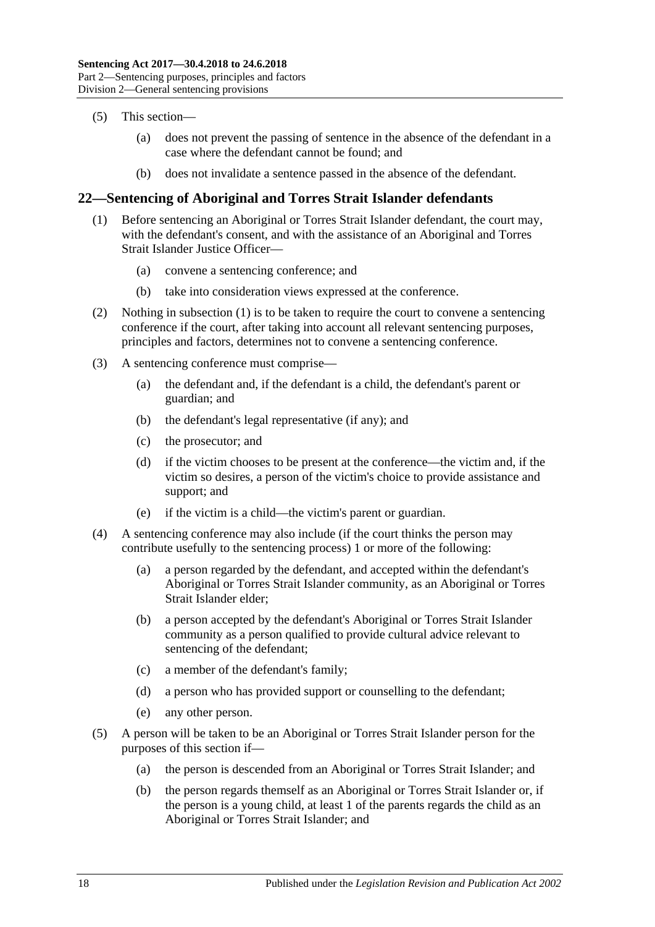- (5) This section—
	- (a) does not prevent the passing of sentence in the absence of the defendant in a case where the defendant cannot be found; and
	- (b) does not invalidate a sentence passed in the absence of the defendant.

## <span id="page-17-1"></span><span id="page-17-0"></span>**22—Sentencing of Aboriginal and Torres Strait Islander defendants**

- (1) Before sentencing an Aboriginal or Torres Strait Islander defendant, the court may, with the defendant's consent, and with the assistance of an Aboriginal and Torres Strait Islander Justice Officer—
	- (a) convene a sentencing conference; and
	- (b) take into consideration views expressed at the conference.
- (2) Nothing in [subsection](#page-17-1) (1) is to be taken to require the court to convene a sentencing conference if the court, after taking into account all relevant sentencing purposes, principles and factors, determines not to convene a sentencing conference.
- (3) A sentencing conference must comprise—
	- (a) the defendant and, if the defendant is a child, the defendant's parent or guardian; and
	- (b) the defendant's legal representative (if any); and
	- (c) the prosecutor; and
	- (d) if the victim chooses to be present at the conference—the victim and, if the victim so desires, a person of the victim's choice to provide assistance and support; and
	- (e) if the victim is a child—the victim's parent or guardian.
- (4) A sentencing conference may also include (if the court thinks the person may contribute usefully to the sentencing process) 1 or more of the following:
	- (a) a person regarded by the defendant, and accepted within the defendant's Aboriginal or Torres Strait Islander community, as an Aboriginal or Torres Strait Islander elder;
	- (b) a person accepted by the defendant's Aboriginal or Torres Strait Islander community as a person qualified to provide cultural advice relevant to sentencing of the defendant;
	- (c) a member of the defendant's family;
	- (d) a person who has provided support or counselling to the defendant;
	- (e) any other person.
- (5) A person will be taken to be an Aboriginal or Torres Strait Islander person for the purposes of this section if—
	- (a) the person is descended from an Aboriginal or Torres Strait Islander; and
	- (b) the person regards themself as an Aboriginal or Torres Strait Islander or, if the person is a young child, at least 1 of the parents regards the child as an Aboriginal or Torres Strait Islander; and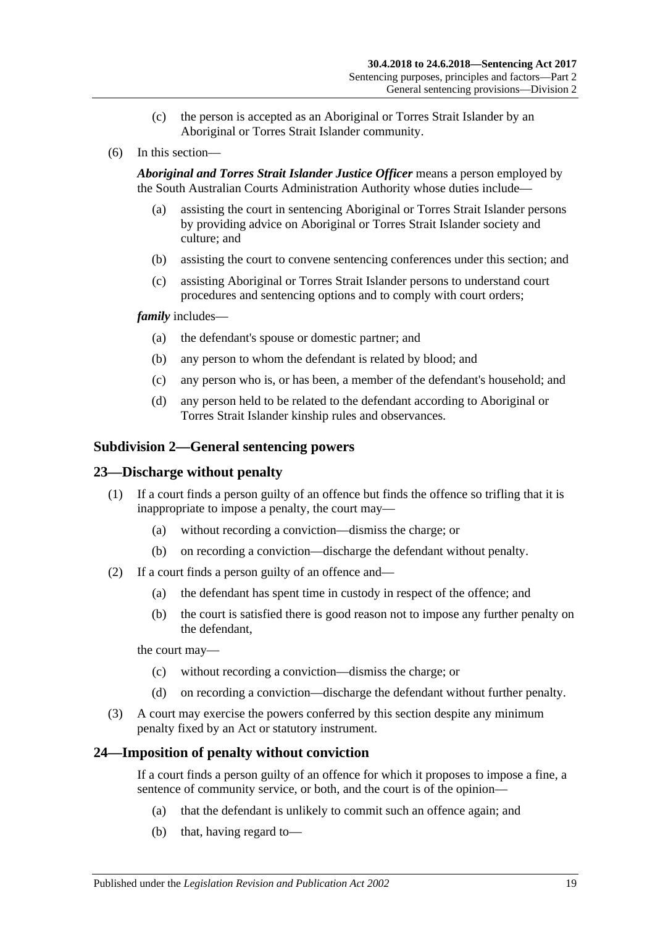- (c) the person is accepted as an Aboriginal or Torres Strait Islander by an Aboriginal or Torres Strait Islander community.
- (6) In this section—

*Aboriginal and Torres Strait Islander Justice Officer* means a person employed by the South Australian Courts Administration Authority whose duties include—

- (a) assisting the court in sentencing Aboriginal or Torres Strait Islander persons by providing advice on Aboriginal or Torres Strait Islander society and culture; and
- (b) assisting the court to convene sentencing conferences under this section; and
- (c) assisting Aboriginal or Torres Strait Islander persons to understand court procedures and sentencing options and to comply with court orders;

#### *family* includes—

- (a) the defendant's spouse or domestic partner; and
- (b) any person to whom the defendant is related by blood; and
- (c) any person who is, or has been, a member of the defendant's household; and
- (d) any person held to be related to the defendant according to Aboriginal or Torres Strait Islander kinship rules and observances.

## <span id="page-18-0"></span>**Subdivision 2—General sentencing powers**

## <span id="page-18-1"></span>**23—Discharge without penalty**

- (1) If a court finds a person guilty of an offence but finds the offence so trifling that it is inappropriate to impose a penalty, the court may—
	- (a) without recording a conviction—dismiss the charge; or
	- (b) on recording a conviction—discharge the defendant without penalty.
- (2) If a court finds a person guilty of an offence and—
	- (a) the defendant has spent time in custody in respect of the offence; and
	- (b) the court is satisfied there is good reason not to impose any further penalty on the defendant,

the court may—

- (c) without recording a conviction—dismiss the charge; or
- (d) on recording a conviction—discharge the defendant without further penalty.
- (3) A court may exercise the powers conferred by this section despite any minimum penalty fixed by an Act or statutory instrument.

## <span id="page-18-2"></span>**24—Imposition of penalty without conviction**

If a court finds a person guilty of an offence for which it proposes to impose a fine, a sentence of community service, or both, and the court is of the opinion—

- (a) that the defendant is unlikely to commit such an offence again; and
- (b) that, having regard to—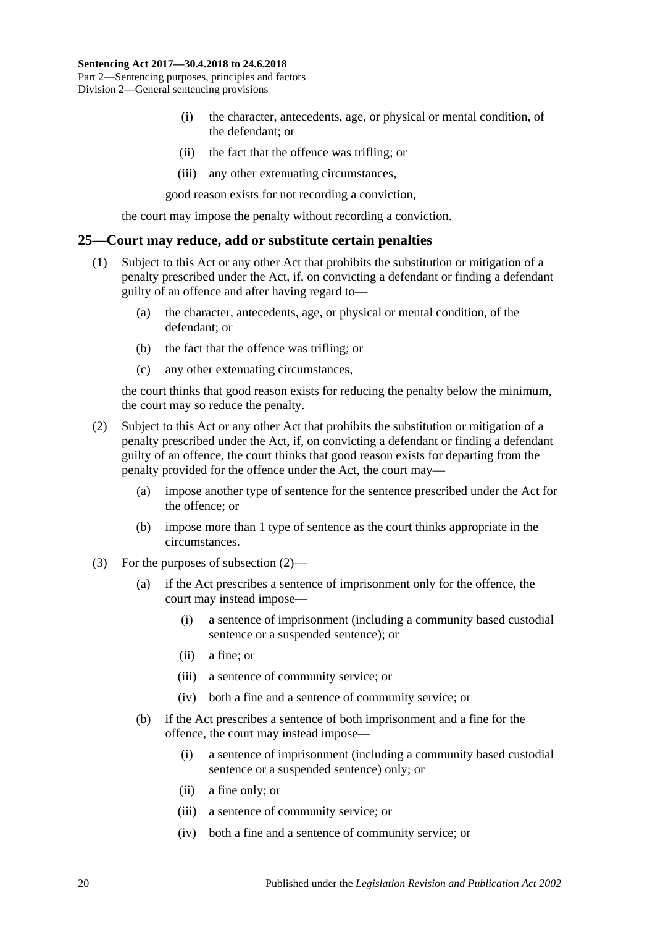- (i) the character, antecedents, age, or physical or mental condition, of the defendant; or
- (ii) the fact that the offence was trifling; or
- (iii) any other extenuating circumstances,

good reason exists for not recording a conviction,

the court may impose the penalty without recording a conviction.

#### <span id="page-19-0"></span>**25—Court may reduce, add or substitute certain penalties**

- (1) Subject to this Act or any other Act that prohibits the substitution or mitigation of a penalty prescribed under the Act, if, on convicting a defendant or finding a defendant guilty of an offence and after having regard to—
	- (a) the character, antecedents, age, or physical or mental condition, of the defendant; or
	- (b) the fact that the offence was trifling; or
	- (c) any other extenuating circumstances,

the court thinks that good reason exists for reducing the penalty below the minimum, the court may so reduce the penalty.

- <span id="page-19-1"></span>(2) Subject to this Act or any other Act that prohibits the substitution or mitigation of a penalty prescribed under the Act, if, on convicting a defendant or finding a defendant guilty of an offence, the court thinks that good reason exists for departing from the penalty provided for the offence under the Act, the court may—
	- (a) impose another type of sentence for the sentence prescribed under the Act for the offence; or
	- (b) impose more than 1 type of sentence as the court thinks appropriate in the circumstances.
- (3) For the purposes of [subsection](#page-19-1) (2)—
	- (a) if the Act prescribes a sentence of imprisonment only for the offence, the court may instead impose—
		- (i) a sentence of imprisonment (including a community based custodial sentence or a suspended sentence); or
		- (ii) a fine; or
		- (iii) a sentence of community service; or
		- (iv) both a fine and a sentence of community service; or
	- (b) if the Act prescribes a sentence of both imprisonment and a fine for the offence, the court may instead impose—
		- (i) a sentence of imprisonment (including a community based custodial sentence or a suspended sentence) only; or
		- (ii) a fine only; or
		- (iii) a sentence of community service; or
		- (iv) both a fine and a sentence of community service; or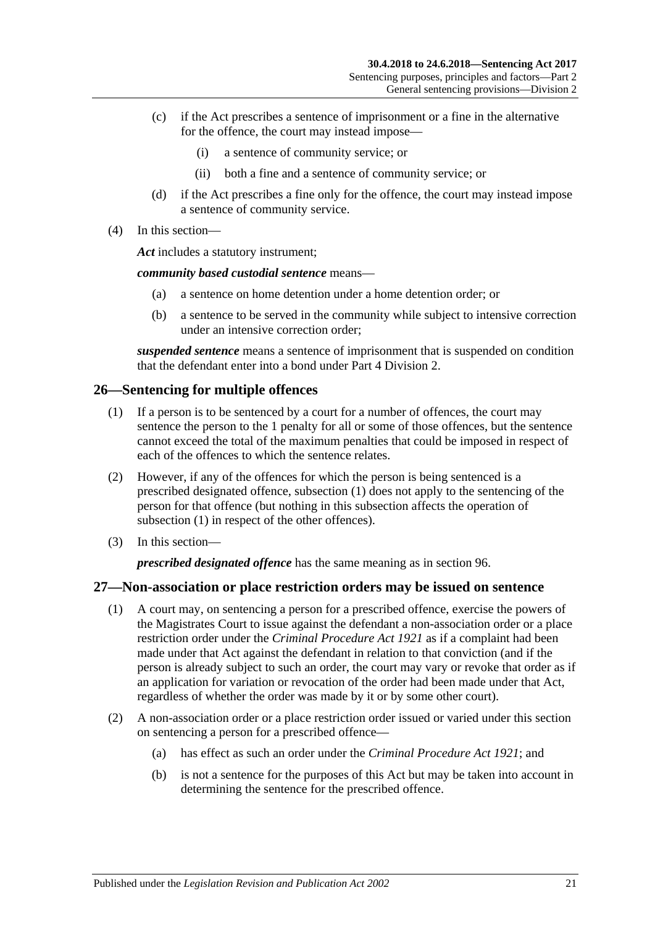- (c) if the Act prescribes a sentence of imprisonment or a fine in the alternative for the offence, the court may instead impose—
	- (i) a sentence of community service; or
	- (ii) both a fine and a sentence of community service; or
- (d) if the Act prescribes a fine only for the offence, the court may instead impose a sentence of community service.
- (4) In this section—

*Act* includes a statutory instrument;

*community based custodial sentence* means—

- (a) a sentence on home detention under a home detention order; or
- (b) a sentence to be served in the community while subject to intensive correction under an intensive correction order;

*suspended sentence* means a sentence of imprisonment that is suspended on condition that the defendant enter into a bond under Part [4 Division](#page-73-1) 2.

## <span id="page-20-2"></span><span id="page-20-0"></span>**26—Sentencing for multiple offences**

- (1) If a person is to be sentenced by a court for a number of offences, the court may sentence the person to the 1 penalty for all or some of those offences, but the sentence cannot exceed the total of the maximum penalties that could be imposed in respect of each of the offences to which the sentence relates.
- (2) However, if any of the offences for which the person is being sentenced is a prescribed designated offence, [subsection](#page-20-2) (1) does not apply to the sentencing of the person for that offence (but nothing in this subsection affects the operation of [subsection](#page-20-2) (1) in respect of the other offences).
- (3) In this section—

*prescribed designated offence* has the same meaning as in [section](#page-73-2) 96.

## <span id="page-20-1"></span>**27—Non-association or place restriction orders may be issued on sentence**

- (1) A court may, on sentencing a person for a prescribed offence, exercise the powers of the Magistrates Court to issue against the defendant a non-association order or a place restriction order under the *[Criminal Procedure Act](http://www.legislation.sa.gov.au/index.aspx?action=legref&type=act&legtitle=Criminal%20Procedure%20Act%201921) 1921* as if a complaint had been made under that Act against the defendant in relation to that conviction (and if the person is already subject to such an order, the court may vary or revoke that order as if an application for variation or revocation of the order had been made under that Act, regardless of whether the order was made by it or by some other court).
- (2) A non-association order or a place restriction order issued or varied under this section on sentencing a person for a prescribed offence—
	- (a) has effect as such an order under the *[Criminal Procedure Act](http://www.legislation.sa.gov.au/index.aspx?action=legref&type=act&legtitle=Criminal%20Procedure%20Act%201921) 1921*; and
	- (b) is not a sentence for the purposes of this Act but may be taken into account in determining the sentence for the prescribed offence.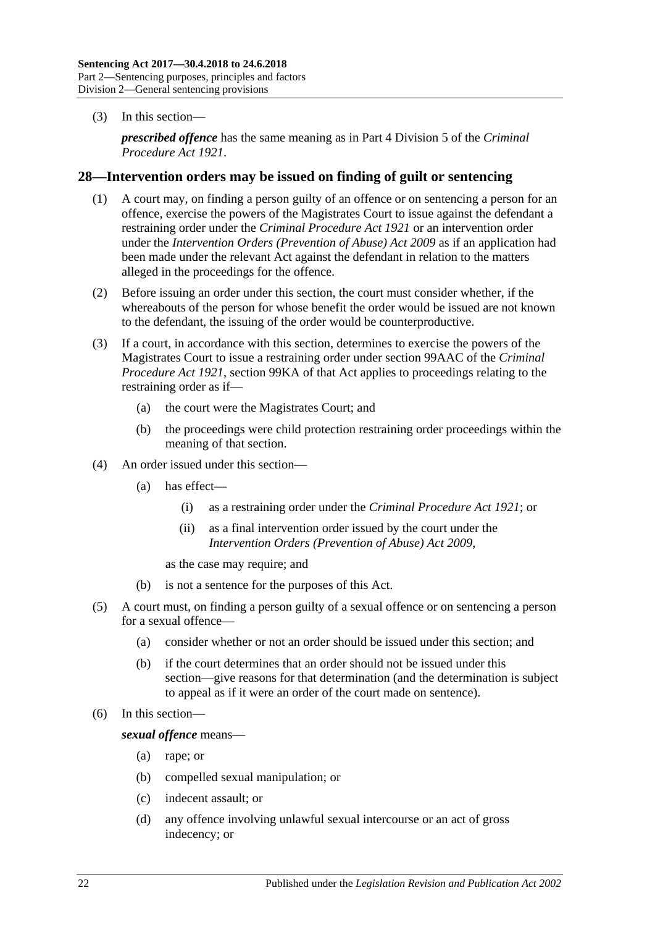(3) In this section—

*prescribed offence* has the same meaning as in Part 4 Division 5 of the *[Criminal](http://www.legislation.sa.gov.au/index.aspx?action=legref&type=act&legtitle=Criminal%20Procedure%20Act%201921)  [Procedure Act](http://www.legislation.sa.gov.au/index.aspx?action=legref&type=act&legtitle=Criminal%20Procedure%20Act%201921) 1921*.

## <span id="page-21-0"></span>**28—Intervention orders may be issued on finding of guilt or sentencing**

- (1) A court may, on finding a person guilty of an offence or on sentencing a person for an offence, exercise the powers of the Magistrates Court to issue against the defendant a restraining order under the *[Criminal Procedure](http://www.legislation.sa.gov.au/index.aspx?action=legref&type=act&legtitle=Criminal%20Procedure%20Act%201921) Act 1921* or an intervention order under the *[Intervention Orders \(Prevention of Abuse\) Act](http://www.legislation.sa.gov.au/index.aspx?action=legref&type=act&legtitle=Intervention%20Orders%20(Prevention%20of%20Abuse)%20Act%202009) 2009* as if an application had been made under the relevant Act against the defendant in relation to the matters alleged in the proceedings for the offence.
- (2) Before issuing an order under this section, the court must consider whether, if the whereabouts of the person for whose benefit the order would be issued are not known to the defendant, the issuing of the order would be counterproductive.
- (3) If a court, in accordance with this section, determines to exercise the powers of the Magistrates Court to issue a restraining order under section 99AAC of the *[Criminal](http://www.legislation.sa.gov.au/index.aspx?action=legref&type=act&legtitle=Criminal%20Procedure%20Act%201921)  [Procedure Act](http://www.legislation.sa.gov.au/index.aspx?action=legref&type=act&legtitle=Criminal%20Procedure%20Act%201921) 1921*, section 99KA of that Act applies to proceedings relating to the restraining order as if—
	- (a) the court were the Magistrates Court; and
	- (b) the proceedings were child protection restraining order proceedings within the meaning of that section.
- (4) An order issued under this section—
	- (a) has effect—
		- (i) as a restraining order under the *[Criminal Procedure Act](http://www.legislation.sa.gov.au/index.aspx?action=legref&type=act&legtitle=Criminal%20Procedure%20Act%201921) 1921*; or
		- (ii) as a final intervention order issued by the court under the *[Intervention Orders \(Prevention of Abuse\) Act](http://www.legislation.sa.gov.au/index.aspx?action=legref&type=act&legtitle=Intervention%20Orders%20(Prevention%20of%20Abuse)%20Act%202009) 2009*,

as the case may require; and

- (b) is not a sentence for the purposes of this Act.
- (5) A court must, on finding a person guilty of a sexual offence or on sentencing a person for a sexual offence—
	- (a) consider whether or not an order should be issued under this section; and
	- (b) if the court determines that an order should not be issued under this section—give reasons for that determination (and the determination is subject to appeal as if it were an order of the court made on sentence).
- (6) In this section—

*sexual offence* means—

- (a) rape; or
- (b) compelled sexual manipulation; or
- (c) indecent assault; or
- (d) any offence involving unlawful sexual intercourse or an act of gross indecency; or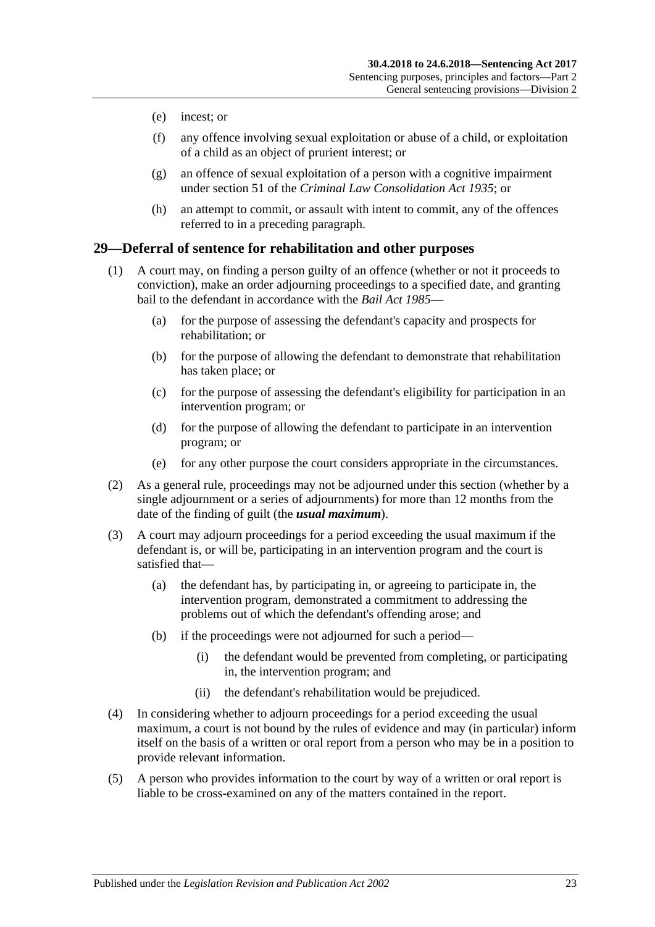- (e) incest; or
- (f) any offence involving sexual exploitation or abuse of a child, or exploitation of a child as an object of prurient interest; or
- (g) an offence of sexual exploitation of a person with a cognitive impairment under section 51 of the *[Criminal Law Consolidation Act](http://www.legislation.sa.gov.au/index.aspx?action=legref&type=act&legtitle=Criminal%20Law%20Consolidation%20Act%201935) 1935*; or
- (h) an attempt to commit, or assault with intent to commit, any of the offences referred to in a preceding paragraph.

## <span id="page-22-0"></span>**29—Deferral of sentence for rehabilitation and other purposes**

- (1) A court may, on finding a person guilty of an offence (whether or not it proceeds to conviction), make an order adjourning proceedings to a specified date, and granting bail to the defendant in accordance with the *[Bail Act](http://www.legislation.sa.gov.au/index.aspx?action=legref&type=act&legtitle=Bail%20Act%201985) 1985*—
	- (a) for the purpose of assessing the defendant's capacity and prospects for rehabilitation; or
	- (b) for the purpose of allowing the defendant to demonstrate that rehabilitation has taken place; or
	- (c) for the purpose of assessing the defendant's eligibility for participation in an intervention program; or
	- (d) for the purpose of allowing the defendant to participate in an intervention program; or
	- (e) for any other purpose the court considers appropriate in the circumstances.
- (2) As a general rule, proceedings may not be adjourned under this section (whether by a single adjournment or a series of adjournments) for more than 12 months from the date of the finding of guilt (the *usual maximum*).
- (3) A court may adjourn proceedings for a period exceeding the usual maximum if the defendant is, or will be, participating in an intervention program and the court is satisfied that—
	- (a) the defendant has, by participating in, or agreeing to participate in, the intervention program, demonstrated a commitment to addressing the problems out of which the defendant's offending arose; and
	- (b) if the proceedings were not adjourned for such a period—
		- (i) the defendant would be prevented from completing, or participating in, the intervention program; and
		- (ii) the defendant's rehabilitation would be prejudiced.
- (4) In considering whether to adjourn proceedings for a period exceeding the usual maximum, a court is not bound by the rules of evidence and may (in particular) inform itself on the basis of a written or oral report from a person who may be in a position to provide relevant information.
- (5) A person who provides information to the court by way of a written or oral report is liable to be cross-examined on any of the matters contained in the report.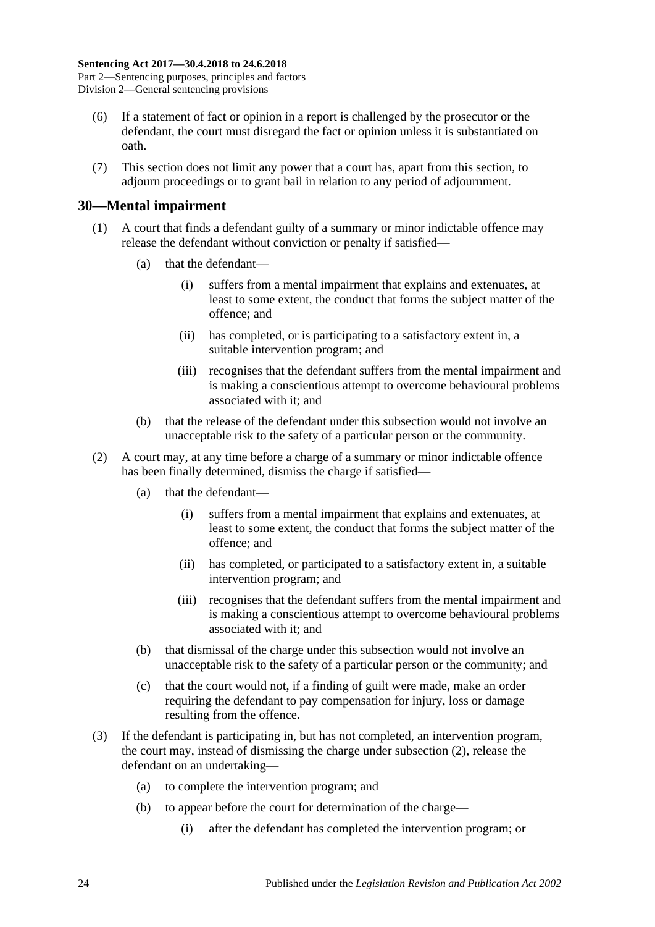- (6) If a statement of fact or opinion in a report is challenged by the prosecutor or the defendant, the court must disregard the fact or opinion unless it is substantiated on oath.
- (7) This section does not limit any power that a court has, apart from this section, to adjourn proceedings or to grant bail in relation to any period of adjournment.

## <span id="page-23-0"></span>**30—Mental impairment**

- (1) A court that finds a defendant guilty of a summary or minor indictable offence may release the defendant without conviction or penalty if satisfied—
	- (a) that the defendant—
		- (i) suffers from a mental impairment that explains and extenuates, at least to some extent, the conduct that forms the subject matter of the offence; and
		- (ii) has completed, or is participating to a satisfactory extent in, a suitable intervention program; and
		- (iii) recognises that the defendant suffers from the mental impairment and is making a conscientious attempt to overcome behavioural problems associated with it; and
	- (b) that the release of the defendant under this subsection would not involve an unacceptable risk to the safety of a particular person or the community.
- <span id="page-23-1"></span>(2) A court may, at any time before a charge of a summary or minor indictable offence has been finally determined, dismiss the charge if satisfied—
	- (a) that the defendant—
		- (i) suffers from a mental impairment that explains and extenuates, at least to some extent, the conduct that forms the subject matter of the offence; and
		- (ii) has completed, or participated to a satisfactory extent in, a suitable intervention program; and
		- (iii) recognises that the defendant suffers from the mental impairment and is making a conscientious attempt to overcome behavioural problems associated with it; and
	- (b) that dismissal of the charge under this subsection would not involve an unacceptable risk to the safety of a particular person or the community; and
	- (c) that the court would not, if a finding of guilt were made, make an order requiring the defendant to pay compensation for injury, loss or damage resulting from the offence.
- <span id="page-23-2"></span>(3) If the defendant is participating in, but has not completed, an intervention program, the court may, instead of dismissing the charge under [subsection](#page-23-1) (2), release the defendant on an undertaking—
	- (a) to complete the intervention program; and
	- (b) to appear before the court for determination of the charge—
		- (i) after the defendant has completed the intervention program; or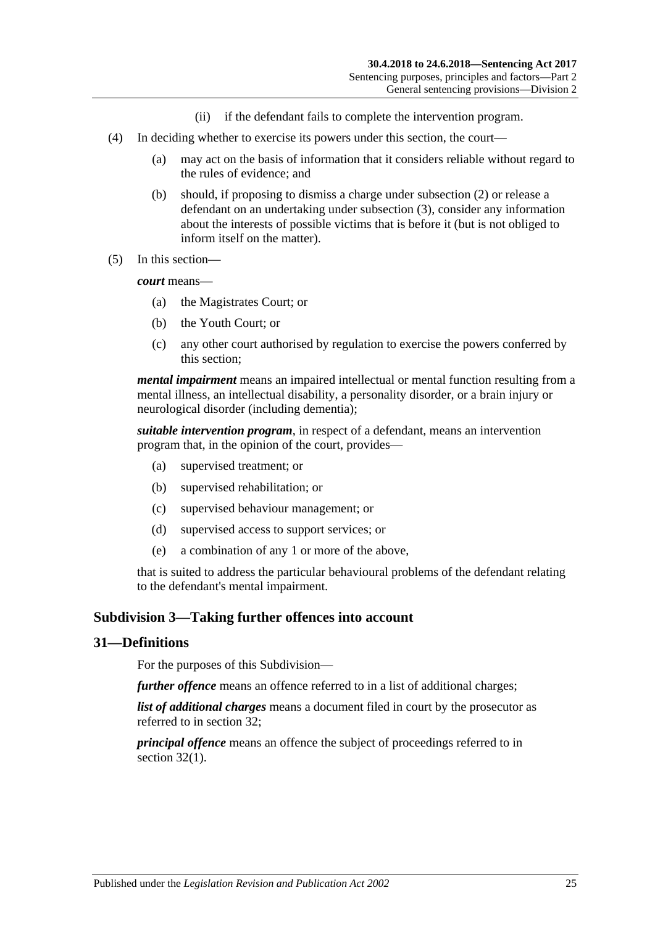- (ii) if the defendant fails to complete the intervention program.
- (4) In deciding whether to exercise its powers under this section, the court—
	- (a) may act on the basis of information that it considers reliable without regard to the rules of evidence; and
	- (b) should, if proposing to dismiss a charge under [subsection](#page-23-1) (2) or release a defendant on an undertaking under [subsection](#page-23-2) (3), consider any information about the interests of possible victims that is before it (but is not obliged to inform itself on the matter).
- (5) In this section—

*court* means—

- (a) the Magistrates Court; or
- (b) the Youth Court; or
- (c) any other court authorised by regulation to exercise the powers conferred by this section;

*mental impairment* means an impaired intellectual or mental function resulting from a mental illness, an intellectual disability, a personality disorder, or a brain injury or neurological disorder (including dementia);

*suitable intervention program*, in respect of a defendant, means an intervention program that, in the opinion of the court, provides—

- (a) supervised treatment; or
- (b) supervised rehabilitation; or
- (c) supervised behaviour management; or
- (d) supervised access to support services; or
- (e) a combination of any 1 or more of the above,

that is suited to address the particular behavioural problems of the defendant relating to the defendant's mental impairment.

## <span id="page-24-0"></span>**Subdivision 3—Taking further offences into account**

## <span id="page-24-1"></span>**31—Definitions**

For the purposes of this Subdivision—

*further offence* means an offence referred to in a list of additional charges;

*list of additional charges* means a document filed in court by the prosecutor as referred to in [section](#page-25-0) 32;

*principal offence* means an offence the subject of proceedings referred to in [section](#page-25-2) 32(1).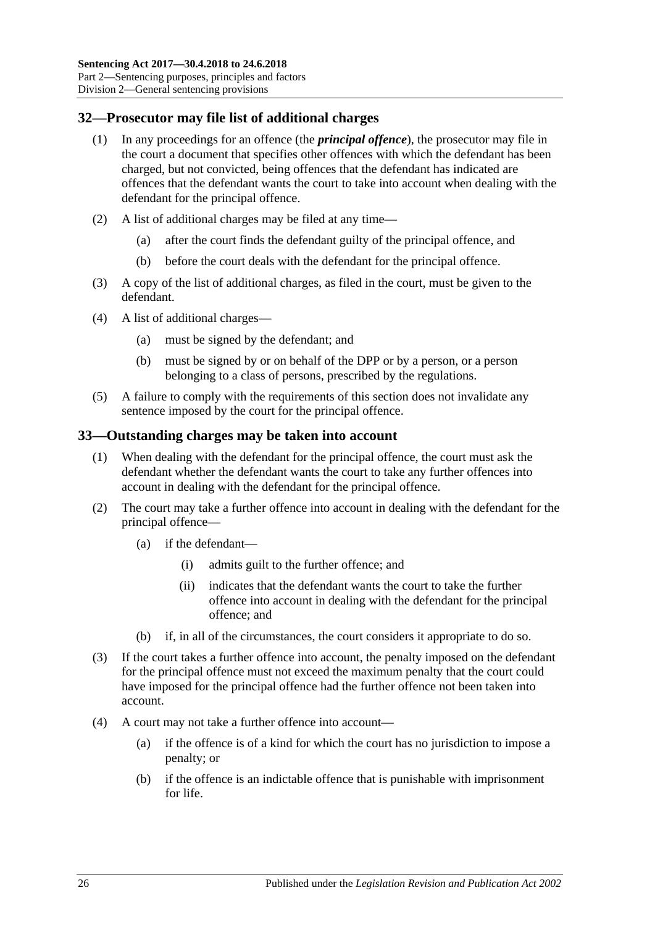## <span id="page-25-2"></span><span id="page-25-0"></span>**32—Prosecutor may file list of additional charges**

- (1) In any proceedings for an offence (the *principal offence*), the prosecutor may file in the court a document that specifies other offences with which the defendant has been charged, but not convicted, being offences that the defendant has indicated are offences that the defendant wants the court to take into account when dealing with the defendant for the principal offence.
- (2) A list of additional charges may be filed at any time—
	- (a) after the court finds the defendant guilty of the principal offence, and
	- (b) before the court deals with the defendant for the principal offence.
- (3) A copy of the list of additional charges, as filed in the court, must be given to the defendant.
- (4) A list of additional charges—
	- (a) must be signed by the defendant; and
	- (b) must be signed by or on behalf of the DPP or by a person, or a person belonging to a class of persons, prescribed by the regulations.
- (5) A failure to comply with the requirements of this section does not invalidate any sentence imposed by the court for the principal offence.

## <span id="page-25-1"></span>**33—Outstanding charges may be taken into account**

- (1) When dealing with the defendant for the principal offence, the court must ask the defendant whether the defendant wants the court to take any further offences into account in dealing with the defendant for the principal offence.
- (2) The court may take a further offence into account in dealing with the defendant for the principal offence—
	- (a) if the defendant—
		- (i) admits guilt to the further offence; and
		- (ii) indicates that the defendant wants the court to take the further offence into account in dealing with the defendant for the principal offence; and
	- (b) if, in all of the circumstances, the court considers it appropriate to do so.
- (3) If the court takes a further offence into account, the penalty imposed on the defendant for the principal offence must not exceed the maximum penalty that the court could have imposed for the principal offence had the further offence not been taken into account.
- <span id="page-25-3"></span>(4) A court may not take a further offence into account—
	- (a) if the offence is of a kind for which the court has no jurisdiction to impose a penalty; or
	- (b) if the offence is an indictable offence that is punishable with imprisonment for life.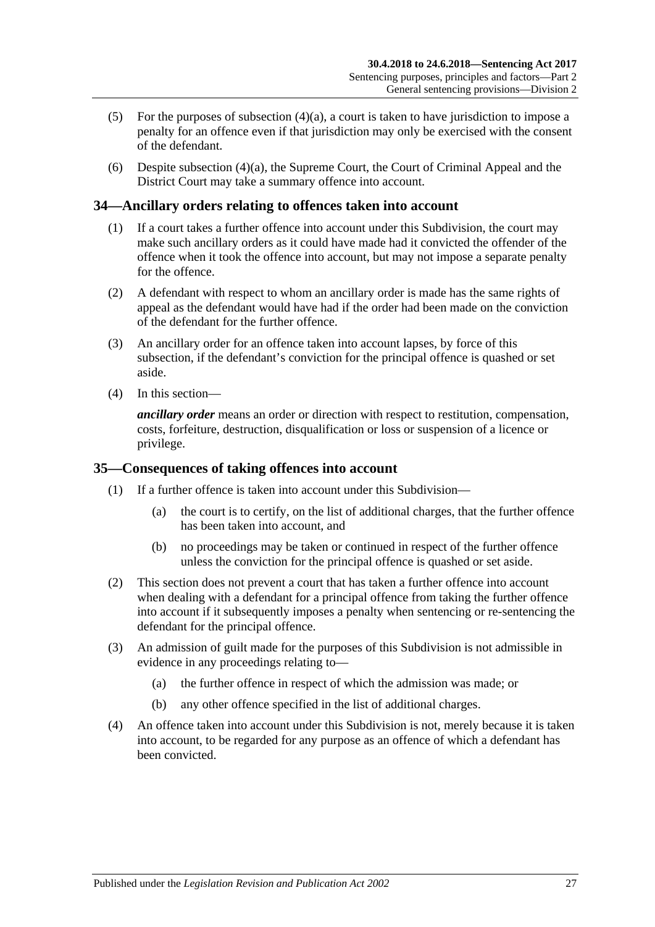- (5) For the purposes of [subsection](#page-25-3)  $(4)(a)$ , a court is taken to have jurisdiction to impose a penalty for an offence even if that jurisdiction may only be exercised with the consent of the defendant.
- (6) Despite [subsection](#page-25-3) (4)(a), the Supreme Court, the Court of Criminal Appeal and the District Court may take a summary offence into account.

## <span id="page-26-0"></span>**34—Ancillary orders relating to offences taken into account**

- (1) If a court takes a further offence into account under this Subdivision, the court may make such ancillary orders as it could have made had it convicted the offender of the offence when it took the offence into account, but may not impose a separate penalty for the offence.
- (2) A defendant with respect to whom an ancillary order is made has the same rights of appeal as the defendant would have had if the order had been made on the conviction of the defendant for the further offence.
- (3) An ancillary order for an offence taken into account lapses, by force of this subsection, if the defendant's conviction for the principal offence is quashed or set aside.
- (4) In this section—

*ancillary order* means an order or direction with respect to restitution, compensation, costs, forfeiture, destruction, disqualification or loss or suspension of a licence or privilege.

## <span id="page-26-1"></span>**35—Consequences of taking offences into account**

- (1) If a further offence is taken into account under this Subdivision—
	- (a) the court is to certify, on the list of additional charges, that the further offence has been taken into account, and
	- (b) no proceedings may be taken or continued in respect of the further offence unless the conviction for the principal offence is quashed or set aside.
- (2) This section does not prevent a court that has taken a further offence into account when dealing with a defendant for a principal offence from taking the further offence into account if it subsequently imposes a penalty when sentencing or re-sentencing the defendant for the principal offence.
- (3) An admission of guilt made for the purposes of this Subdivision is not admissible in evidence in any proceedings relating to—
	- (a) the further offence in respect of which the admission was made; or
	- (b) any other offence specified in the list of additional charges.
- (4) An offence taken into account under this Subdivision is not, merely because it is taken into account, to be regarded for any purpose as an offence of which a defendant has been convicted.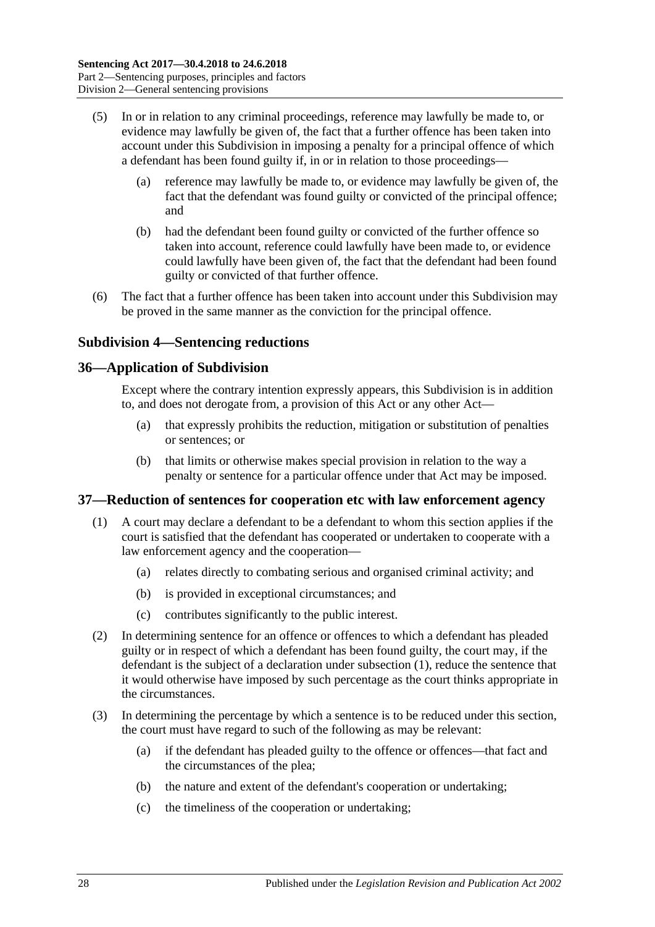- (5) In or in relation to any criminal proceedings, reference may lawfully be made to, or evidence may lawfully be given of, the fact that a further offence has been taken into account under this Subdivision in imposing a penalty for a principal offence of which a defendant has been found guilty if, in or in relation to those proceedings—
	- (a) reference may lawfully be made to, or evidence may lawfully be given of, the fact that the defendant was found guilty or convicted of the principal offence; and
	- (b) had the defendant been found guilty or convicted of the further offence so taken into account, reference could lawfully have been made to, or evidence could lawfully have been given of, the fact that the defendant had been found guilty or convicted of that further offence.
- (6) The fact that a further offence has been taken into account under this Subdivision may be proved in the same manner as the conviction for the principal offence.

## <span id="page-27-0"></span>**Subdivision 4—Sentencing reductions**

## <span id="page-27-1"></span>**36—Application of Subdivision**

Except where the contrary intention expressly appears, this Subdivision is in addition to, and does not derogate from, a provision of this Act or any other Act—

- (a) that expressly prohibits the reduction, mitigation or substitution of penalties or sentences; or
- (b) that limits or otherwise makes special provision in relation to the way a penalty or sentence for a particular offence under that Act may be imposed.

## <span id="page-27-3"></span><span id="page-27-2"></span>**37—Reduction of sentences for cooperation etc with law enforcement agency**

- (1) A court may declare a defendant to be a defendant to whom this section applies if the court is satisfied that the defendant has cooperated or undertaken to cooperate with a law enforcement agency and the cooperation—
	- (a) relates directly to combating serious and organised criminal activity; and
	- (b) is provided in exceptional circumstances; and
	- (c) contributes significantly to the public interest.
- (2) In determining sentence for an offence or offences to which a defendant has pleaded guilty or in respect of which a defendant has been found guilty, the court may, if the defendant is the subject of a declaration under [subsection](#page-27-3) (1), reduce the sentence that it would otherwise have imposed by such percentage as the court thinks appropriate in the circumstances.
- (3) In determining the percentage by which a sentence is to be reduced under this section, the court must have regard to such of the following as may be relevant:
	- (a) if the defendant has pleaded guilty to the offence or offences—that fact and the circumstances of the plea;
	- (b) the nature and extent of the defendant's cooperation or undertaking;
	- (c) the timeliness of the cooperation or undertaking;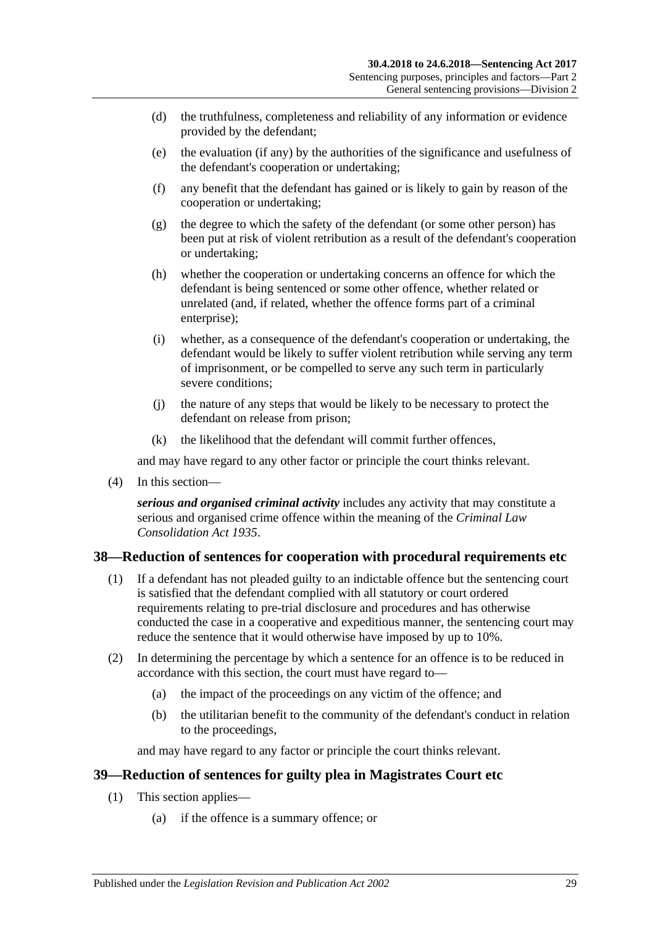- (d) the truthfulness, completeness and reliability of any information or evidence provided by the defendant;
- (e) the evaluation (if any) by the authorities of the significance and usefulness of the defendant's cooperation or undertaking;
- (f) any benefit that the defendant has gained or is likely to gain by reason of the cooperation or undertaking;
- (g) the degree to which the safety of the defendant (or some other person) has been put at risk of violent retribution as a result of the defendant's cooperation or undertaking;
- (h) whether the cooperation or undertaking concerns an offence for which the defendant is being sentenced or some other offence, whether related or unrelated (and, if related, whether the offence forms part of a criminal enterprise);
- (i) whether, as a consequence of the defendant's cooperation or undertaking, the defendant would be likely to suffer violent retribution while serving any term of imprisonment, or be compelled to serve any such term in particularly severe conditions;
- (j) the nature of any steps that would be likely to be necessary to protect the defendant on release from prison;
- (k) the likelihood that the defendant will commit further offences,

and may have regard to any other factor or principle the court thinks relevant.

(4) In this section—

*serious and organised criminal activity* includes any activity that may constitute a serious and organised crime offence within the meaning of the *[Criminal Law](http://www.legislation.sa.gov.au/index.aspx?action=legref&type=act&legtitle=Criminal%20Law%20Consolidation%20Act%201935)  [Consolidation Act](http://www.legislation.sa.gov.au/index.aspx?action=legref&type=act&legtitle=Criminal%20Law%20Consolidation%20Act%201935) 1935*.

## <span id="page-28-0"></span>**38—Reduction of sentences for cooperation with procedural requirements etc**

- (1) If a defendant has not pleaded guilty to an indictable offence but the sentencing court is satisfied that the defendant complied with all statutory or court ordered requirements relating to pre-trial disclosure and procedures and has otherwise conducted the case in a cooperative and expeditious manner, the sentencing court may reduce the sentence that it would otherwise have imposed by up to 10%.
- (2) In determining the percentage by which a sentence for an offence is to be reduced in accordance with this section, the court must have regard to—
	- (a) the impact of the proceedings on any victim of the offence; and
	- (b) the utilitarian benefit to the community of the defendant's conduct in relation to the proceedings,

and may have regard to any factor or principle the court thinks relevant.

## <span id="page-28-2"></span><span id="page-28-1"></span>**39—Reduction of sentences for guilty plea in Magistrates Court etc**

- (1) This section applies—
	- (a) if the offence is a summary offence; or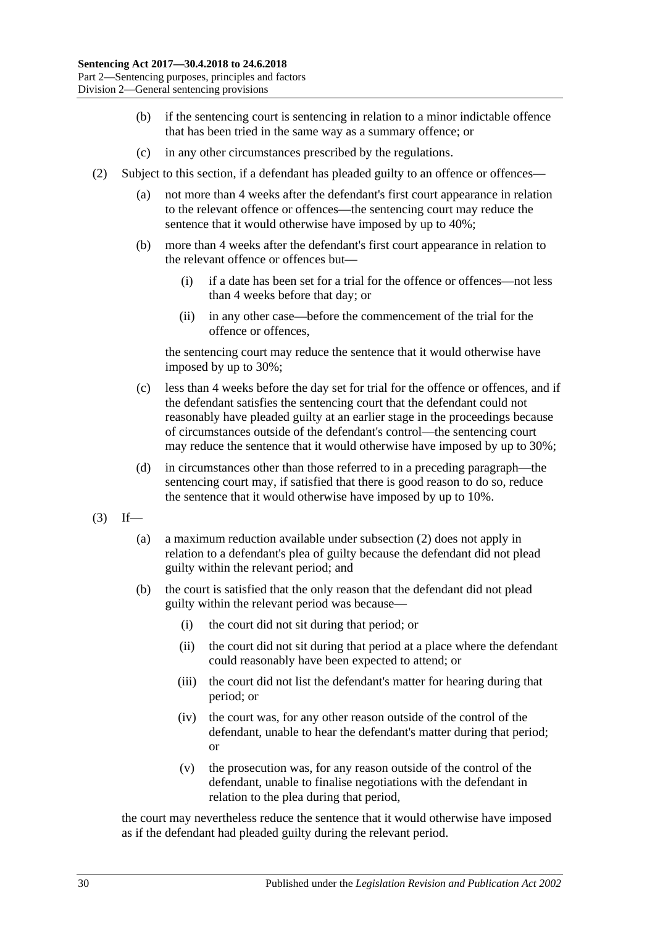- (b) if the sentencing court is sentencing in relation to a minor indictable offence that has been tried in the same way as a summary offence; or
- (c) in any other circumstances prescribed by the regulations.
- <span id="page-29-0"></span>(2) Subject to this section, if a defendant has pleaded guilty to an offence or offences—
	- (a) not more than 4 weeks after the defendant's first court appearance in relation to the relevant offence or offences—the sentencing court may reduce the sentence that it would otherwise have imposed by up to 40%;
	- (b) more than 4 weeks after the defendant's first court appearance in relation to the relevant offence or offences but—
		- (i) if a date has been set for a trial for the offence or offences—not less than 4 weeks before that day; or
		- (ii) in any other case—before the commencement of the trial for the offence or offences,

the sentencing court may reduce the sentence that it would otherwise have imposed by up to 30%;

- (c) less than 4 weeks before the day set for trial for the offence or offences, and if the defendant satisfies the sentencing court that the defendant could not reasonably have pleaded guilty at an earlier stage in the proceedings because of circumstances outside of the defendant's control—the sentencing court may reduce the sentence that it would otherwise have imposed by up to 30%;
- (d) in circumstances other than those referred to in a preceding paragraph—the sentencing court may, if satisfied that there is good reason to do so, reduce the sentence that it would otherwise have imposed by up to 10%.
- $(3)$  If—
	- (a) a maximum reduction available under [subsection](#page-29-0) (2) does not apply in relation to a defendant's plea of guilty because the defendant did not plead guilty within the relevant period; and
	- (b) the court is satisfied that the only reason that the defendant did not plead guilty within the relevant period was because—
		- (i) the court did not sit during that period; or
		- (ii) the court did not sit during that period at a place where the defendant could reasonably have been expected to attend; or
		- (iii) the court did not list the defendant's matter for hearing during that period; or
		- (iv) the court was, for any other reason outside of the control of the defendant, unable to hear the defendant's matter during that period; or
		- (v) the prosecution was, for any reason outside of the control of the defendant, unable to finalise negotiations with the defendant in relation to the plea during that period,

the court may nevertheless reduce the sentence that it would otherwise have imposed as if the defendant had pleaded guilty during the relevant period.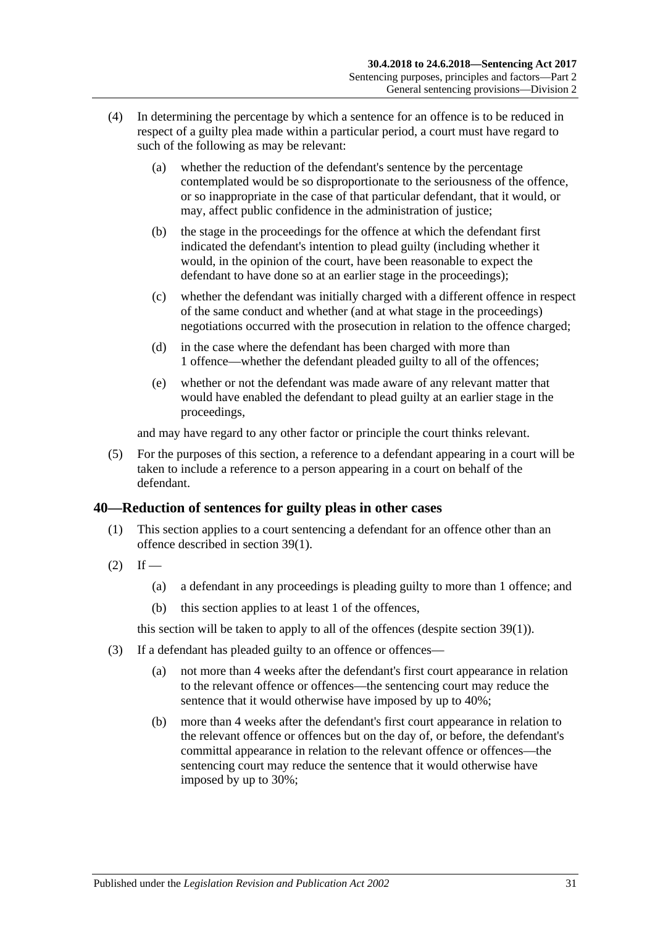- (4) In determining the percentage by which a sentence for an offence is to be reduced in respect of a guilty plea made within a particular period, a court must have regard to such of the following as may be relevant:
	- (a) whether the reduction of the defendant's sentence by the percentage contemplated would be so disproportionate to the seriousness of the offence, or so inappropriate in the case of that particular defendant, that it would, or may, affect public confidence in the administration of justice;
	- (b) the stage in the proceedings for the offence at which the defendant first indicated the defendant's intention to plead guilty (including whether it would, in the opinion of the court, have been reasonable to expect the defendant to have done so at an earlier stage in the proceedings);
	- (c) whether the defendant was initially charged with a different offence in respect of the same conduct and whether (and at what stage in the proceedings) negotiations occurred with the prosecution in relation to the offence charged;
	- (d) in the case where the defendant has been charged with more than 1 offence—whether the defendant pleaded guilty to all of the offences;
	- (e) whether or not the defendant was made aware of any relevant matter that would have enabled the defendant to plead guilty at an earlier stage in the proceedings,

and may have regard to any other factor or principle the court thinks relevant.

(5) For the purposes of this section, a reference to a defendant appearing in a court will be taken to include a reference to a person appearing in a court on behalf of the defendant.

## <span id="page-30-0"></span>**40—Reduction of sentences for guilty pleas in other cases**

- (1) This section applies to a court sentencing a defendant for an offence other than an offence described in [section](#page-28-2) 39(1).
- $(2)$  If
	- (a) a defendant in any proceedings is pleading guilty to more than 1 offence; and
	- (b) this section applies to at least 1 of the offences,

this section will be taken to apply to all of the offences (despite [section](#page-28-2) 39(1)).

- <span id="page-30-1"></span>(3) If a defendant has pleaded guilty to an offence or offences—
	- (a) not more than 4 weeks after the defendant's first court appearance in relation to the relevant offence or offences—the sentencing court may reduce the sentence that it would otherwise have imposed by up to 40%;
	- (b) more than 4 weeks after the defendant's first court appearance in relation to the relevant offence or offences but on the day of, or before, the defendant's committal appearance in relation to the relevant offence or offences—the sentencing court may reduce the sentence that it would otherwise have imposed by up to 30%;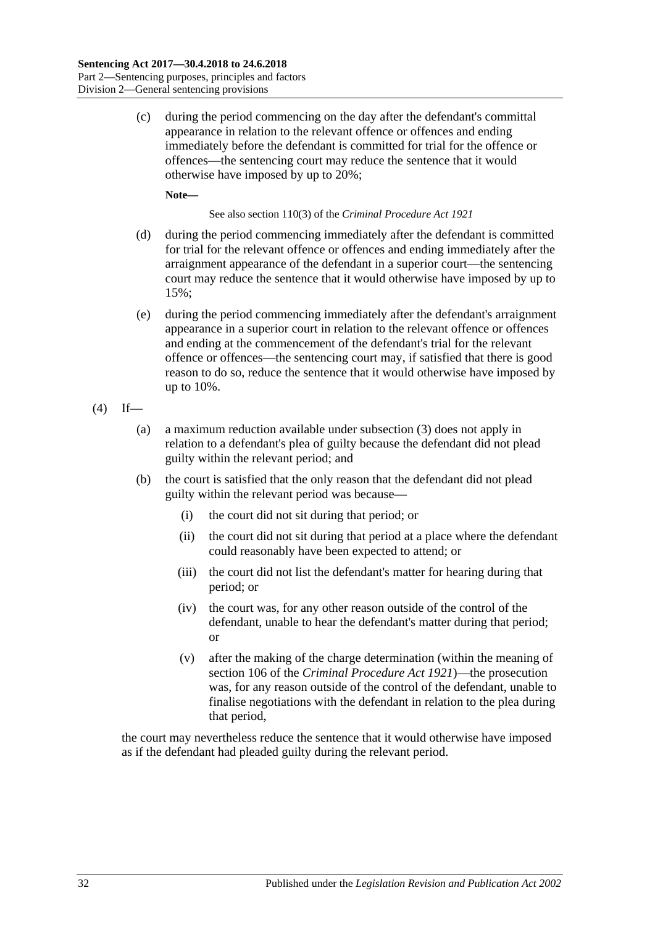(c) during the period commencing on the day after the defendant's committal appearance in relation to the relevant offence or offences and ending immediately before the defendant is committed for trial for the offence or offences—the sentencing court may reduce the sentence that it would otherwise have imposed by up to 20%;

**Note—**

See also section 110(3) of the *[Criminal Procedure Act](http://www.legislation.sa.gov.au/index.aspx?action=legref&type=act&legtitle=Criminal%20Procedure%20Act%201921) 1921*

- (d) during the period commencing immediately after the defendant is committed for trial for the relevant offence or offences and ending immediately after the arraignment appearance of the defendant in a superior court—the sentencing court may reduce the sentence that it would otherwise have imposed by up to 15%;
- (e) during the period commencing immediately after the defendant's arraignment appearance in a superior court in relation to the relevant offence or offences and ending at the commencement of the defendant's trial for the relevant offence or offences—the sentencing court may, if satisfied that there is good reason to do so, reduce the sentence that it would otherwise have imposed by up to 10%.

$$
(4) If
$$

- (a) a maximum reduction available under [subsection](#page-30-1) (3) does not apply in relation to a defendant's plea of guilty because the defendant did not plead guilty within the relevant period; and
- (b) the court is satisfied that the only reason that the defendant did not plead guilty within the relevant period was because—
	- (i) the court did not sit during that period; or
	- (ii) the court did not sit during that period at a place where the defendant could reasonably have been expected to attend; or
	- (iii) the court did not list the defendant's matter for hearing during that period; or
	- (iv) the court was, for any other reason outside of the control of the defendant, unable to hear the defendant's matter during that period; or
	- (v) after the making of the charge determination (within the meaning of section 106 of the *[Criminal Procedure Act](http://www.legislation.sa.gov.au/index.aspx?action=legref&type=act&legtitle=Criminal%20Procedure%20Act%201921) 1921*)—the prosecution was, for any reason outside of the control of the defendant, unable to finalise negotiations with the defendant in relation to the plea during that period,

the court may nevertheless reduce the sentence that it would otherwise have imposed as if the defendant had pleaded guilty during the relevant period.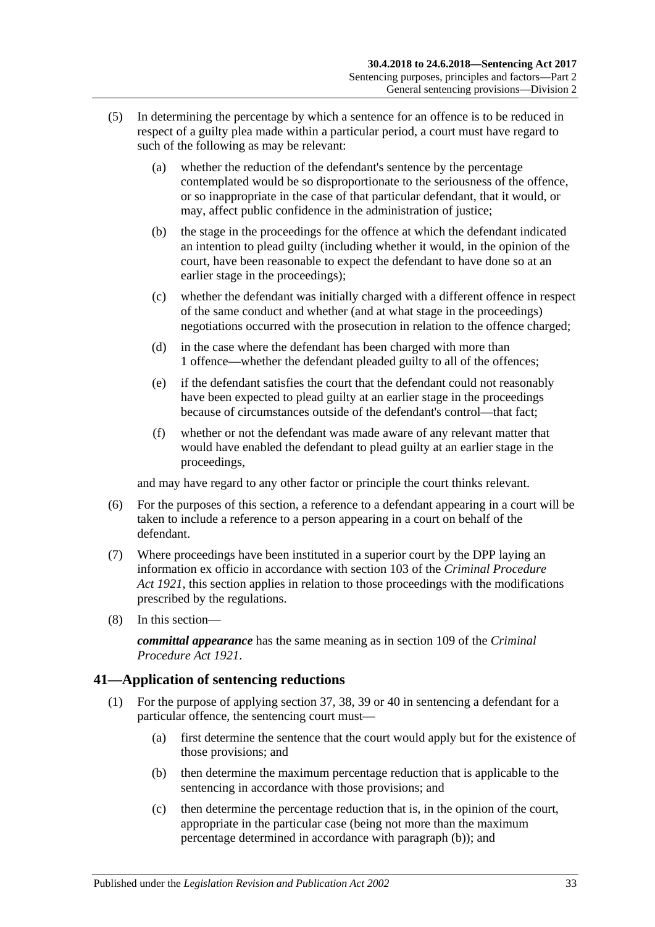- (5) In determining the percentage by which a sentence for an offence is to be reduced in respect of a guilty plea made within a particular period, a court must have regard to such of the following as may be relevant:
	- (a) whether the reduction of the defendant's sentence by the percentage contemplated would be so disproportionate to the seriousness of the offence, or so inappropriate in the case of that particular defendant, that it would, or may, affect public confidence in the administration of justice;
	- (b) the stage in the proceedings for the offence at which the defendant indicated an intention to plead guilty (including whether it would, in the opinion of the court, have been reasonable to expect the defendant to have done so at an earlier stage in the proceedings);
	- (c) whether the defendant was initially charged with a different offence in respect of the same conduct and whether (and at what stage in the proceedings) negotiations occurred with the prosecution in relation to the offence charged;
	- (d) in the case where the defendant has been charged with more than 1 offence—whether the defendant pleaded guilty to all of the offences;
	- (e) if the defendant satisfies the court that the defendant could not reasonably have been expected to plead guilty at an earlier stage in the proceedings because of circumstances outside of the defendant's control—that fact;
	- (f) whether or not the defendant was made aware of any relevant matter that would have enabled the defendant to plead guilty at an earlier stage in the proceedings,

and may have regard to any other factor or principle the court thinks relevant.

- (6) For the purposes of this section, a reference to a defendant appearing in a court will be taken to include a reference to a person appearing in a court on behalf of the defendant.
- (7) Where proceedings have been instituted in a superior court by the DPP laying an information ex officio in accordance with section 103 of the *[Criminal Procedure](http://www.legislation.sa.gov.au/index.aspx?action=legref&type=act&legtitle=Criminal%20Procedure%20Act%201921)  Act [1921](http://www.legislation.sa.gov.au/index.aspx?action=legref&type=act&legtitle=Criminal%20Procedure%20Act%201921)*, this section applies in relation to those proceedings with the modifications prescribed by the regulations.
- (8) In this section—

*committal appearance* has the same meaning as in section 109 of the *[Criminal](http://www.legislation.sa.gov.au/index.aspx?action=legref&type=act&legtitle=Criminal%20Procedure%20Act%201921)  [Procedure Act](http://www.legislation.sa.gov.au/index.aspx?action=legref&type=act&legtitle=Criminal%20Procedure%20Act%201921) 1921*.

## <span id="page-32-4"></span><span id="page-32-0"></span>**41—Application of sentencing reductions**

- <span id="page-32-3"></span><span id="page-32-2"></span><span id="page-32-1"></span>(1) For the purpose of applying [section](#page-27-2) 37, [38,](#page-28-0) [39](#page-28-1) or [40](#page-30-0) in sentencing a defendant for a particular offence, the sentencing court must—
	- (a) first determine the sentence that the court would apply but for the existence of those provisions; and
	- (b) then determine the maximum percentage reduction that is applicable to the sentencing in accordance with those provisions; and
	- (c) then determine the percentage reduction that is, in the opinion of the court, appropriate in the particular case (being not more than the maximum percentage determined in accordance with [paragraph](#page-32-1) (b)); and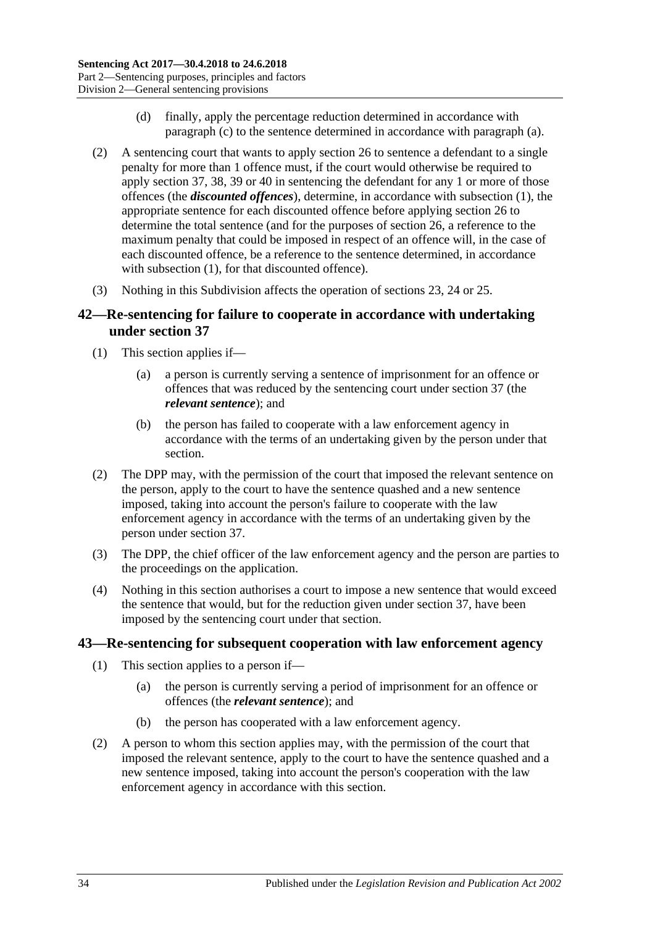- (d) finally, apply the percentage reduction determined in accordance with [paragraph](#page-32-2) (c) to the sentence determined in accordance with [paragraph](#page-32-3) (a).
- (2) A sentencing court that wants to apply [section](#page-20-0) 26 to sentence a defendant to a single penalty for more than 1 offence must, if the court would otherwise be required to apply [section](#page-27-2) 37, [38,](#page-28-0) [39](#page-28-1) or [40](#page-30-0) in sentencing the defendant for any 1 or more of those offences (the *discounted offences*), determine, in accordance with [subsection](#page-32-4) (1), the appropriate sentence for each discounted offence before applying [section](#page-20-0) 26 to determine the total sentence (and for the purposes of [section](#page-20-0) 26, a reference to the maximum penalty that could be imposed in respect of an offence will, in the case of each discounted offence, be a reference to the sentence determined, in accordance with [subsection](#page-32-4) (1), for that discounted offence).
- (3) Nothing in this Subdivision affects the operation of [sections 23,](#page-18-1) [24](#page-18-2) or [25.](#page-19-0)

## <span id="page-33-0"></span>**42—Re-sentencing for failure to cooperate in accordance with undertaking under [section](#page-27-2) 37**

- (1) This section applies if—
	- (a) a person is currently serving a sentence of imprisonment for an offence or offences that was reduced by the sentencing court under [section](#page-27-2) 37 (the *relevant sentence*); and
	- (b) the person has failed to cooperate with a law enforcement agency in accordance with the terms of an undertaking given by the person under that section.
- (2) The DPP may, with the permission of the court that imposed the relevant sentence on the person, apply to the court to have the sentence quashed and a new sentence imposed, taking into account the person's failure to cooperate with the law enforcement agency in accordance with the terms of an undertaking given by the person under [section](#page-27-2) 37.
- (3) The DPP, the chief officer of the law enforcement agency and the person are parties to the proceedings on the application.
- (4) Nothing in this section authorises a court to impose a new sentence that would exceed the sentence that would, but for the reduction given under [section](#page-27-2) 37, have been imposed by the sentencing court under that section.

## <span id="page-33-1"></span>**43—Re-sentencing for subsequent cooperation with law enforcement agency**

- (1) This section applies to a person if—
	- (a) the person is currently serving a period of imprisonment for an offence or offences (the *relevant sentence*); and
	- (b) the person has cooperated with a law enforcement agency.
- (2) A person to whom this section applies may, with the permission of the court that imposed the relevant sentence, apply to the court to have the sentence quashed and a new sentence imposed, taking into account the person's cooperation with the law enforcement agency in accordance with this section.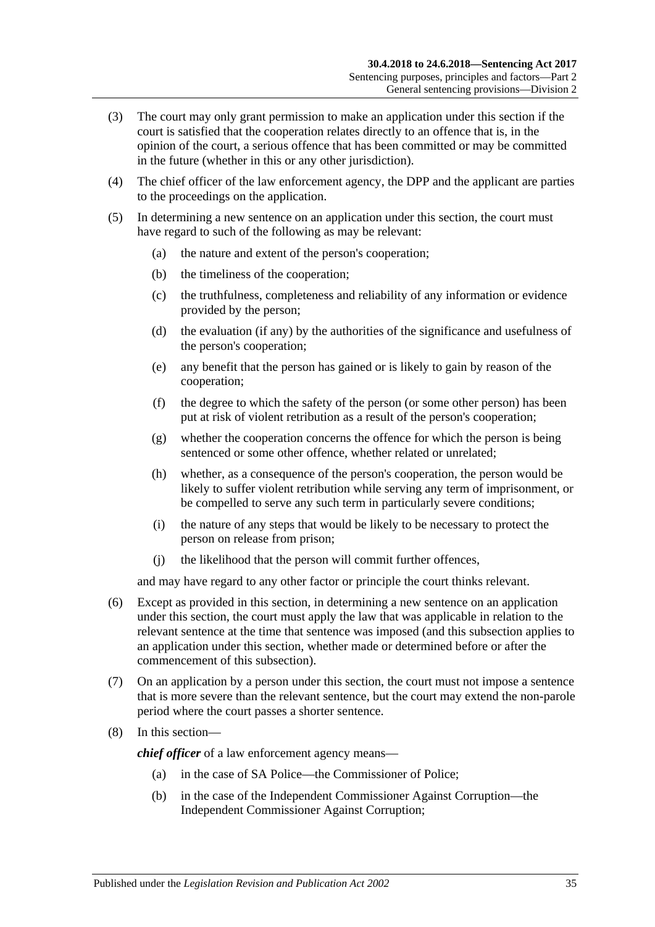- (3) The court may only grant permission to make an application under this section if the court is satisfied that the cooperation relates directly to an offence that is, in the opinion of the court, a serious offence that has been committed or may be committed in the future (whether in this or any other jurisdiction).
- (4) The chief officer of the law enforcement agency, the DPP and the applicant are parties to the proceedings on the application.
- (5) In determining a new sentence on an application under this section, the court must have regard to such of the following as may be relevant:
	- (a) the nature and extent of the person's cooperation;
	- (b) the timeliness of the cooperation;
	- (c) the truthfulness, completeness and reliability of any information or evidence provided by the person;
	- (d) the evaluation (if any) by the authorities of the significance and usefulness of the person's cooperation;
	- (e) any benefit that the person has gained or is likely to gain by reason of the cooperation;
	- (f) the degree to which the safety of the person (or some other person) has been put at risk of violent retribution as a result of the person's cooperation;
	- (g) whether the cooperation concerns the offence for which the person is being sentenced or some other offence, whether related or unrelated;
	- (h) whether, as a consequence of the person's cooperation, the person would be likely to suffer violent retribution while serving any term of imprisonment, or be compelled to serve any such term in particularly severe conditions;
	- (i) the nature of any steps that would be likely to be necessary to protect the person on release from prison;
	- (j) the likelihood that the person will commit further offences,

and may have regard to any other factor or principle the court thinks relevant.

- (6) Except as provided in this section, in determining a new sentence on an application under this section, the court must apply the law that was applicable in relation to the relevant sentence at the time that sentence was imposed (and this subsection applies to an application under this section, whether made or determined before or after the commencement of this subsection).
- (7) On an application by a person under this section, the court must not impose a sentence that is more severe than the relevant sentence, but the court may extend the non-parole period where the court passes a shorter sentence.
- (8) In this section—

*chief officer* of a law enforcement agency means—

- (a) in the case of SA Police—the Commissioner of Police;
- (b) in the case of the Independent Commissioner Against Corruption—the Independent Commissioner Against Corruption;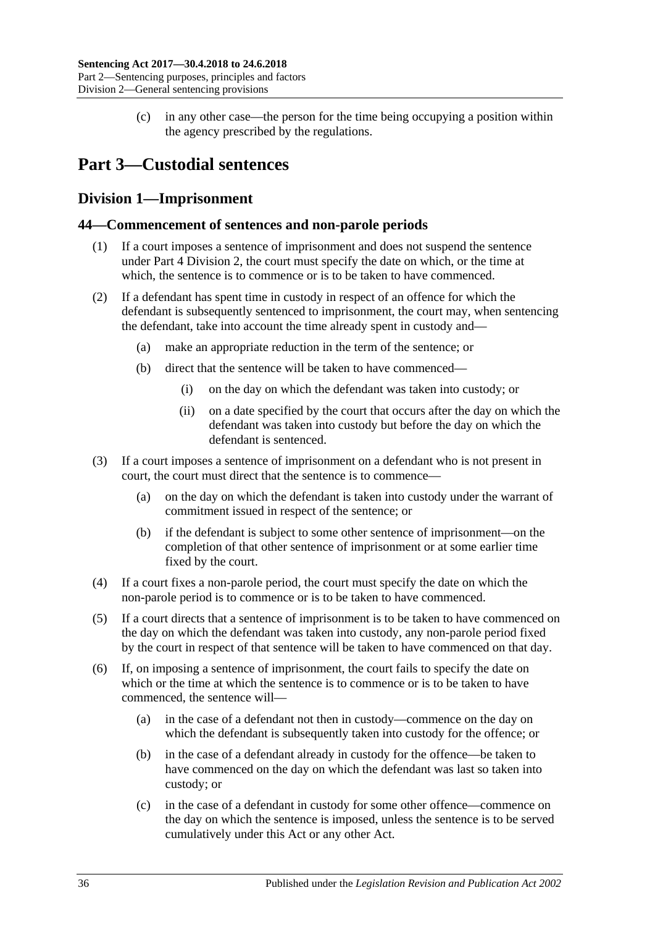(c) in any other case—the person for the time being occupying a position within the agency prescribed by the regulations.

# <span id="page-35-0"></span>**Part 3—Custodial sentences**

## <span id="page-35-1"></span>**Division 1—Imprisonment**

## <span id="page-35-2"></span>**44—Commencement of sentences and non-parole periods**

- (1) If a court imposes a sentence of imprisonment and does not suspend the sentence under Part [4 Division](#page-73-1) 2, the court must specify the date on which, or the time at which, the sentence is to commence or is to be taken to have commenced.
- (2) If a defendant has spent time in custody in respect of an offence for which the defendant is subsequently sentenced to imprisonment, the court may, when sentencing the defendant, take into account the time already spent in custody and—
	- (a) make an appropriate reduction in the term of the sentence; or
	- (b) direct that the sentence will be taken to have commenced—
		- (i) on the day on which the defendant was taken into custody; or
		- (ii) on a date specified by the court that occurs after the day on which the defendant was taken into custody but before the day on which the defendant is sentenced.
- (3) If a court imposes a sentence of imprisonment on a defendant who is not present in court, the court must direct that the sentence is to commence—
	- (a) on the day on which the defendant is taken into custody under the warrant of commitment issued in respect of the sentence; or
	- (b) if the defendant is subject to some other sentence of imprisonment—on the completion of that other sentence of imprisonment or at some earlier time fixed by the court.
- (4) If a court fixes a non-parole period, the court must specify the date on which the non-parole period is to commence or is to be taken to have commenced.
- (5) If a court directs that a sentence of imprisonment is to be taken to have commenced on the day on which the defendant was taken into custody, any non-parole period fixed by the court in respect of that sentence will be taken to have commenced on that day.
- (6) If, on imposing a sentence of imprisonment, the court fails to specify the date on which or the time at which the sentence is to commence or is to be taken to have commenced, the sentence will—
	- (a) in the case of a defendant not then in custody—commence on the day on which the defendant is subsequently taken into custody for the offence; or
	- (b) in the case of a defendant already in custody for the offence—be taken to have commenced on the day on which the defendant was last so taken into custody; or
	- (c) in the case of a defendant in custody for some other offence—commence on the day on which the sentence is imposed, unless the sentence is to be served cumulatively under this Act or any other Act.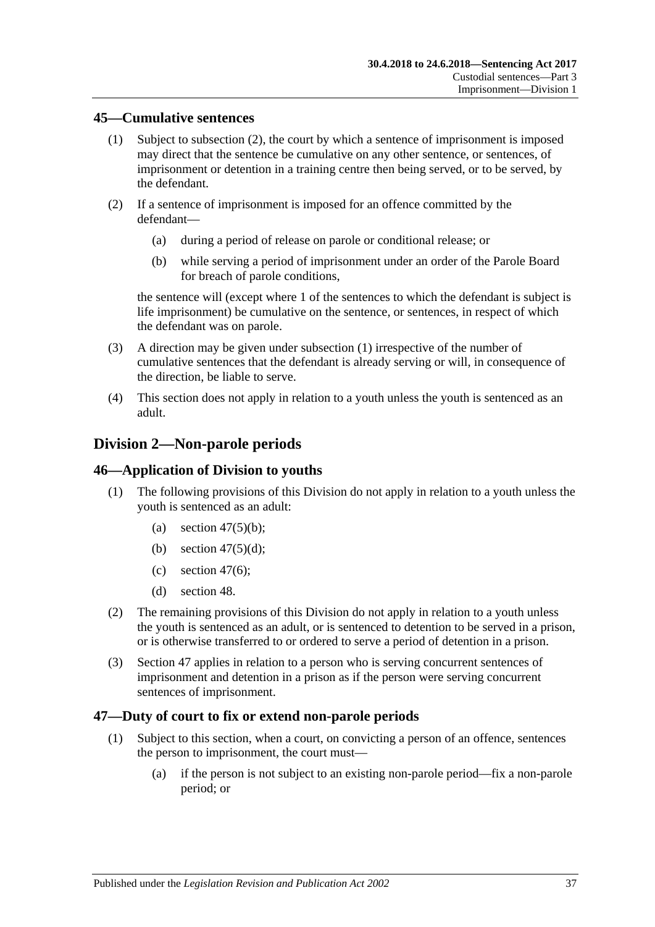### <span id="page-36-1"></span>**45—Cumulative sentences**

- (1) Subject to [subsection](#page-36-0) (2), the court by which a sentence of imprisonment is imposed may direct that the sentence be cumulative on any other sentence, or sentences, of imprisonment or detention in a training centre then being served, or to be served, by the defendant.
- <span id="page-36-0"></span>(2) If a sentence of imprisonment is imposed for an offence committed by the defendant—
	- (a) during a period of release on parole or conditional release; or
	- (b) while serving a period of imprisonment under an order of the Parole Board for breach of parole conditions,

the sentence will (except where 1 of the sentences to which the defendant is subject is life imprisonment) be cumulative on the sentence, or sentences, in respect of which the defendant was on parole.

- (3) A direction may be given under [subsection](#page-36-1) (1) irrespective of the number of cumulative sentences that the defendant is already serving or will, in consequence of the direction, be liable to serve.
- (4) This section does not apply in relation to a youth unless the youth is sentenced as an adult.

# **Division 2—Non-parole periods**

### **46—Application of Division to youths**

- (1) The following provisions of this Division do not apply in relation to a youth unless the youth is sentenced as an adult:
	- (a) section  $47(5)(b)$ ;
	- (b) section  $47(5)(d)$ ;
	- (c) [section](#page-38-0) 47 $(6)$ ;
	- (d) [section](#page-40-0) 48.
- (2) The remaining provisions of this Division do not apply in relation to a youth unless the youth is sentenced as an adult, or is sentenced to detention to be served in a prison, or is otherwise transferred to or ordered to serve a period of detention in a prison.
- (3) [Section](#page-36-2) 47 applies in relation to a person who is serving concurrent sentences of imprisonment and detention in a prison as if the person were serving concurrent sentences of imprisonment.

### <span id="page-36-2"></span>**47—Duty of court to fix or extend non-parole periods**

- <span id="page-36-3"></span>(1) Subject to this section, when a court, on convicting a person of an offence, sentences the person to imprisonment, the court must—
	- (a) if the person is not subject to an existing non-parole period—fix a non-parole period; or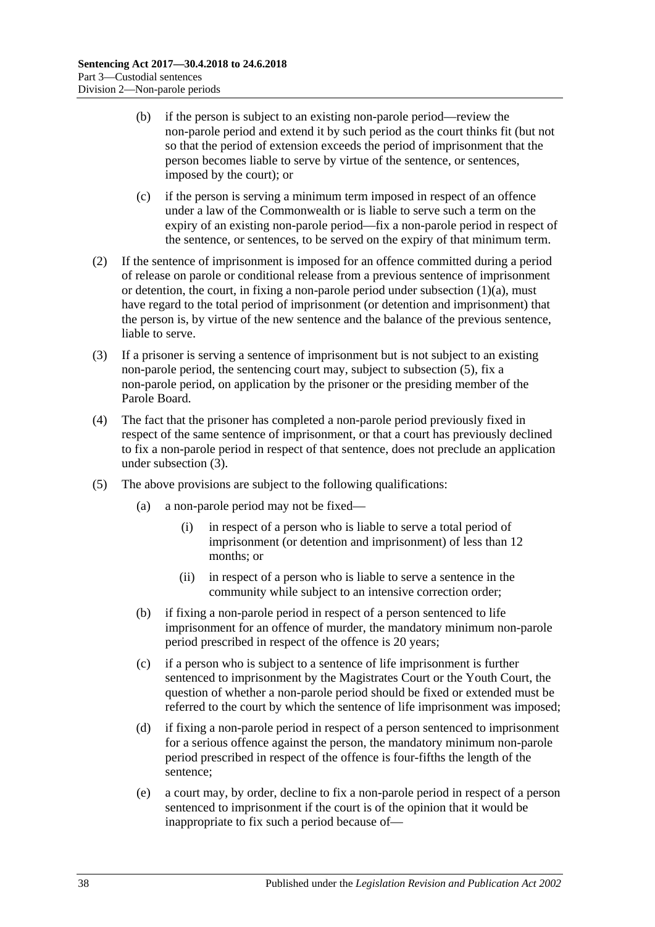- (b) if the person is subject to an existing non-parole period—review the non-parole period and extend it by such period as the court thinks fit (but not so that the period of extension exceeds the period of imprisonment that the person becomes liable to serve by virtue of the sentence, or sentences, imposed by the court); or
- (c) if the person is serving a minimum term imposed in respect of an offence under a law of the Commonwealth or is liable to serve such a term on the expiry of an existing non-parole period—fix a non-parole period in respect of the sentence, or sentences, to be served on the expiry of that minimum term.
- (2) If the sentence of imprisonment is imposed for an offence committed during a period of release on parole or conditional release from a previous sentence of imprisonment or detention, the court, in fixing a non-parole period under [subsection](#page-36-3)  $(1)(a)$ , must have regard to the total period of imprisonment (or detention and imprisonment) that the person is, by virtue of the new sentence and the balance of the previous sentence, liable to serve.
- <span id="page-37-3"></span>(3) If a prisoner is serving a sentence of imprisonment but is not subject to an existing non-parole period, the sentencing court may, subject to [subsection](#page-37-2) (5), fix a non-parole period, on application by the prisoner or the presiding member of the Parole Board.
- (4) The fact that the prisoner has completed a non-parole period previously fixed in respect of the same sentence of imprisonment, or that a court has previously declined to fix a non-parole period in respect of that sentence, does not preclude an application under [subsection](#page-37-3) (3).
- <span id="page-37-2"></span><span id="page-37-1"></span><span id="page-37-0"></span>(5) The above provisions are subject to the following qualifications:
	- (a) a non-parole period may not be fixed—
		- (i) in respect of a person who is liable to serve a total period of imprisonment (or detention and imprisonment) of less than 12 months; or
		- (ii) in respect of a person who is liable to serve a sentence in the community while subject to an intensive correction order;
	- (b) if fixing a non-parole period in respect of a person sentenced to life imprisonment for an offence of murder, the mandatory minimum non-parole period prescribed in respect of the offence is 20 years;
	- (c) if a person who is subject to a sentence of life imprisonment is further sentenced to imprisonment by the Magistrates Court or the Youth Court, the question of whether a non-parole period should be fixed or extended must be referred to the court by which the sentence of life imprisonment was imposed;
	- (d) if fixing a non-parole period in respect of a person sentenced to imprisonment for a serious offence against the person, the mandatory minimum non-parole period prescribed in respect of the offence is four-fifths the length of the sentence;
	- (e) a court may, by order, decline to fix a non-parole period in respect of a person sentenced to imprisonment if the court is of the opinion that it would be inappropriate to fix such a period because of—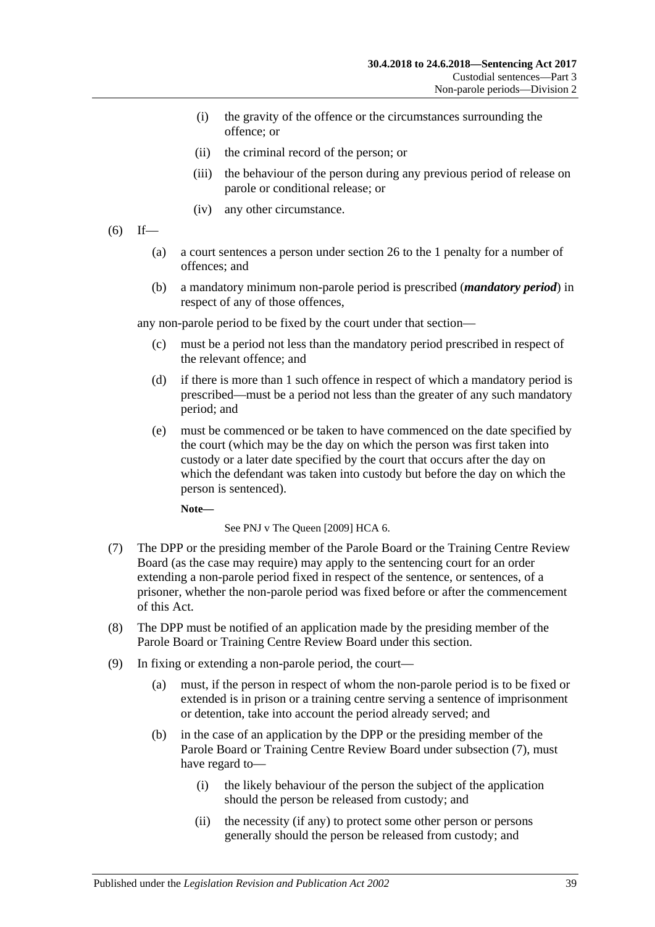- (i) the gravity of the offence or the circumstances surrounding the offence; or
- (ii) the criminal record of the person; or
- (iii) the behaviour of the person during any previous period of release on parole or conditional release; or
- (iv) any other circumstance.
- <span id="page-38-0"></span> $(6)$  If—
	- (a) a court sentences a person under [section](#page-20-0) 26 to the 1 penalty for a number of offences; and
	- (b) a mandatory minimum non-parole period is prescribed (*mandatory period*) in respect of any of those offences,

any non-parole period to be fixed by the court under that section—

- (c) must be a period not less than the mandatory period prescribed in respect of the relevant offence; and
- (d) if there is more than 1 such offence in respect of which a mandatory period is prescribed—must be a period not less than the greater of any such mandatory period; and
- (e) must be commenced or be taken to have commenced on the date specified by the court (which may be the day on which the person was first taken into custody or a later date specified by the court that occurs after the day on which the defendant was taken into custody but before the day on which the person is sentenced).

**Note—**

See PNJ v The Queen [2009] HCA 6.

- <span id="page-38-1"></span>(7) The DPP or the presiding member of the Parole Board or the Training Centre Review Board (as the case may require) may apply to the sentencing court for an order extending a non-parole period fixed in respect of the sentence, or sentences, of a prisoner, whether the non-parole period was fixed before or after the commencement of this Act.
- (8) The DPP must be notified of an application made by the presiding member of the Parole Board or Training Centre Review Board under this section.
- (9) In fixing or extending a non-parole period, the court—
	- (a) must, if the person in respect of whom the non-parole period is to be fixed or extended is in prison or a training centre serving a sentence of imprisonment or detention, take into account the period already served; and
	- (b) in the case of an application by the DPP or the presiding member of the Parole Board or Training Centre Review Board under [subsection](#page-38-1) (7), must have regard to—
		- (i) the likely behaviour of the person the subject of the application should the person be released from custody; and
		- (ii) the necessity (if any) to protect some other person or persons generally should the person be released from custody; and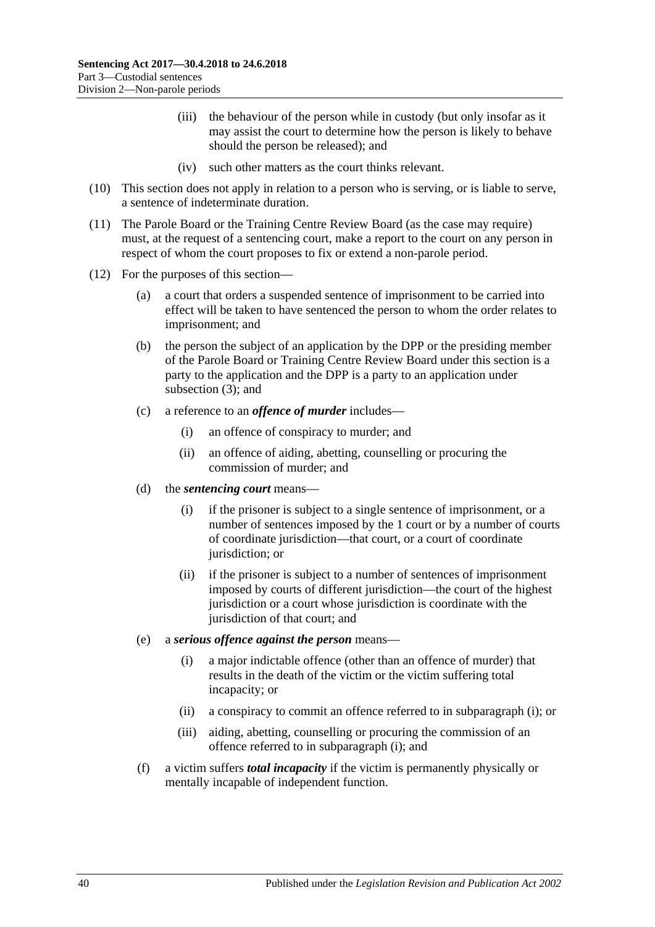- (iii) the behaviour of the person while in custody (but only insofar as it may assist the court to determine how the person is likely to behave should the person be released); and
- (iv) such other matters as the court thinks relevant.
- (10) This section does not apply in relation to a person who is serving, or is liable to serve, a sentence of indeterminate duration.
- (11) The Parole Board or the Training Centre Review Board (as the case may require) must, at the request of a sentencing court, make a report to the court on any person in respect of whom the court proposes to fix or extend a non-parole period.
- <span id="page-39-0"></span>(12) For the purposes of this section—
	- (a) a court that orders a suspended sentence of imprisonment to be carried into effect will be taken to have sentenced the person to whom the order relates to imprisonment; and
	- (b) the person the subject of an application by the DPP or the presiding member of the Parole Board or Training Centre Review Board under this section is a party to the application and the DPP is a party to an application under [subsection](#page-37-3) (3); and
	- (c) a reference to an *offence of murder* includes—
		- (i) an offence of conspiracy to murder; and
		- (ii) an offence of aiding, abetting, counselling or procuring the commission of murder; and
	- (d) the *sentencing court* means—
		- (i) if the prisoner is subject to a single sentence of imprisonment, or a number of sentences imposed by the 1 court or by a number of courts of coordinate jurisdiction—that court, or a court of coordinate jurisdiction; or
		- (ii) if the prisoner is subject to a number of sentences of imprisonment imposed by courts of different jurisdiction—the court of the highest jurisdiction or a court whose jurisdiction is coordinate with the jurisdiction of that court; and
	- (e) a *serious offence against the person* means—
		- (i) a major indictable offence (other than an offence of murder) that results in the death of the victim or the victim suffering total incapacity; or
		- (ii) a conspiracy to commit an offence referred to in [subparagraph](#page-39-0) (i); or
		- (iii) aiding, abetting, counselling or procuring the commission of an offence referred to in [subparagraph](#page-39-0) (i); and
	- (f) a victim suffers *total incapacity* if the victim is permanently physically or mentally incapable of independent function.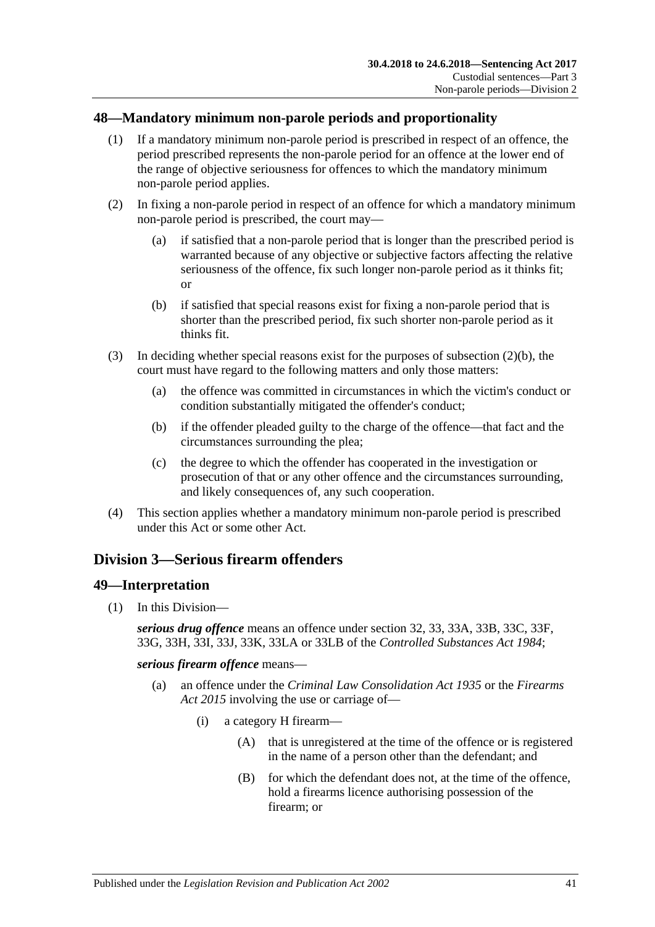## <span id="page-40-0"></span>**48—Mandatory minimum non-parole periods and proportionality**

- (1) If a mandatory minimum non-parole period is prescribed in respect of an offence, the period prescribed represents the non-parole period for an offence at the lower end of the range of objective seriousness for offences to which the mandatory minimum non-parole period applies.
- (2) In fixing a non-parole period in respect of an offence for which a mandatory minimum non-parole period is prescribed, the court may—
	- (a) if satisfied that a non-parole period that is longer than the prescribed period is warranted because of any objective or subjective factors affecting the relative seriousness of the offence, fix such longer non-parole period as it thinks fit; or
	- (b) if satisfied that special reasons exist for fixing a non-parole period that is shorter than the prescribed period, fix such shorter non-parole period as it thinks fit.
- <span id="page-40-1"></span>(3) In deciding whether special reasons exist for the purposes of [subsection](#page-40-1)  $(2)(b)$ , the court must have regard to the following matters and only those matters:
	- (a) the offence was committed in circumstances in which the victim's conduct or condition substantially mitigated the offender's conduct;
	- (b) if the offender pleaded guilty to the charge of the offence—that fact and the circumstances surrounding the plea;
	- (c) the degree to which the offender has cooperated in the investigation or prosecution of that or any other offence and the circumstances surrounding, and likely consequences of, any such cooperation.
- (4) This section applies whether a mandatory minimum non-parole period is prescribed under this Act or some other Act.

# <span id="page-40-2"></span>**Division 3—Serious firearm offenders**

## **49—Interpretation**

(1) In this Division—

*serious drug offence* means an offence under section 32, 33, 33A, 33B, 33C, 33F, 33G, 33H, 33I, 33J, 33K, 33LA or 33LB of the *[Controlled Substances Act](http://www.legislation.sa.gov.au/index.aspx?action=legref&type=act&legtitle=Controlled%20Substances%20Act%201984) 1984*;

*serious firearm offence* means—

- (a) an offence under the *[Criminal Law Consolidation Act](http://www.legislation.sa.gov.au/index.aspx?action=legref&type=act&legtitle=Criminal%20Law%20Consolidation%20Act%201935) 1935* or the *[Firearms](http://www.legislation.sa.gov.au/index.aspx?action=legref&type=act&legtitle=Firearms%20Act%202015)  Act [2015](http://www.legislation.sa.gov.au/index.aspx?action=legref&type=act&legtitle=Firearms%20Act%202015)* involving the use or carriage of—
	- (i) a category H firearm—
		- (A) that is unregistered at the time of the offence or is registered in the name of a person other than the defendant; and
		- (B) for which the defendant does not, at the time of the offence, hold a firearms licence authorising possession of the firearm; or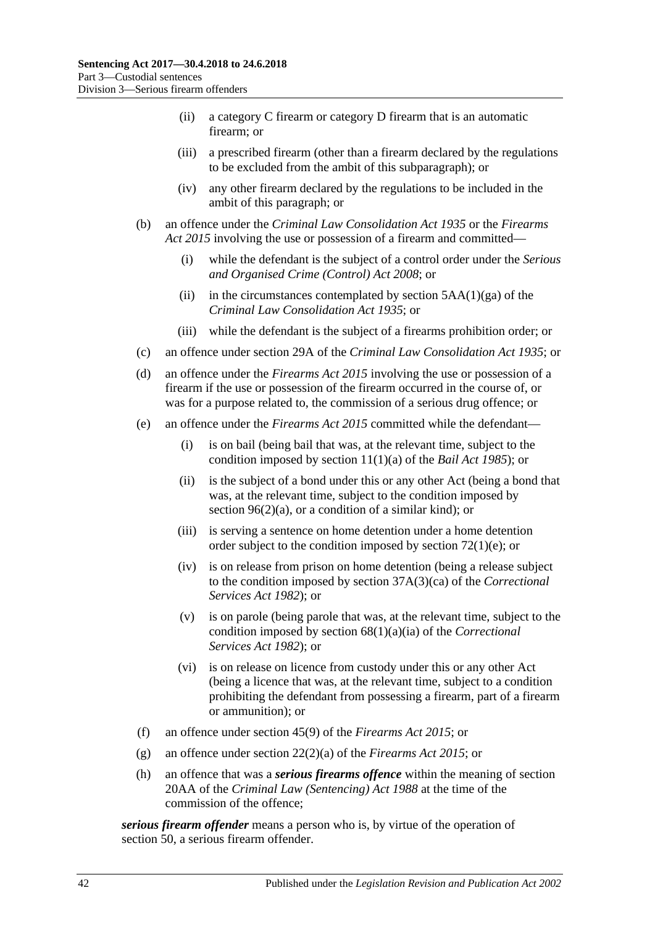- (ii) a category C firearm or category D firearm that is an automatic firearm; or
- (iii) a prescribed firearm (other than a firearm declared by the regulations to be excluded from the ambit of this subparagraph); or
- (iv) any other firearm declared by the regulations to be included in the ambit of this paragraph; or
- (b) an offence under the *[Criminal Law Consolidation Act](http://www.legislation.sa.gov.au/index.aspx?action=legref&type=act&legtitle=Criminal%20Law%20Consolidation%20Act%201935) 1935* or the *[Firearms](http://www.legislation.sa.gov.au/index.aspx?action=legref&type=act&legtitle=Firearms%20Act%202015)  Act [2015](http://www.legislation.sa.gov.au/index.aspx?action=legref&type=act&legtitle=Firearms%20Act%202015)* involving the use or possession of a firearm and committed—
	- (i) while the defendant is the subject of a control order under the *[Serious](http://www.legislation.sa.gov.au/index.aspx?action=legref&type=act&legtitle=Serious%20and%20Organised%20Crime%20(Control)%20Act%202008)  [and Organised Crime \(Control\) Act](http://www.legislation.sa.gov.au/index.aspx?action=legref&type=act&legtitle=Serious%20and%20Organised%20Crime%20(Control)%20Act%202008) 2008*; or
	- (ii) in the circumstances contemplated by section  $5AA(1)(ga)$  of the *[Criminal Law Consolidation Act](http://www.legislation.sa.gov.au/index.aspx?action=legref&type=act&legtitle=Criminal%20Law%20Consolidation%20Act%201935) 1935*; or
	- (iii) while the defendant is the subject of a firearms prohibition order; or
- (c) an offence under section 29A of the *[Criminal Law Consolidation Act](http://www.legislation.sa.gov.au/index.aspx?action=legref&type=act&legtitle=Criminal%20Law%20Consolidation%20Act%201935) 1935*; or
- (d) an offence under the *[Firearms Act](http://www.legislation.sa.gov.au/index.aspx?action=legref&type=act&legtitle=Firearms%20Act%202015) 2015* involving the use or possession of a firearm if the use or possession of the firearm occurred in the course of, or was for a purpose related to, the commission of a serious drug offence; or
- (e) an offence under the *[Firearms Act](http://www.legislation.sa.gov.au/index.aspx?action=legref&type=act&legtitle=Firearms%20Act%202015) 2015* committed while the defendant—
	- (i) is on bail (being bail that was, at the relevant time, subject to the condition imposed by section 11(1)(a) of the *[Bail Act](http://www.legislation.sa.gov.au/index.aspx?action=legref&type=act&legtitle=Bail%20Act%201985) 1985*); or
	- (ii) is the subject of a bond under this or any other Act (being a bond that was, at the relevant time, subject to the condition imposed by section  $96(2)(a)$ , or a condition of a similar kind); or
	- (iii) is serving a sentence on home detention under a home detention order subject to the condition imposed by section [72\(1\)\(e\);](#page-60-0) or
	- (iv) is on release from prison on home detention (being a release subject to the condition imposed by section 37A(3)(ca) of the *[Correctional](http://www.legislation.sa.gov.au/index.aspx?action=legref&type=act&legtitle=Correctional%20Services%20Act%201982)  [Services Act](http://www.legislation.sa.gov.au/index.aspx?action=legref&type=act&legtitle=Correctional%20Services%20Act%201982) 1982*); or
	- (v) is on parole (being parole that was, at the relevant time, subject to the condition imposed by section 68(1)(a)(ia) of the *[Correctional](http://www.legislation.sa.gov.au/index.aspx?action=legref&type=act&legtitle=Correctional%20Services%20Act%201982)  [Services Act](http://www.legislation.sa.gov.au/index.aspx?action=legref&type=act&legtitle=Correctional%20Services%20Act%201982) 1982*); or
	- (vi) is on release on licence from custody under this or any other Act (being a licence that was, at the relevant time, subject to a condition prohibiting the defendant from possessing a firearm, part of a firearm or ammunition); or
- (f) an offence under section 45(9) of the *[Firearms Act](http://www.legislation.sa.gov.au/index.aspx?action=legref&type=act&legtitle=Firearms%20Act%202015) 2015*; or
- (g) an offence under section 22(2)(a) of the *[Firearms Act](http://www.legislation.sa.gov.au/index.aspx?action=legref&type=act&legtitle=Firearms%20Act%202015) 2015*; or
- (h) an offence that was a *serious firearms offence* within the meaning of section 20AA of the *[Criminal Law \(Sentencing\) Act](http://www.legislation.sa.gov.au/index.aspx?action=legref&type=act&legtitle=Criminal%20Law%20(Sentencing)%20Act%201988) 1988* at the time of the commission of the offence;

*serious firearm offender* means a person who is, by virtue of the operation of [section](#page-42-0) 50, a serious firearm offender.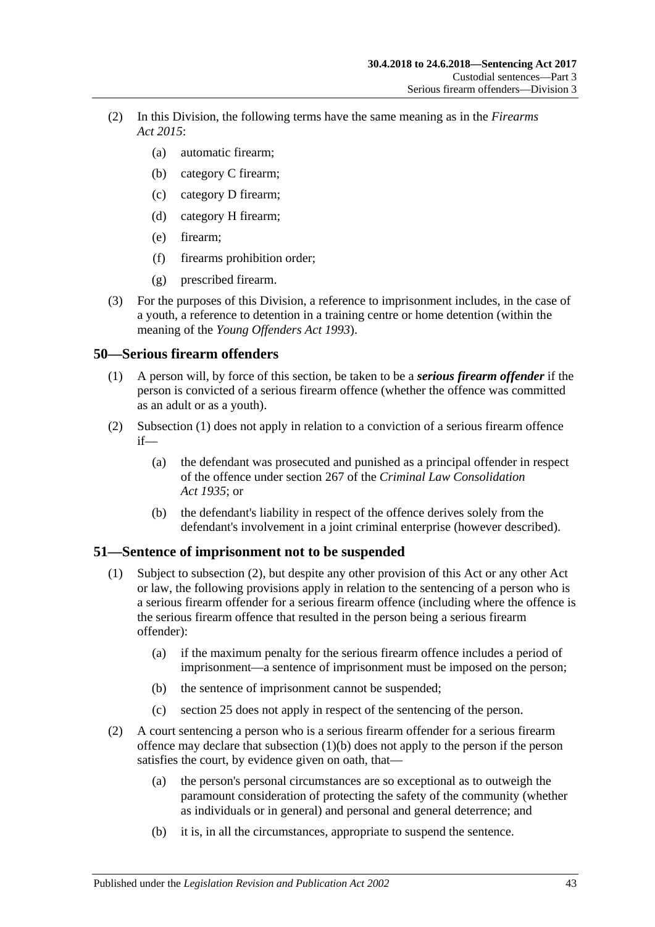- (2) In this Division, the following terms have the same meaning as in the *[Firearms](http://www.legislation.sa.gov.au/index.aspx?action=legref&type=act&legtitle=Firearms%20Act%202015)  Act [2015](http://www.legislation.sa.gov.au/index.aspx?action=legref&type=act&legtitle=Firearms%20Act%202015)*:
	- (a) automatic firearm;
	- (b) category C firearm;
	- (c) category D firearm;
	- (d) category H firearm;
	- (e) firearm;
	- (f) firearms prohibition order;
	- (g) prescribed firearm.
- (3) For the purposes of this Division, a reference to imprisonment includes, in the case of a youth, a reference to detention in a training centre or home detention (within the meaning of the *[Young Offenders Act](http://www.legislation.sa.gov.au/index.aspx?action=legref&type=act&legtitle=Young%20Offenders%20Act%201993) 1993*).

## <span id="page-42-1"></span><span id="page-42-0"></span>**50—Serious firearm offenders**

- (1) A person will, by force of this section, be taken to be a *serious firearm offender* if the person is convicted of a serious firearm offence (whether the offence was committed as an adult or as a youth).
- (2) [Subsection](#page-42-1) (1) does not apply in relation to a conviction of a serious firearm offence if—
	- (a) the defendant was prosecuted and punished as a principal offender in respect of the offence under section 267 of the *[Criminal Law Consolidation](http://www.legislation.sa.gov.au/index.aspx?action=legref&type=act&legtitle=Criminal%20Law%20Consolidation%20Act%201935)  Act [1935](http://www.legislation.sa.gov.au/index.aspx?action=legref&type=act&legtitle=Criminal%20Law%20Consolidation%20Act%201935)*; or
	- (b) the defendant's liability in respect of the offence derives solely from the defendant's involvement in a joint criminal enterprise (however described).

## **51—Sentence of imprisonment not to be suspended**

- (1) Subject to [subsection](#page-42-2) (2), but despite any other provision of this Act or any other Act or law, the following provisions apply in relation to the sentencing of a person who is a serious firearm offender for a serious firearm offence (including where the offence is the serious firearm offence that resulted in the person being a serious firearm offender):
	- (a) if the maximum penalty for the serious firearm offence includes a period of imprisonment—a sentence of imprisonment must be imposed on the person;
	- (b) the sentence of imprisonment cannot be suspended;
	- (c) [section](#page-19-0) 25 does not apply in respect of the sentencing of the person.
- <span id="page-42-3"></span><span id="page-42-2"></span>(2) A court sentencing a person who is a serious firearm offender for a serious firearm offence may declare that [subsection](#page-42-3) (1)(b) does not apply to the person if the person satisfies the court, by evidence given on oath, that—
	- (a) the person's personal circumstances are so exceptional as to outweigh the paramount consideration of protecting the safety of the community (whether as individuals or in general) and personal and general deterrence; and
	- (b) it is, in all the circumstances, appropriate to suspend the sentence.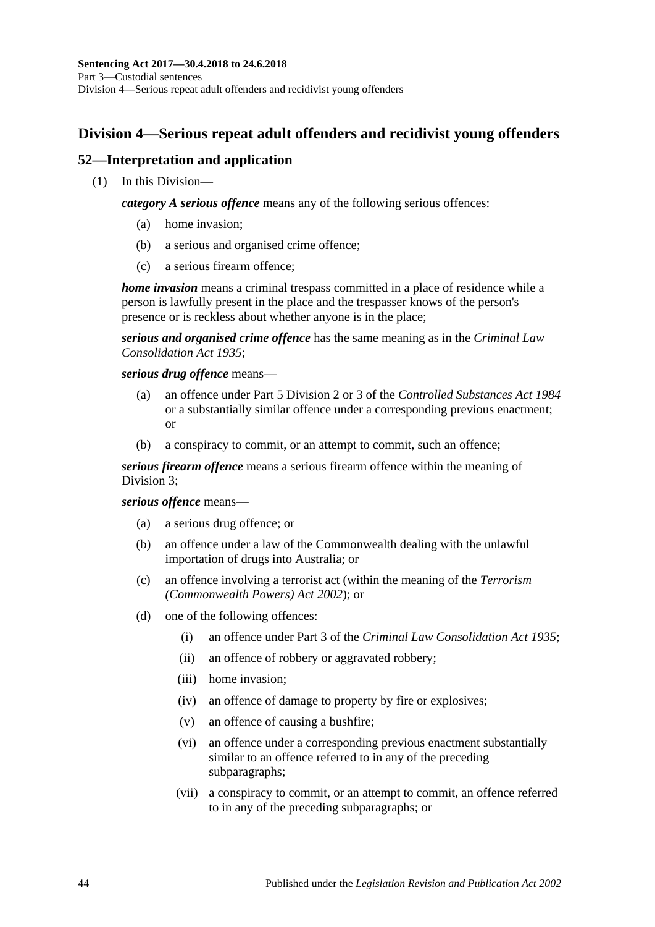# **Division 4—Serious repeat adult offenders and recidivist young offenders**

# **52—Interpretation and application**

(1) In this Division—

*category A serious offence* means any of the following serious offences:

- (a) home invasion;
- (b) a serious and organised crime offence;
- (c) a serious firearm offence;

*home invasion* means a criminal trespass committed in a place of residence while a person is lawfully present in the place and the trespasser knows of the person's presence or is reckless about whether anyone is in the place;

*serious and organised crime offence* has the same meaning as in the *[Criminal Law](http://www.legislation.sa.gov.au/index.aspx?action=legref&type=act&legtitle=Criminal%20Law%20Consolidation%20Act%201935)  [Consolidation Act](http://www.legislation.sa.gov.au/index.aspx?action=legref&type=act&legtitle=Criminal%20Law%20Consolidation%20Act%201935) 1935*;

*serious drug offence* means—

- (a) an offence under Part 5 Division 2 or 3 of the *[Controlled Substances Act](http://www.legislation.sa.gov.au/index.aspx?action=legref&type=act&legtitle=Controlled%20Substances%20Act%201984) 1984* or a substantially similar offence under a corresponding previous enactment; or
- (b) a conspiracy to commit, or an attempt to commit, such an offence;

*serious firearm offence* means a serious firearm offence within the meaning of [Division](#page-40-2) 3;

### *serious offence* means—

- (a) a serious drug offence; or
- (b) an offence under a law of the Commonwealth dealing with the unlawful importation of drugs into Australia; or
- (c) an offence involving a terrorist act (within the meaning of the *Terrorism (Commonwealth Powers) Act 2002*); or
- <span id="page-43-0"></span>(d) one of the following offences:
	- (i) an offence under Part 3 of the *[Criminal Law Consolidation Act](http://www.legislation.sa.gov.au/index.aspx?action=legref&type=act&legtitle=Criminal%20Law%20Consolidation%20Act%201935) 1935*;
	- (ii) an offence of robbery or aggravated robbery;
	- (iii) home invasion;
	- (iv) an offence of damage to property by fire or explosives;
	- (v) an offence of causing a bushfire;
	- (vi) an offence under a corresponding previous enactment substantially similar to an offence referred to in any of the preceding subparagraphs;
	- (vii) a conspiracy to commit, or an attempt to commit, an offence referred to in any of the preceding subparagraphs; or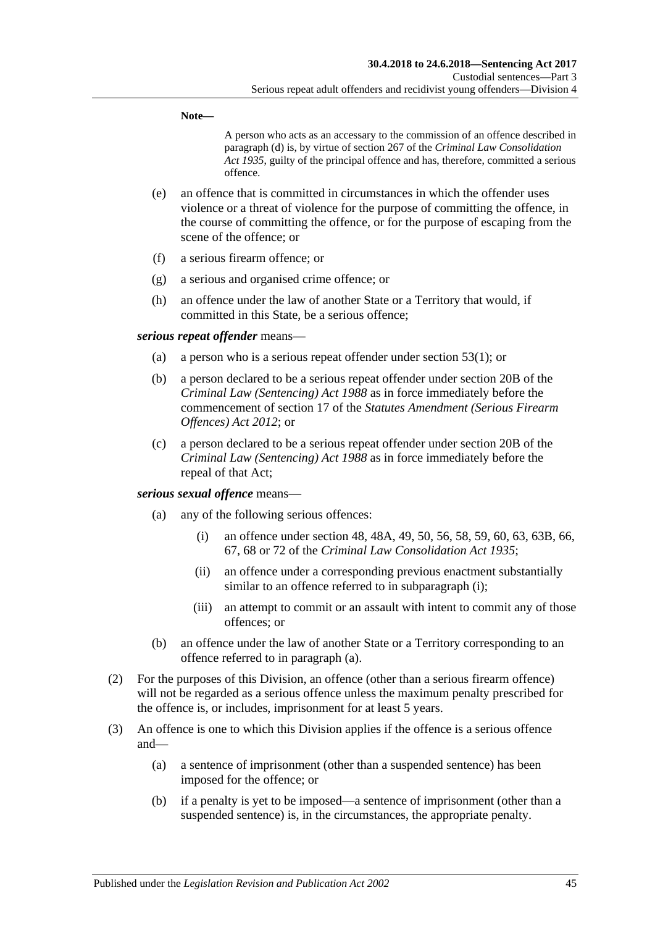**Note—**

A person who acts as an accessary to the commission of an offence described in [paragraph](#page-43-0) (d) is, by virtue of section 267 of the *[Criminal Law Consolidation](http://www.legislation.sa.gov.au/index.aspx?action=legref&type=act&legtitle=Criminal%20Law%20Consolidation%20Act%201935)  Act [1935](http://www.legislation.sa.gov.au/index.aspx?action=legref&type=act&legtitle=Criminal%20Law%20Consolidation%20Act%201935)*, guilty of the principal offence and has, therefore, committed a serious offence.

- (e) an offence that is committed in circumstances in which the offender uses violence or a threat of violence for the purpose of committing the offence, in the course of committing the offence, or for the purpose of escaping from the scene of the offence; or
- (f) a serious firearm offence; or
- (g) a serious and organised crime offence; or
- (h) an offence under the law of another State or a Territory that would, if committed in this State, be a serious offence;

### *serious repeat offender* means—

- (a) a person who is a serious repeat offender under [section](#page-45-0) 53(1); or
- (b) a person declared to be a serious repeat offender under section 20B of the *[Criminal Law \(Sentencing\) Act](http://www.legislation.sa.gov.au/index.aspx?action=legref&type=act&legtitle=Criminal%20Law%20(Sentencing)%20Act%201988) 1988* as in force immediately before the commencement of section 17 of the *[Statutes Amendment \(Serious Firearm](http://www.legislation.sa.gov.au/index.aspx?action=legref&type=act&legtitle=Statutes%20Amendment%20(Serious%20Firearm%20Offences)%20Act%202012)  [Offences\) Act](http://www.legislation.sa.gov.au/index.aspx?action=legref&type=act&legtitle=Statutes%20Amendment%20(Serious%20Firearm%20Offences)%20Act%202012) 2012*; or
- (c) a person declared to be a serious repeat offender under section 20B of the *[Criminal Law \(Sentencing\) Act](http://www.legislation.sa.gov.au/index.aspx?action=legref&type=act&legtitle=Criminal%20Law%20(Sentencing)%20Act%201988) 1988* as in force immediately before the repeal of that Act;

### <span id="page-44-1"></span><span id="page-44-0"></span>*serious sexual offence* means—

- (a) any of the following serious offences:
	- (i) an offence under section 48, 48A, 49, 50, 56, 58, 59, 60, 63, 63B, 66, 67, 68 or 72 of the *[Criminal Law Consolidation Act](http://www.legislation.sa.gov.au/index.aspx?action=legref&type=act&legtitle=Criminal%20Law%20Consolidation%20Act%201935) 1935*;
	- (ii) an offence under a corresponding previous enactment substantially similar to an offence referred to in [subparagraph](#page-44-0) (i);
	- (iii) an attempt to commit or an assault with intent to commit any of those offences; or
- (b) an offence under the law of another State or a Territory corresponding to an offence referred to in [paragraph](#page-44-1) (a).
- (2) For the purposes of this Division, an offence (other than a serious firearm offence) will not be regarded as a serious offence unless the maximum penalty prescribed for the offence is, or includes, imprisonment for at least 5 years.
- (3) An offence is one to which this Division applies if the offence is a serious offence and—
	- (a) a sentence of imprisonment (other than a suspended sentence) has been imposed for the offence; or
	- (b) if a penalty is yet to be imposed—a sentence of imprisonment (other than a suspended sentence) is, in the circumstances, the appropriate penalty.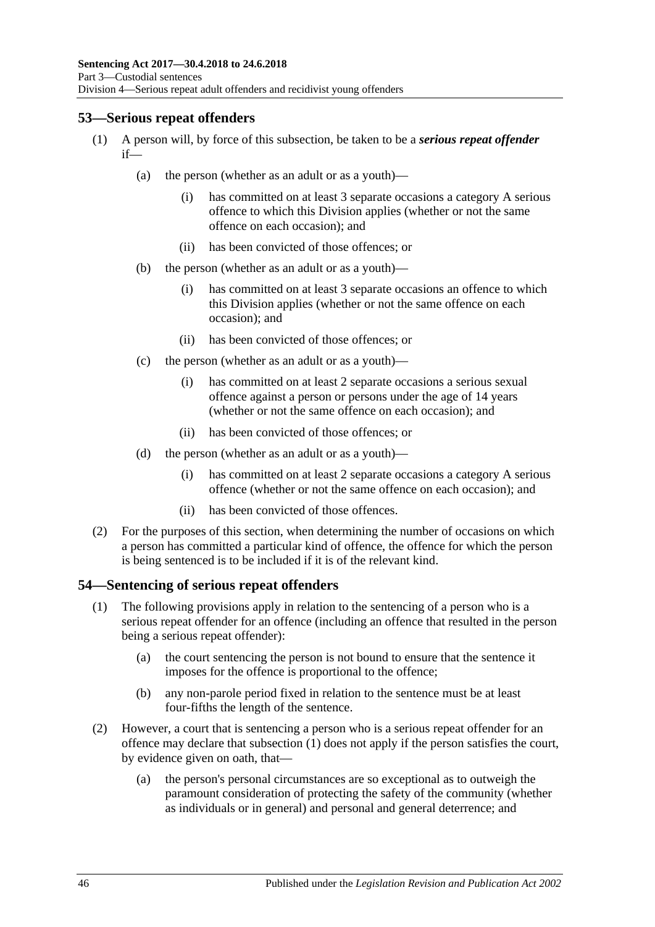# <span id="page-45-0"></span>**53—Serious repeat offenders**

- (1) A person will, by force of this subsection, be taken to be a *serious repeat offender* if—
	- (a) the person (whether as an adult or as a youth)—
		- (i) has committed on at least 3 separate occasions a category A serious offence to which this Division applies (whether or not the same offence on each occasion); and
		- (ii) has been convicted of those offences; or
	- (b) the person (whether as an adult or as a youth)—
		- (i) has committed on at least 3 separate occasions an offence to which this Division applies (whether or not the same offence on each occasion); and
		- (ii) has been convicted of those offences; or
	- (c) the person (whether as an adult or as a youth)—
		- (i) has committed on at least 2 separate occasions a serious sexual offence against a person or persons under the age of 14 years (whether or not the same offence on each occasion); and
		- (ii) has been convicted of those offences; or
	- (d) the person (whether as an adult or as a youth)—
		- (i) has committed on at least 2 separate occasions a category A serious offence (whether or not the same offence on each occasion); and
		- (ii) has been convicted of those offences.
- (2) For the purposes of this section, when determining the number of occasions on which a person has committed a particular kind of offence, the offence for which the person is being sentenced is to be included if it is of the relevant kind.

## <span id="page-45-1"></span>**54—Sentencing of serious repeat offenders**

- (1) The following provisions apply in relation to the sentencing of a person who is a serious repeat offender for an offence (including an offence that resulted in the person being a serious repeat offender):
	- (a) the court sentencing the person is not bound to ensure that the sentence it imposes for the offence is proportional to the offence;
	- (b) any non-parole period fixed in relation to the sentence must be at least four-fifths the length of the sentence.
- (2) However, a court that is sentencing a person who is a serious repeat offender for an offence may declare that [subsection](#page-45-1) (1) does not apply if the person satisfies the court, by evidence given on oath, that—
	- (a) the person's personal circumstances are so exceptional as to outweigh the paramount consideration of protecting the safety of the community (whether as individuals or in general) and personal and general deterrence; and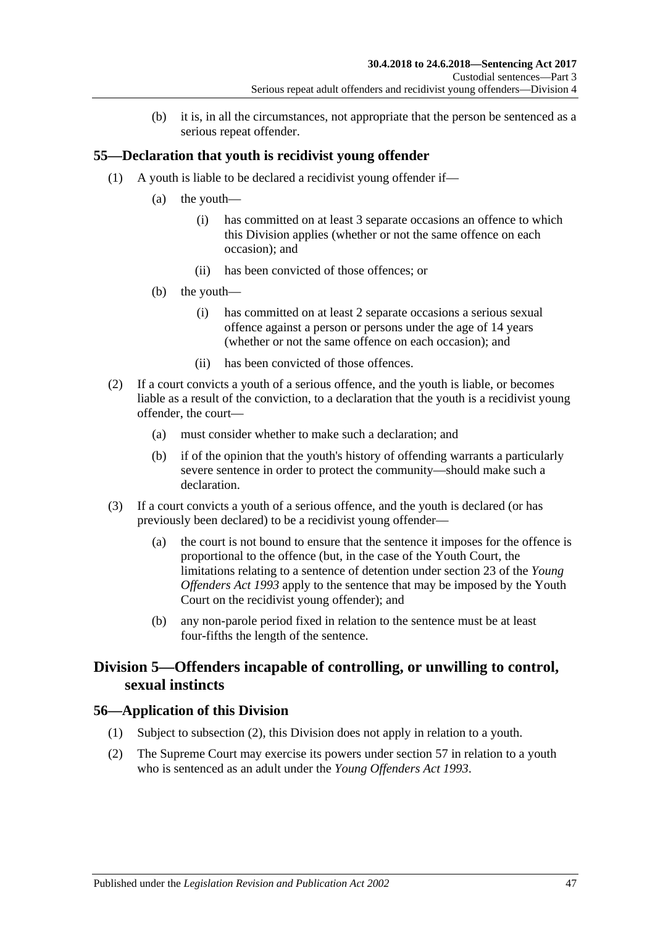(b) it is, in all the circumstances, not appropriate that the person be sentenced as a serious repeat offender.

# **55—Declaration that youth is recidivist young offender**

- (1) A youth is liable to be declared a recidivist young offender if—
	- (a) the youth—
		- (i) has committed on at least 3 separate occasions an offence to which this Division applies (whether or not the same offence on each occasion); and
		- (ii) has been convicted of those offences; or
	- (b) the youth—
		- (i) has committed on at least 2 separate occasions a serious sexual offence against a person or persons under the age of 14 years (whether or not the same offence on each occasion); and
		- (ii) has been convicted of those offences.
- (2) If a court convicts a youth of a serious offence, and the youth is liable, or becomes liable as a result of the conviction, to a declaration that the youth is a recidivist young offender, the court—
	- (a) must consider whether to make such a declaration; and
	- (b) if of the opinion that the youth's history of offending warrants a particularly severe sentence in order to protect the community—should make such a declaration.
- (3) If a court convicts a youth of a serious offence, and the youth is declared (or has previously been declared) to be a recidivist young offender—
	- (a) the court is not bound to ensure that the sentence it imposes for the offence is proportional to the offence (but, in the case of the Youth Court, the limitations relating to a sentence of detention under section 23 of the *[Young](http://www.legislation.sa.gov.au/index.aspx?action=legref&type=act&legtitle=Young%20Offenders%20Act%201993)  [Offenders Act](http://www.legislation.sa.gov.au/index.aspx?action=legref&type=act&legtitle=Young%20Offenders%20Act%201993) 1993* apply to the sentence that may be imposed by the Youth Court on the recidivist young offender); and
	- (b) any non-parole period fixed in relation to the sentence must be at least four-fifths the length of the sentence.

# **Division 5—Offenders incapable of controlling, or unwilling to control, sexual instincts**

## **56—Application of this Division**

- (1) Subject to [subsection](#page-46-0) (2), this Division does not apply in relation to a youth.
- <span id="page-46-0"></span>(2) The Supreme Court may exercise its powers under [section](#page-47-0) 57 in relation to a youth who is sentenced as an adult under the *[Young Offenders Act](http://www.legislation.sa.gov.au/index.aspx?action=legref&type=act&legtitle=Young%20Offenders%20Act%201993) 1993*.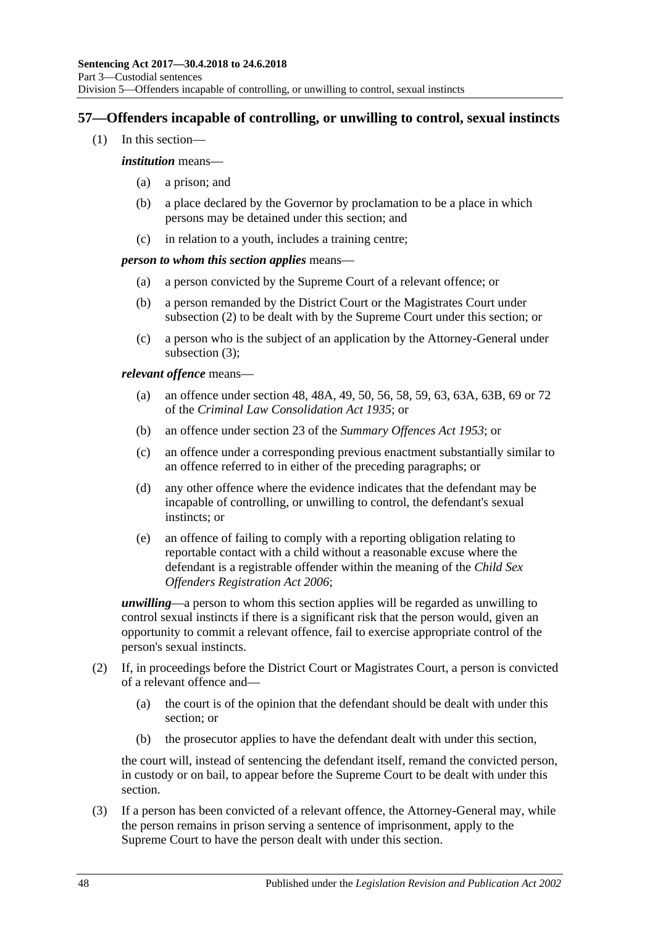# <span id="page-47-0"></span>**57—Offenders incapable of controlling, or unwilling to control, sexual instincts**

(1) In this section—

### *institution* means—

- (a) a prison; and
- (b) a place declared by the Governor by proclamation to be a place in which persons may be detained under this section; and
- (c) in relation to a youth, includes a training centre;

### *person to whom this section applies* means—

- (a) a person convicted by the Supreme Court of a relevant offence; or
- (b) a person remanded by the District Court or the Magistrates Court under [subsection](#page-47-1) (2) to be dealt with by the Supreme Court under this section; or
- (c) a person who is the subject of an application by the Attorney-General under [subsection](#page-47-2) (3);

### *relevant offence* means—

- (a) an offence under section 48, 48A, 49, 50, 56, 58, 59, 63, 63A, 63B, 69 or 72 of the *[Criminal Law Consolidation Act](http://www.legislation.sa.gov.au/index.aspx?action=legref&type=act&legtitle=Criminal%20Law%20Consolidation%20Act%201935) 1935*; or
- (b) an offence under section 23 of the *[Summary Offences Act](http://www.legislation.sa.gov.au/index.aspx?action=legref&type=act&legtitle=Summary%20Offences%20Act%201953) 1953*; or
- (c) an offence under a corresponding previous enactment substantially similar to an offence referred to in either of the preceding paragraphs; or
- (d) any other offence where the evidence indicates that the defendant may be incapable of controlling, or unwilling to control, the defendant's sexual instincts; or
- (e) an offence of failing to comply with a reporting obligation relating to reportable contact with a child without a reasonable excuse where the defendant is a registrable offender within the meaning of the *[Child Sex](http://www.legislation.sa.gov.au/index.aspx?action=legref&type=act&legtitle=Child%20Sex%20Offenders%20Registration%20Act%202006)  [Offenders Registration Act](http://www.legislation.sa.gov.au/index.aspx?action=legref&type=act&legtitle=Child%20Sex%20Offenders%20Registration%20Act%202006) 2006*;

*unwilling*—a person to whom this section applies will be regarded as unwilling to control sexual instincts if there is a significant risk that the person would, given an opportunity to commit a relevant offence, fail to exercise appropriate control of the person's sexual instincts.

- <span id="page-47-1"></span>(2) If, in proceedings before the District Court or Magistrates Court, a person is convicted of a relevant offence and—
	- (a) the court is of the opinion that the defendant should be dealt with under this section; or
	- (b) the prosecutor applies to have the defendant dealt with under this section,

the court will, instead of sentencing the defendant itself, remand the convicted person, in custody or on bail, to appear before the Supreme Court to be dealt with under this section.

<span id="page-47-2"></span>(3) If a person has been convicted of a relevant offence, the Attorney-General may, while the person remains in prison serving a sentence of imprisonment, apply to the Supreme Court to have the person dealt with under this section.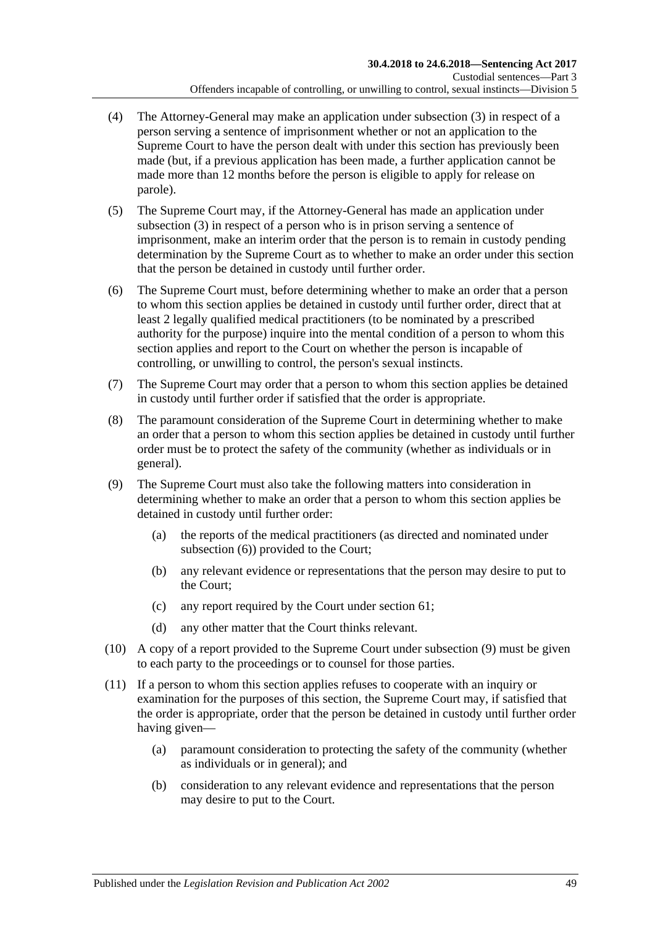- (4) The Attorney-General may make an application under [subsection](#page-47-2) (3) in respect of a person serving a sentence of imprisonment whether or not an application to the Supreme Court to have the person dealt with under this section has previously been made (but, if a previous application has been made, a further application cannot be made more than 12 months before the person is eligible to apply for release on parole).
- (5) The Supreme Court may, if the Attorney-General has made an application under [subsection](#page-47-2) (3) in respect of a person who is in prison serving a sentence of imprisonment, make an interim order that the person is to remain in custody pending determination by the Supreme Court as to whether to make an order under this section that the person be detained in custody until further order.
- <span id="page-48-0"></span>(6) The Supreme Court must, before determining whether to make an order that a person to whom this section applies be detained in custody until further order, direct that at least 2 legally qualified medical practitioners (to be nominated by a prescribed authority for the purpose) inquire into the mental condition of a person to whom this section applies and report to the Court on whether the person is incapable of controlling, or unwilling to control, the person's sexual instincts.
- (7) The Supreme Court may order that a person to whom this section applies be detained in custody until further order if satisfied that the order is appropriate.
- (8) The paramount consideration of the Supreme Court in determining whether to make an order that a person to whom this section applies be detained in custody until further order must be to protect the safety of the community (whether as individuals or in general).
- <span id="page-48-1"></span>(9) The Supreme Court must also take the following matters into consideration in determining whether to make an order that a person to whom this section applies be detained in custody until further order:
	- (a) the reports of the medical practitioners (as directed and nominated under [subsection](#page-48-0) (6)) provided to the Court;
	- (b) any relevant evidence or representations that the person may desire to put to the Court;
	- (c) any report required by the Court under [section](#page-53-0) 61;
	- (d) any other matter that the Court thinks relevant.
- (10) A copy of a report provided to the Supreme Court under [subsection](#page-48-1) (9) must be given to each party to the proceedings or to counsel for those parties.
- (11) If a person to whom this section applies refuses to cooperate with an inquiry or examination for the purposes of this section, the Supreme Court may, if satisfied that the order is appropriate, order that the person be detained in custody until further order having given—
	- (a) paramount consideration to protecting the safety of the community (whether as individuals or in general); and
	- (b) consideration to any relevant evidence and representations that the person may desire to put to the Court.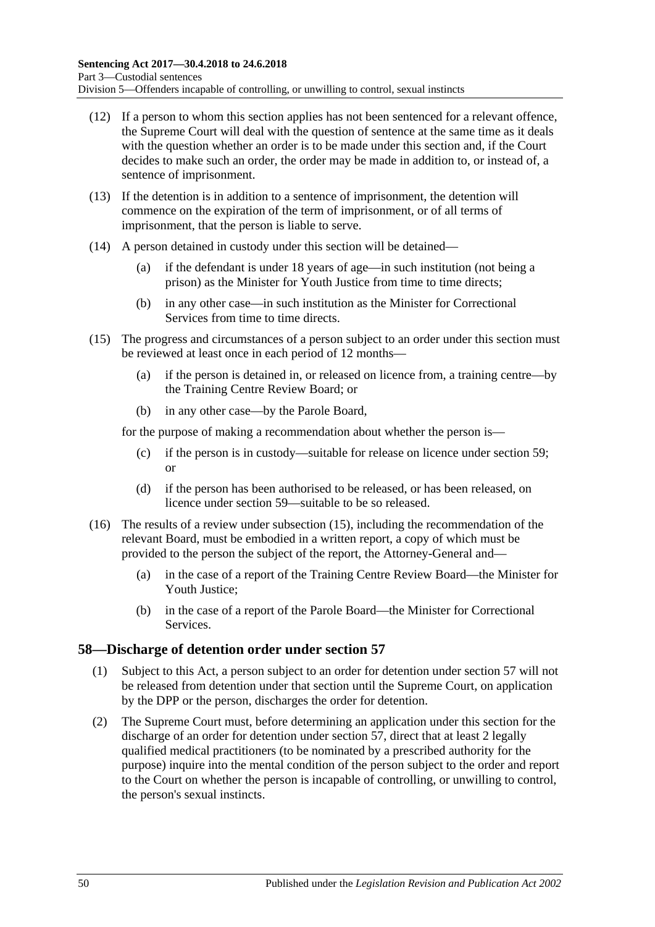- (12) If a person to whom this section applies has not been sentenced for a relevant offence, the Supreme Court will deal with the question of sentence at the same time as it deals with the question whether an order is to be made under this section and, if the Court decides to make such an order, the order may be made in addition to, or instead of, a sentence of imprisonment.
- (13) If the detention is in addition to a sentence of imprisonment, the detention will commence on the expiration of the term of imprisonment, or of all terms of imprisonment, that the person is liable to serve.
- (14) A person detained in custody under this section will be detained—
	- (a) if the defendant is under 18 years of age—in such institution (not being a prison) as the Minister for Youth Justice from time to time directs;
	- (b) in any other case—in such institution as the Minister for Correctional Services from time to time directs.
- <span id="page-49-0"></span>(15) The progress and circumstances of a person subject to an order under this section must be reviewed at least once in each period of 12 months—
	- (a) if the person is detained in, or released on licence from, a training centre—by the Training Centre Review Board; or
	- (b) in any other case—by the Parole Board,

for the purpose of making a recommendation about whether the person is—

- (c) if the person is in custody—suitable for release on licence under [section](#page-50-0) 59; or
- (d) if the person has been authorised to be released, or has been released, on licence under [section](#page-50-0) 59—suitable to be so released.
- (16) The results of a review under [subsection](#page-49-0) (15), including the recommendation of the relevant Board, must be embodied in a written report, a copy of which must be provided to the person the subject of the report, the Attorney-General and—
	- (a) in the case of a report of the Training Centre Review Board—the Minister for Youth Justice;
	- (b) in the case of a report of the Parole Board—the Minister for Correctional Services.

## **58—Discharge of detention order under [section](#page-47-0) 57**

- (1) Subject to this Act, a person subject to an order for detention under [section](#page-47-0) 57 will not be released from detention under that section until the Supreme Court, on application by the DPP or the person, discharges the order for detention.
- <span id="page-49-1"></span>(2) The Supreme Court must, before determining an application under this section for the discharge of an order for detention under [section](#page-47-0) 57, direct that at least 2 legally qualified medical practitioners (to be nominated by a prescribed authority for the purpose) inquire into the mental condition of the person subject to the order and report to the Court on whether the person is incapable of controlling, or unwilling to control, the person's sexual instincts.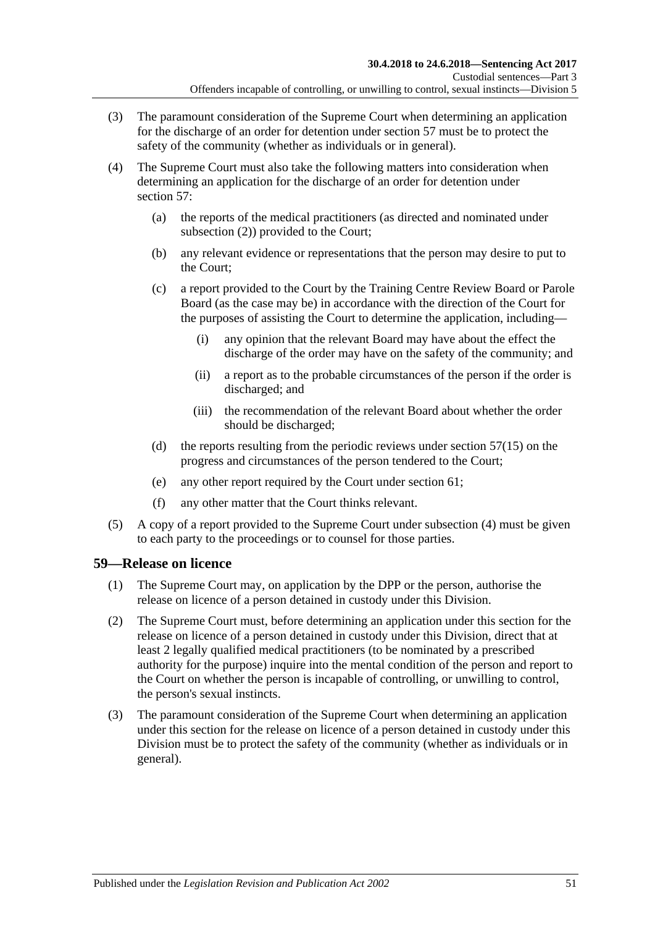- (3) The paramount consideration of the Supreme Court when determining an application for the discharge of an order for detention under [section](#page-47-0) 57 must be to protect the safety of the community (whether as individuals or in general).
- <span id="page-50-1"></span>(4) The Supreme Court must also take the following matters into consideration when determining an application for the discharge of an order for detention under [section](#page-47-0) 57:
	- (a) the reports of the medical practitioners (as directed and nominated under [subsection](#page-49-1) (2)) provided to the Court;
	- (b) any relevant evidence or representations that the person may desire to put to the Court;
	- (c) a report provided to the Court by the Training Centre Review Board or Parole Board (as the case may be) in accordance with the direction of the Court for the purposes of assisting the Court to determine the application, including—
		- (i) any opinion that the relevant Board may have about the effect the discharge of the order may have on the safety of the community; and
		- (ii) a report as to the probable circumstances of the person if the order is discharged; and
		- (iii) the recommendation of the relevant Board about whether the order should be discharged;
	- (d) the reports resulting from the periodic reviews under [section](#page-49-0) 57(15) on the progress and circumstances of the person tendered to the Court;
	- (e) any other report required by the Court under [section](#page-53-0) 61;
	- (f) any other matter that the Court thinks relevant.
- (5) A copy of a report provided to the Supreme Court under [subsection](#page-50-1) (4) must be given to each party to the proceedings or to counsel for those parties.

## <span id="page-50-3"></span><span id="page-50-0"></span>**59—Release on licence**

- (1) The Supreme Court may, on application by the DPP or the person, authorise the release on licence of a person detained in custody under this Division.
- <span id="page-50-2"></span>(2) The Supreme Court must, before determining an application under this section for the release on licence of a person detained in custody under this Division, direct that at least 2 legally qualified medical practitioners (to be nominated by a prescribed authority for the purpose) inquire into the mental condition of the person and report to the Court on whether the person is incapable of controlling, or unwilling to control, the person's sexual instincts.
- (3) The paramount consideration of the Supreme Court when determining an application under this section for the release on licence of a person detained in custody under this Division must be to protect the safety of the community (whether as individuals or in general).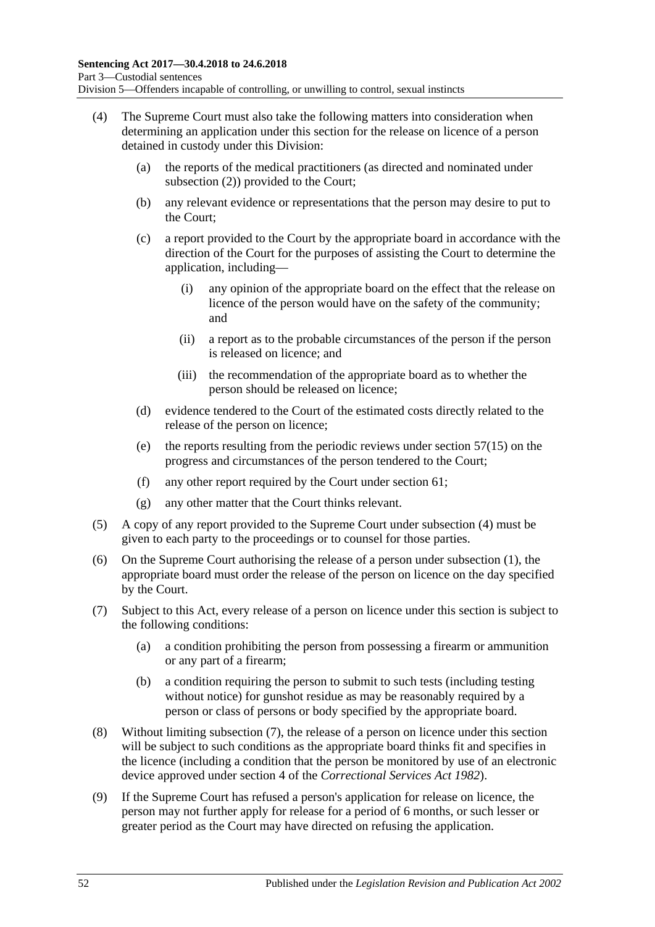- <span id="page-51-0"></span>(4) The Supreme Court must also take the following matters into consideration when determining an application under this section for the release on licence of a person detained in custody under this Division:
	- (a) the reports of the medical practitioners (as directed and nominated under [subsection](#page-50-2) (2)) provided to the Court;
	- (b) any relevant evidence or representations that the person may desire to put to the Court;
	- (c) a report provided to the Court by the appropriate board in accordance with the direction of the Court for the purposes of assisting the Court to determine the application, including—
		- (i) any opinion of the appropriate board on the effect that the release on licence of the person would have on the safety of the community; and
		- (ii) a report as to the probable circumstances of the person if the person is released on licence; and
		- (iii) the recommendation of the appropriate board as to whether the person should be released on licence;
	- (d) evidence tendered to the Court of the estimated costs directly related to the release of the person on licence;
	- (e) the reports resulting from the periodic reviews under [section](#page-49-0) 57(15) on the progress and circumstances of the person tendered to the Court;
	- (f) any other report required by the Court under [section](#page-53-0) 61;
	- (g) any other matter that the Court thinks relevant.
- (5) A copy of any report provided to the Supreme Court under [subsection](#page-51-0) (4) must be given to each party to the proceedings or to counsel for those parties.
- (6) On the Supreme Court authorising the release of a person under [subsection](#page-50-3) (1), the appropriate board must order the release of the person on licence on the day specified by the Court.
- <span id="page-51-2"></span><span id="page-51-1"></span>(7) Subject to this Act, every release of a person on licence under this section is subject to the following conditions:
	- (a) a condition prohibiting the person from possessing a firearm or ammunition or any part of a firearm;
	- (b) a condition requiring the person to submit to such tests (including testing without notice) for gunshot residue as may be reasonably required by a person or class of persons or body specified by the appropriate board.
- (8) Without limiting [subsection](#page-51-1) (7), the release of a person on licence under this section will be subject to such conditions as the appropriate board thinks fit and specifies in the licence (including a condition that the person be monitored by use of an electronic device approved under section 4 of the *[Correctional Services Act](http://www.legislation.sa.gov.au/index.aspx?action=legref&type=act&legtitle=Correctional%20Services%20Act%201982) 1982*).
- (9) If the Supreme Court has refused a person's application for release on licence, the person may not further apply for release for a period of 6 months, or such lesser or greater period as the Court may have directed on refusing the application.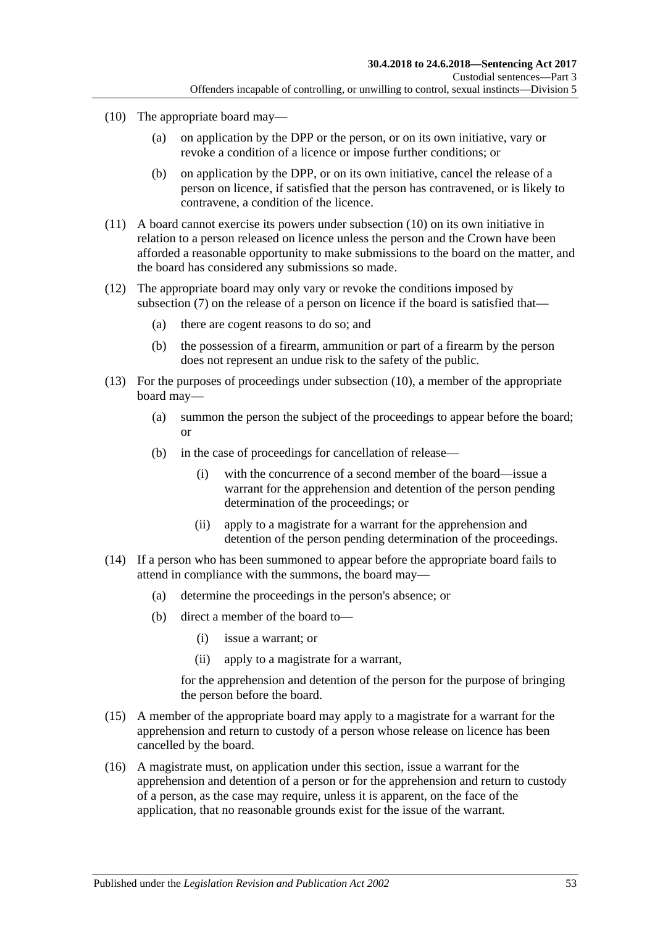- <span id="page-52-0"></span>(10) The appropriate board may—
	- (a) on application by the DPP or the person, or on its own initiative, vary or revoke a condition of a licence or impose further conditions; or
	- (b) on application by the DPP, or on its own initiative, cancel the release of a person on licence, if satisfied that the person has contravened, or is likely to contravene, a condition of the licence.
- (11) A board cannot exercise its powers under [subsection](#page-52-0) (10) on its own initiative in relation to a person released on licence unless the person and the Crown have been afforded a reasonable opportunity to make submissions to the board on the matter, and the board has considered any submissions so made.
- (12) The appropriate board may only vary or revoke the conditions imposed by [subsection](#page-51-1) (7) on the release of a person on licence if the board is satisfied that—
	- (a) there are cogent reasons to do so; and
	- (b) the possession of a firearm, ammunition or part of a firearm by the person does not represent an undue risk to the safety of the public.
- (13) For the purposes of proceedings under [subsection](#page-52-0) (10), a member of the appropriate board may—
	- (a) summon the person the subject of the proceedings to appear before the board; or
	- (b) in the case of proceedings for cancellation of release—
		- (i) with the concurrence of a second member of the board—issue a warrant for the apprehension and detention of the person pending determination of the proceedings; or
		- (ii) apply to a magistrate for a warrant for the apprehension and detention of the person pending determination of the proceedings.
- (14) If a person who has been summoned to appear before the appropriate board fails to attend in compliance with the summons, the board may—
	- (a) determine the proceedings in the person's absence; or
	- (b) direct a member of the board to—
		- (i) issue a warrant; or
		- (ii) apply to a magistrate for a warrant,

for the apprehension and detention of the person for the purpose of bringing the person before the board.

- (15) A member of the appropriate board may apply to a magistrate for a warrant for the apprehension and return to custody of a person whose release on licence has been cancelled by the board.
- (16) A magistrate must, on application under this section, issue a warrant for the apprehension and detention of a person or for the apprehension and return to custody of a person, as the case may require, unless it is apparent, on the face of the application, that no reasonable grounds exist for the issue of the warrant.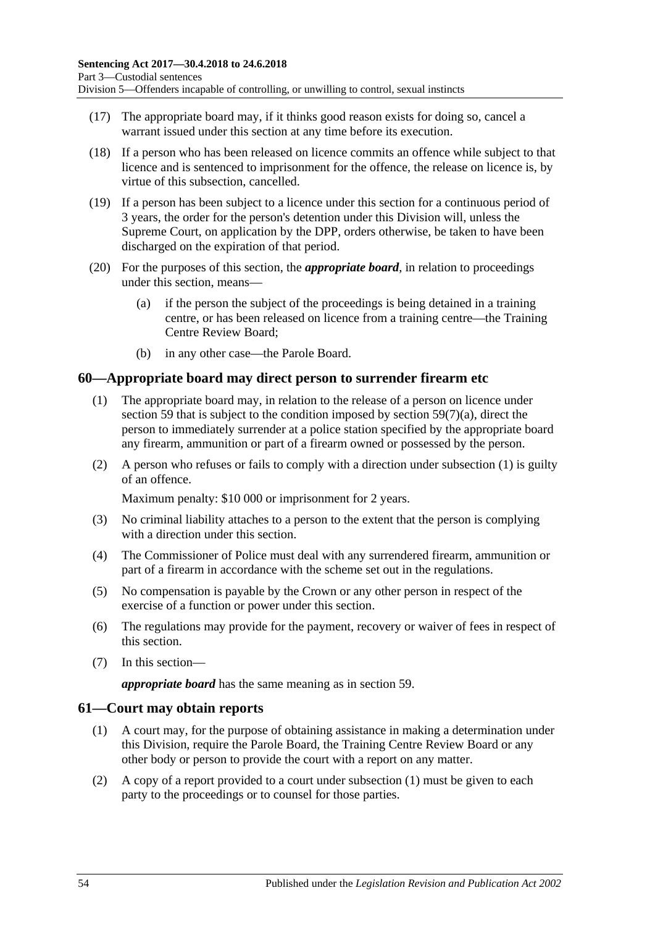- (17) The appropriate board may, if it thinks good reason exists for doing so, cancel a warrant issued under this section at any time before its execution.
- (18) If a person who has been released on licence commits an offence while subject to that licence and is sentenced to imprisonment for the offence, the release on licence is, by virtue of this subsection, cancelled.
- <span id="page-53-3"></span>(19) If a person has been subject to a licence under this section for a continuous period of 3 years, the order for the person's detention under this Division will, unless the Supreme Court, on application by the DPP, orders otherwise, be taken to have been discharged on the expiration of that period.
- (20) For the purposes of this section, the *appropriate board*, in relation to proceedings under this section, means—
	- (a) if the person the subject of the proceedings is being detained in a training centre, or has been released on licence from a training centre—the Training Centre Review Board;
	- (b) in any other case—the Parole Board.

## <span id="page-53-1"></span>**60—Appropriate board may direct person to surrender firearm etc**

- (1) The appropriate board may, in relation to the release of a person on licence under [section](#page-50-0) 59 that is subject to the condition imposed by section [59\(7\)\(a\),](#page-51-2) direct the person to immediately surrender at a police station specified by the appropriate board any firearm, ammunition or part of a firearm owned or possessed by the person.
- (2) A person who refuses or fails to comply with a direction under [subsection](#page-53-1) (1) is guilty of an offence.

Maximum penalty: \$10 000 or imprisonment for 2 years.

- (3) No criminal liability attaches to a person to the extent that the person is complying with a direction under this section.
- (4) The Commissioner of Police must deal with any surrendered firearm, ammunition or part of a firearm in accordance with the scheme set out in the regulations.
- (5) No compensation is payable by the Crown or any other person in respect of the exercise of a function or power under this section.
- (6) The regulations may provide for the payment, recovery or waiver of fees in respect of this section.
- (7) In this section—

*appropriate board* has the same meaning as in [section](#page-50-0) 59.

### <span id="page-53-2"></span><span id="page-53-0"></span>**61—Court may obtain reports**

- (1) A court may, for the purpose of obtaining assistance in making a determination under this Division, require the Parole Board, the Training Centre Review Board or any other body or person to provide the court with a report on any matter.
- (2) A copy of a report provided to a court under [subsection](#page-53-2) (1) must be given to each party to the proceedings or to counsel for those parties.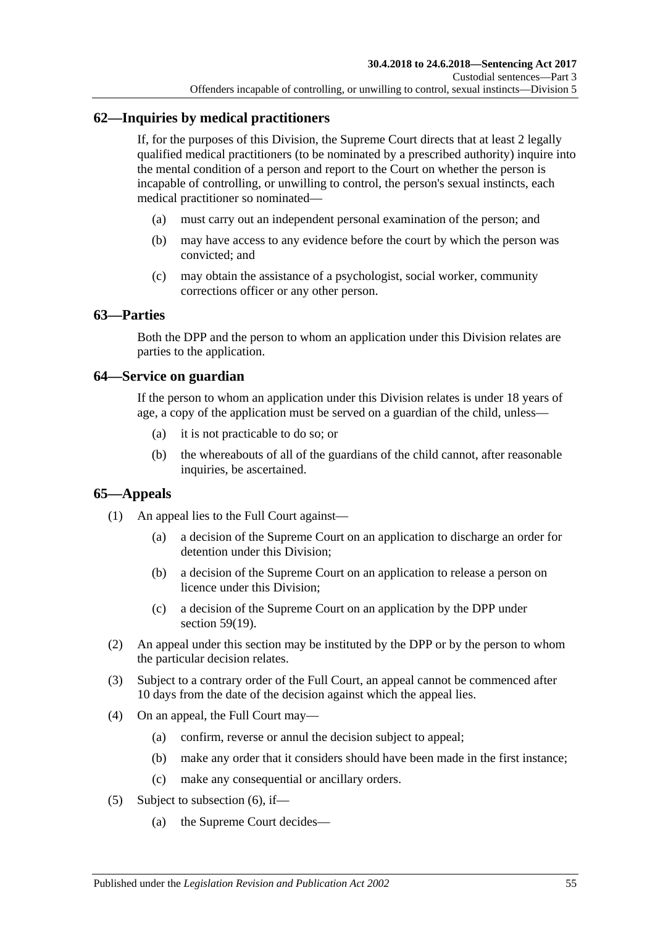# **62—Inquiries by medical practitioners**

If, for the purposes of this Division, the Supreme Court directs that at least 2 legally qualified medical practitioners (to be nominated by a prescribed authority) inquire into the mental condition of a person and report to the Court on whether the person is incapable of controlling, or unwilling to control, the person's sexual instincts, each medical practitioner so nominated—

- (a) must carry out an independent personal examination of the person; and
- (b) may have access to any evidence before the court by which the person was convicted; and
- (c) may obtain the assistance of a psychologist, social worker, community corrections officer or any other person.

## **63—Parties**

Both the DPP and the person to whom an application under this Division relates are parties to the application.

## **64—Service on guardian**

If the person to whom an application under this Division relates is under 18 years of age, a copy of the application must be served on a guardian of the child, unless—

- (a) it is not practicable to do so; or
- (b) the whereabouts of all of the guardians of the child cannot, after reasonable inquiries, be ascertained.

## **65—Appeals**

- (1) An appeal lies to the Full Court against—
	- (a) a decision of the Supreme Court on an application to discharge an order for detention under this Division;
	- (b) a decision of the Supreme Court on an application to release a person on licence under this Division;
	- (c) a decision of the Supreme Court on an application by the DPP under section [59\(19\).](#page-53-3)
- (2) An appeal under this section may be instituted by the DPP or by the person to whom the particular decision relates.
- (3) Subject to a contrary order of the Full Court, an appeal cannot be commenced after 10 days from the date of the decision against which the appeal lies.
- (4) On an appeal, the Full Court may—
	- (a) confirm, reverse or annul the decision subject to appeal;
	- (b) make any order that it considers should have been made in the first instance;
	- (c) make any consequential or ancillary orders.
- <span id="page-54-0"></span>(5) Subject to [subsection](#page-55-0) (6), if—
	- (a) the Supreme Court decides—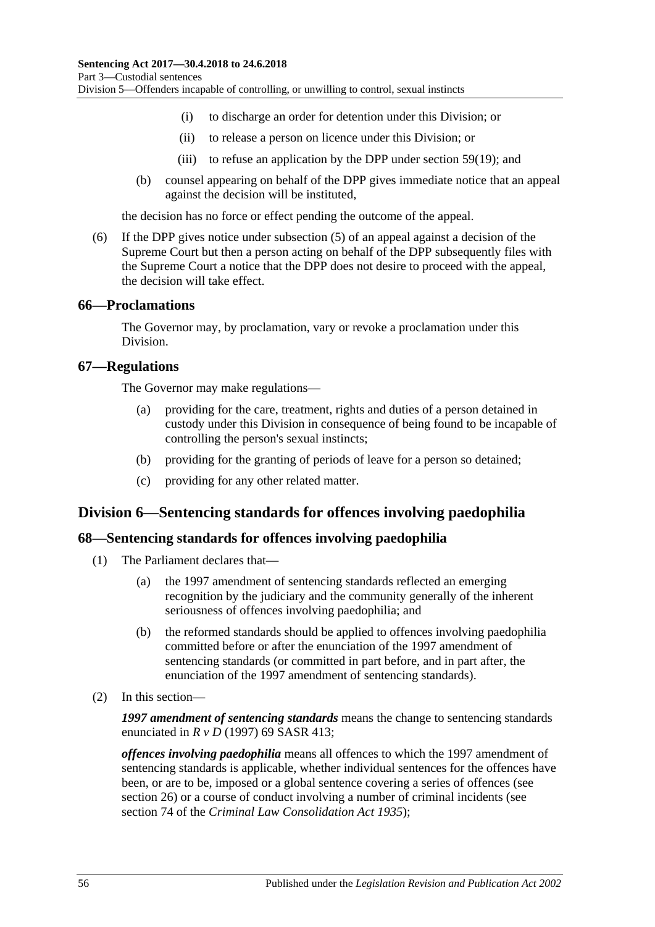- (i) to discharge an order for detention under this Division; or
- (ii) to release a person on licence under this Division; or
- (iii) to refuse an application by the DPP under [section](#page-53-3) 59(19); and
- (b) counsel appearing on behalf of the DPP gives immediate notice that an appeal against the decision will be instituted,

the decision has no force or effect pending the outcome of the appeal.

<span id="page-55-0"></span>(6) If the DPP gives notice under [subsection](#page-54-0) (5) of an appeal against a decision of the Supreme Court but then a person acting on behalf of the DPP subsequently files with the Supreme Court a notice that the DPP does not desire to proceed with the appeal, the decision will take effect.

### **66—Proclamations**

The Governor may, by proclamation, vary or revoke a proclamation under this Division.

### **67—Regulations**

The Governor may make regulations—

- (a) providing for the care, treatment, rights and duties of a person detained in custody under this Division in consequence of being found to be incapable of controlling the person's sexual instincts;
- (b) providing for the granting of periods of leave for a person so detained;
- (c) providing for any other related matter.

## **Division 6—Sentencing standards for offences involving paedophilia**

### **68—Sentencing standards for offences involving paedophilia**

- (1) The Parliament declares that—
	- (a) the 1997 amendment of sentencing standards reflected an emerging recognition by the judiciary and the community generally of the inherent seriousness of offences involving paedophilia; and
	- (b) the reformed standards should be applied to offences involving paedophilia committed before or after the enunciation of the 1997 amendment of sentencing standards (or committed in part before, and in part after, the enunciation of the 1997 amendment of sentencing standards).
- (2) In this section—

*1997 amendment of sentencing standards* means the change to sentencing standards enunciated in *R v D* (1997) 69 SASR 413;

*offences involving paedophilia* means all offences to which the 1997 amendment of sentencing standards is applicable, whether individual sentences for the offences have been, or are to be, imposed or a global sentence covering a series of offences (see [section](#page-20-0) 26) or a course of conduct involving a number of criminal incidents (see section 74 of the *[Criminal Law Consolidation Act](http://www.legislation.sa.gov.au/index.aspx?action=legref&type=act&legtitle=Criminal%20Law%20Consolidation%20Act%201935) 1935*);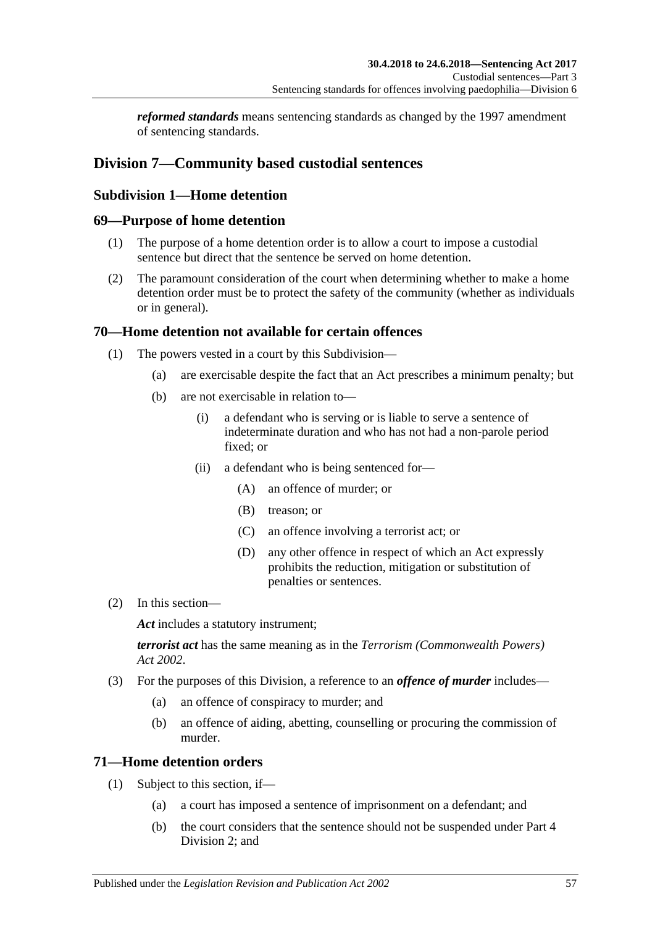*reformed standards* means sentencing standards as changed by the 1997 amendment of sentencing standards.

# **Division 7—Community based custodial sentences**

# **Subdivision 1—Home detention**

## **69—Purpose of home detention**

- (1) The purpose of a home detention order is to allow a court to impose a custodial sentence but direct that the sentence be served on home detention.
- (2) The paramount consideration of the court when determining whether to make a home detention order must be to protect the safety of the community (whether as individuals or in general).

## **70—Home detention not available for certain offences**

- (1) The powers vested in a court by this Subdivision—
	- (a) are exercisable despite the fact that an Act prescribes a minimum penalty; but
	- (b) are not exercisable in relation to—
		- (i) a defendant who is serving or is liable to serve a sentence of indeterminate duration and who has not had a non-parole period fixed; or
		- (ii) a defendant who is being sentenced for—
			- (A) an offence of murder; or
			- (B) treason; or
			- (C) an offence involving a terrorist act; or
			- (D) any other offence in respect of which an Act expressly prohibits the reduction, mitigation or substitution of penalties or sentences.
- (2) In this section—

Act includes a statutory instrument;

*terrorist act* has the same meaning as in the *[Terrorism \(Commonwealth Powers\)](http://www.legislation.sa.gov.au/index.aspx?action=legref&type=act&legtitle=Terrorism%20(Commonwealth%20Powers)%20Act%202002)  Act [2002](http://www.legislation.sa.gov.au/index.aspx?action=legref&type=act&legtitle=Terrorism%20(Commonwealth%20Powers)%20Act%202002)*.

- (3) For the purposes of this Division, a reference to an *offence of murder* includes—
	- (a) an offence of conspiracy to murder; and
	- (b) an offence of aiding, abetting, counselling or procuring the commission of murder.

## **71—Home detention orders**

- (1) Subject to this section, if—
	- (a) a court has imposed a sentence of imprisonment on a defendant; and
	- (b) the court considers that the sentence should not be suspended under [Part](#page-73-1) 4 [Division](#page-73-1) 2; and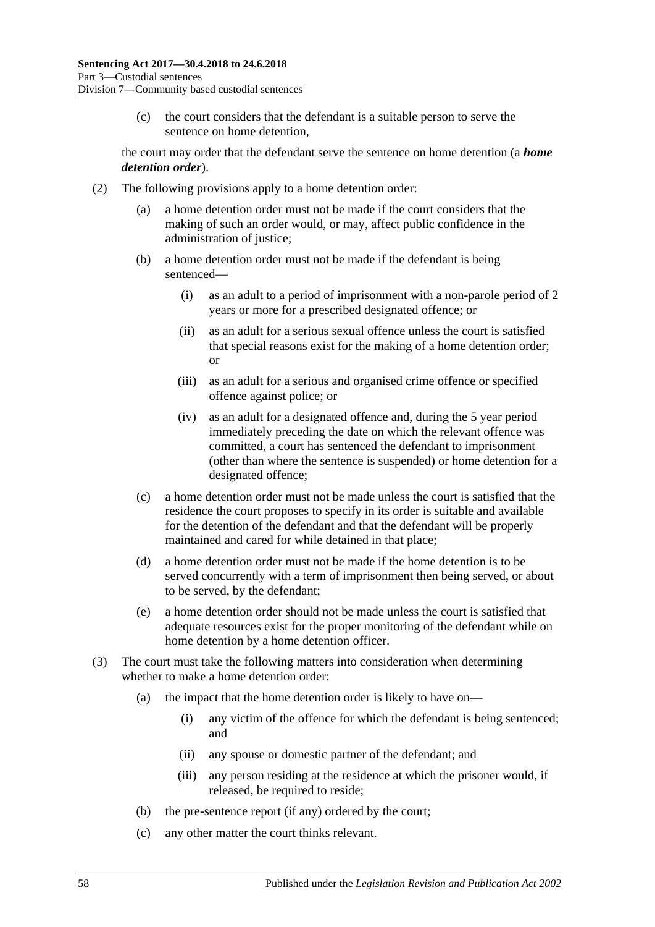(c) the court considers that the defendant is a suitable person to serve the sentence on home detention,

the court may order that the defendant serve the sentence on home detention (a *home detention order*).

- <span id="page-57-0"></span>(2) The following provisions apply to a home detention order:
	- (a) a home detention order must not be made if the court considers that the making of such an order would, or may, affect public confidence in the administration of justice;
	- (b) a home detention order must not be made if the defendant is being sentenced—
		- (i) as an adult to a period of imprisonment with a non-parole period of 2 years or more for a prescribed designated offence; or
		- (ii) as an adult for a serious sexual offence unless the court is satisfied that special reasons exist for the making of a home detention order; or
		- (iii) as an adult for a serious and organised crime offence or specified offence against police; or
		- (iv) as an adult for a designated offence and, during the 5 year period immediately preceding the date on which the relevant offence was committed, a court has sentenced the defendant to imprisonment (other than where the sentence is suspended) or home detention for a designated offence;
	- (c) a home detention order must not be made unless the court is satisfied that the residence the court proposes to specify in its order is suitable and available for the detention of the defendant and that the defendant will be properly maintained and cared for while detained in that place;
	- (d) a home detention order must not be made if the home detention is to be served concurrently with a term of imprisonment then being served, or about to be served, by the defendant;
	- (e) a home detention order should not be made unless the court is satisfied that adequate resources exist for the proper monitoring of the defendant while on home detention by a home detention officer.
- (3) The court must take the following matters into consideration when determining whether to make a home detention order:
	- (a) the impact that the home detention order is likely to have on—
		- (i) any victim of the offence for which the defendant is being sentenced; and
		- (ii) any spouse or domestic partner of the defendant; and
		- (iii) any person residing at the residence at which the prisoner would, if released, be required to reside;
	- (b) the pre-sentence report (if any) ordered by the court;
	- (c) any other matter the court thinks relevant.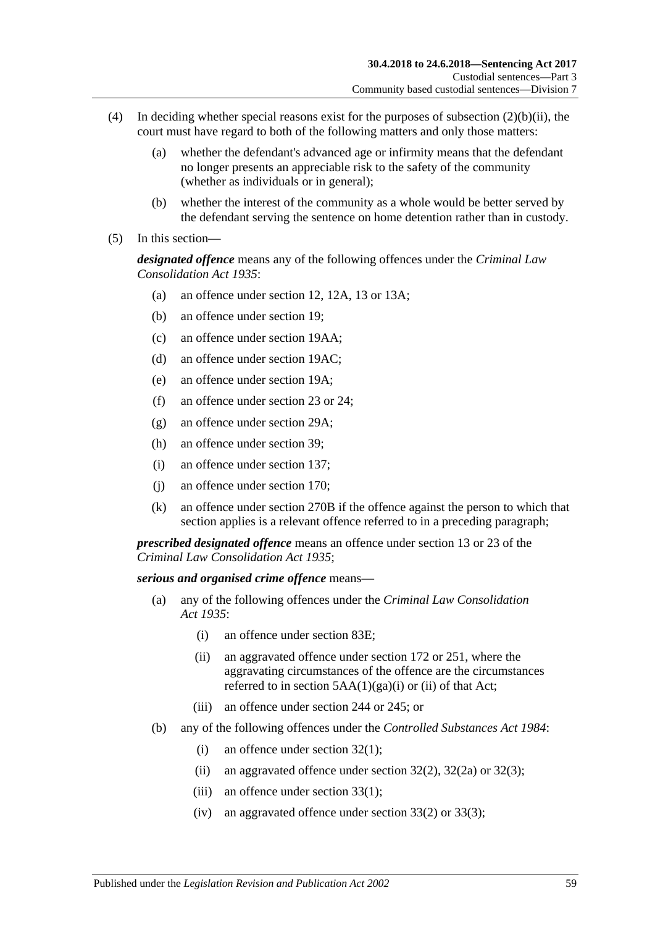- (4) In deciding whether special reasons exist for the purposes of [subsection](#page-57-0) (2)(b)(ii), the court must have regard to both of the following matters and only those matters:
	- (a) whether the defendant's advanced age or infirmity means that the defendant no longer presents an appreciable risk to the safety of the community (whether as individuals or in general);
	- (b) whether the interest of the community as a whole would be better served by the defendant serving the sentence on home detention rather than in custody.
- (5) In this section—

*designated offence* means any of the following offences under the *[Criminal Law](http://www.legislation.sa.gov.au/index.aspx?action=legref&type=act&legtitle=Criminal%20Law%20Consolidation%20Act%201935)  [Consolidation Act](http://www.legislation.sa.gov.au/index.aspx?action=legref&type=act&legtitle=Criminal%20Law%20Consolidation%20Act%201935) 1935*:

- (a) an offence under section 12, 12A, 13 or 13A;
- (b) an offence under section 19;
- (c) an offence under section 19AA;
- (d) an offence under section 19AC;
- (e) an offence under section 19A;
- (f) an offence under section 23 or 24;
- (g) an offence under section 29A;
- (h) an offence under section 39;
- (i) an offence under section 137;
- (j) an offence under section 170;
- (k) an offence under section 270B if the offence against the person to which that section applies is a relevant offence referred to in a preceding paragraph;

*prescribed designated offence* means an offence under section 13 or 23 of the *[Criminal Law Consolidation Act](http://www.legislation.sa.gov.au/index.aspx?action=legref&type=act&legtitle=Criminal%20Law%20Consolidation%20Act%201935) 1935*;

#### *serious and organised crime offence* means—

- (a) any of the following offences under the *[Criminal Law Consolidation](http://www.legislation.sa.gov.au/index.aspx?action=legref&type=act&legtitle=Criminal%20Law%20Consolidation%20Act%201935)  Act [1935](http://www.legislation.sa.gov.au/index.aspx?action=legref&type=act&legtitle=Criminal%20Law%20Consolidation%20Act%201935)*:
	- (i) an offence under section 83E;
	- (ii) an aggravated offence under section 172 or 251, where the aggravating circumstances of the offence are the circumstances referred to in section  $5AA(1)(ga)(i)$  or (ii) of that Act;
	- (iii) an offence under section 244 or 245; or
- (b) any of the following offences under the *[Controlled Substances Act](http://www.legislation.sa.gov.au/index.aspx?action=legref&type=act&legtitle=Controlled%20Substances%20Act%201984) 1984*:
	- (i) an offence under section  $32(1)$ ;
	- (ii) an aggravated offence under section  $32(2)$ ,  $32(2a)$  or  $32(3)$ ;
	- (iii) an offence under section 33(1);
	- (iv) an aggravated offence under section 33(2) or 33(3);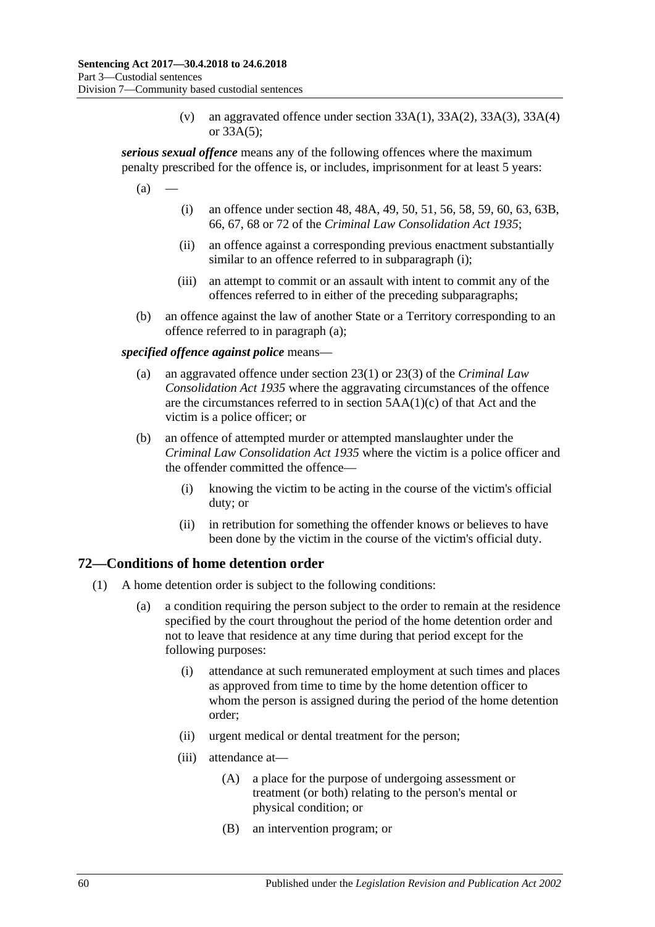(v) an aggravated offence under section  $33A(1)$ ,  $33A(2)$ ,  $33A(3)$ ,  $33A(4)$ or 33A(5);

<span id="page-59-1"></span>*serious sexual offence* means any of the following offences where the maximum penalty prescribed for the offence is, or includes, imprisonment for at least 5 years:

<span id="page-59-0"></span> $(a)$ 

- (i) an offence under section 48, 48A, 49, 50, 51, 56, 58, 59, 60, 63, 63B, 66, 67, 68 or 72 of the *[Criminal Law Consolidation Act](http://www.legislation.sa.gov.au/index.aspx?action=legref&type=act&legtitle=Criminal%20Law%20Consolidation%20Act%201935) 1935*;
- (ii) an offence against a corresponding previous enactment substantially similar to an offence referred to in [subparagraph](#page-59-0) (i);
- (iii) an attempt to commit or an assault with intent to commit any of the offences referred to in either of the preceding subparagraphs;
- (b) an offence against the law of another State or a Territory corresponding to an offence referred to in [paragraph](#page-59-1) (a);

*specified offence against police* means—

- (a) an aggravated offence under section 23(1) or 23(3) of the *[Criminal Law](http://www.legislation.sa.gov.au/index.aspx?action=legref&type=act&legtitle=Criminal%20Law%20Consolidation%20Act%201935)  [Consolidation Act](http://www.legislation.sa.gov.au/index.aspx?action=legref&type=act&legtitle=Criminal%20Law%20Consolidation%20Act%201935) 1935* where the aggravating circumstances of the offence are the circumstances referred to in section 5AA(1)(c) of that Act and the victim is a police officer; or
- (b) an offence of attempted murder or attempted manslaughter under the *[Criminal Law Consolidation Act](http://www.legislation.sa.gov.au/index.aspx?action=legref&type=act&legtitle=Criminal%20Law%20Consolidation%20Act%201935) 1935* where the victim is a police officer and the offender committed the offence—
	- (i) knowing the victim to be acting in the course of the victim's official duty; or
	- (ii) in retribution for something the offender knows or believes to have been done by the victim in the course of the victim's official duty.

## **72—Conditions of home detention order**

- (1) A home detention order is subject to the following conditions:
	- (a) a condition requiring the person subject to the order to remain at the residence specified by the court throughout the period of the home detention order and not to leave that residence at any time during that period except for the following purposes:
		- (i) attendance at such remunerated employment at such times and places as approved from time to time by the home detention officer to whom the person is assigned during the period of the home detention order;
		- (ii) urgent medical or dental treatment for the person;
		- (iii) attendance at—
			- (A) a place for the purpose of undergoing assessment or treatment (or both) relating to the person's mental or physical condition; or
			- (B) an intervention program; or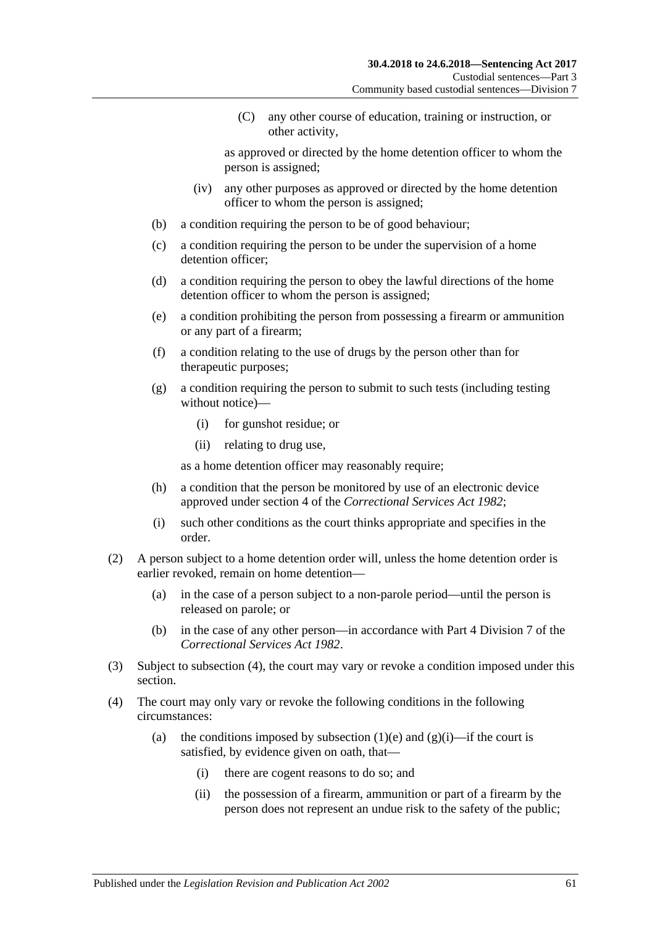(C) any other course of education, training or instruction, or other activity,

as approved or directed by the home detention officer to whom the person is assigned;

- (iv) any other purposes as approved or directed by the home detention officer to whom the person is assigned;
- (b) a condition requiring the person to be of good behaviour;
- (c) a condition requiring the person to be under the supervision of a home detention officer;
- (d) a condition requiring the person to obey the lawful directions of the home detention officer to whom the person is assigned;
- <span id="page-60-0"></span>(e) a condition prohibiting the person from possessing a firearm or ammunition or any part of a firearm;
- (f) a condition relating to the use of drugs by the person other than for therapeutic purposes;
- <span id="page-60-2"></span>(g) a condition requiring the person to submit to such tests (including testing without notice)—
	- (i) for gunshot residue; or
	- (ii) relating to drug use,

as a home detention officer may reasonably require;

- <span id="page-60-3"></span>(h) a condition that the person be monitored by use of an electronic device approved under section 4 of the *[Correctional Services Act](http://www.legislation.sa.gov.au/index.aspx?action=legref&type=act&legtitle=Correctional%20Services%20Act%201982) 1982*;
- (i) such other conditions as the court thinks appropriate and specifies in the order.
- (2) A person subject to a home detention order will, unless the home detention order is earlier revoked, remain on home detention—
	- (a) in the case of a person subject to a non-parole period—until the person is released on parole; or
	- (b) in the case of any other person—in accordance with Part 4 Division 7 of the *[Correctional Services Act](http://www.legislation.sa.gov.au/index.aspx?action=legref&type=act&legtitle=Correctional%20Services%20Act%201982) 1982*.
- (3) Subject to [subsection](#page-60-1) (4), the court may vary or revoke a condition imposed under this section.
- <span id="page-60-1"></span>(4) The court may only vary or revoke the following conditions in the following circumstances:
	- (a) the conditions imposed by [subsection](#page-60-0) (1)(e) and [\(g\)\(i\)—](#page-60-2)if the court is satisfied, by evidence given on oath, that—
		- (i) there are cogent reasons to do so; and
		- (ii) the possession of a firearm, ammunition or part of a firearm by the person does not represent an undue risk to the safety of the public;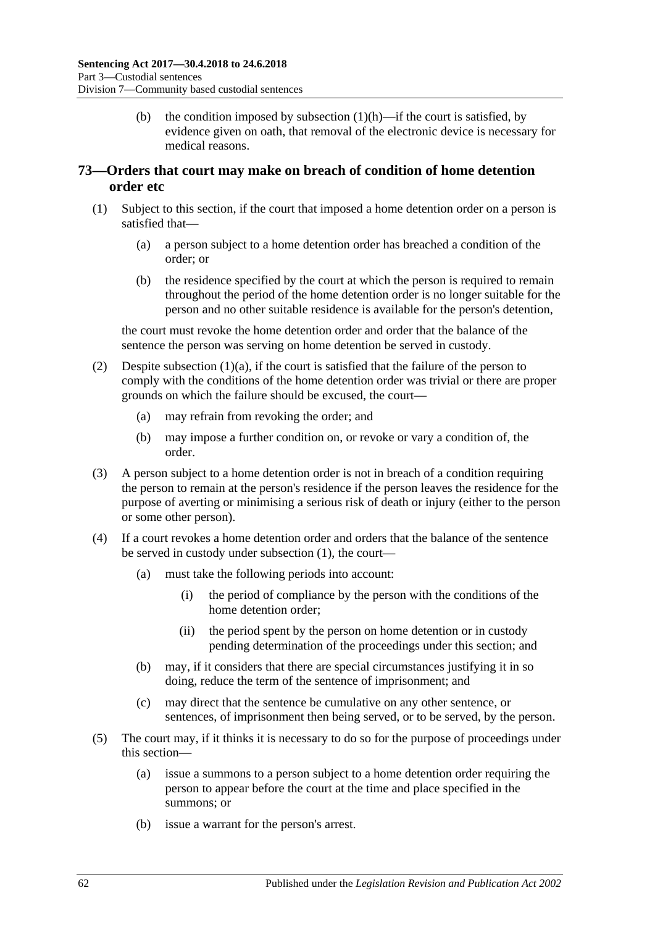(b) the condition imposed by [subsection](#page-60-3)  $(1)(h)$ —if the court is satisfied, by evidence given on oath, that removal of the electronic device is necessary for medical reasons.

# <span id="page-61-2"></span>**73—Orders that court may make on breach of condition of home detention order etc**

- <span id="page-61-1"></span><span id="page-61-0"></span>(1) Subject to this section, if the court that imposed a home detention order on a person is satisfied that—
	- (a) a person subject to a home detention order has breached a condition of the order; or
	- (b) the residence specified by the court at which the person is required to remain throughout the period of the home detention order is no longer suitable for the person and no other suitable residence is available for the person's detention,

the court must revoke the home detention order and order that the balance of the sentence the person was serving on home detention be served in custody.

- (2) Despite [subsection](#page-61-0) (1)(a), if the court is satisfied that the failure of the person to comply with the conditions of the home detention order was trivial or there are proper grounds on which the failure should be excused, the court—
	- (a) may refrain from revoking the order; and
	- (b) may impose a further condition on, or revoke or vary a condition of, the order.
- (3) A person subject to a home detention order is not in breach of a condition requiring the person to remain at the person's residence if the person leaves the residence for the purpose of averting or minimising a serious risk of death or injury (either to the person or some other person).
- (4) If a court revokes a home detention order and orders that the balance of the sentence be served in custody under [subsection](#page-61-1) (1), the court—
	- (a) must take the following periods into account:
		- (i) the period of compliance by the person with the conditions of the home detention order;
		- (ii) the period spent by the person on home detention or in custody pending determination of the proceedings under this section; and
	- (b) may, if it considers that there are special circumstances justifying it in so doing, reduce the term of the sentence of imprisonment; and
	- (c) may direct that the sentence be cumulative on any other sentence, or sentences, of imprisonment then being served, or to be served, by the person.
- (5) The court may, if it thinks it is necessary to do so for the purpose of proceedings under this section—
	- (a) issue a summons to a person subject to a home detention order requiring the person to appear before the court at the time and place specified in the summons; or
	- (b) issue a warrant for the person's arrest.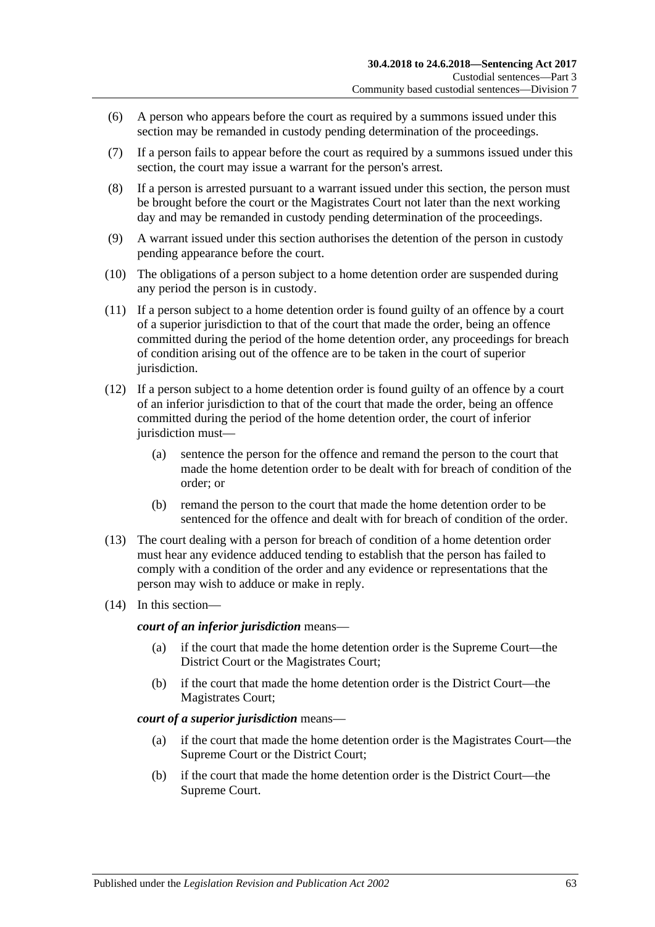- (6) A person who appears before the court as required by a summons issued under this section may be remanded in custody pending determination of the proceedings.
- (7) If a person fails to appear before the court as required by a summons issued under this section, the court may issue a warrant for the person's arrest.
- <span id="page-62-0"></span>(8) If a person is arrested pursuant to a warrant issued under this section, the person must be brought before the court or the Magistrates Court not later than the next working day and may be remanded in custody pending determination of the proceedings.
- (9) A warrant issued under this section authorises the detention of the person in custody pending appearance before the court.
- <span id="page-62-1"></span>(10) The obligations of a person subject to a home detention order are suspended during any period the person is in custody.
- (11) If a person subject to a home detention order is found guilty of an offence by a court of a superior jurisdiction to that of the court that made the order, being an offence committed during the period of the home detention order, any proceedings for breach of condition arising out of the offence are to be taken in the court of superior jurisdiction.
- (12) If a person subject to a home detention order is found guilty of an offence by a court of an inferior jurisdiction to that of the court that made the order, being an offence committed during the period of the home detention order, the court of inferior jurisdiction must-
	- (a) sentence the person for the offence and remand the person to the court that made the home detention order to be dealt with for breach of condition of the order; or
	- (b) remand the person to the court that made the home detention order to be sentenced for the offence and dealt with for breach of condition of the order.
- (13) The court dealing with a person for breach of condition of a home detention order must hear any evidence adduced tending to establish that the person has failed to comply with a condition of the order and any evidence or representations that the person may wish to adduce or make in reply.
- (14) In this section—

*court of an inferior jurisdiction* means—

- (a) if the court that made the home detention order is the Supreme Court—the District Court or the Magistrates Court;
- (b) if the court that made the home detention order is the District Court—the Magistrates Court;

#### *court of a superior jurisdiction* means—

- (a) if the court that made the home detention order is the Magistrates Court—the Supreme Court or the District Court;
- (b) if the court that made the home detention order is the District Court—the Supreme Court.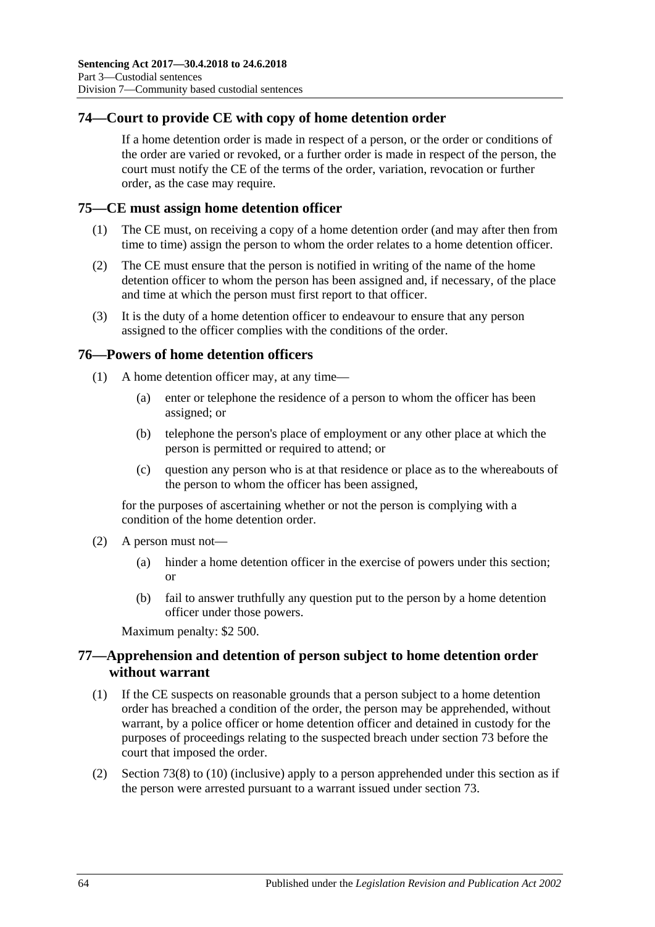# **74—Court to provide CE with copy of home detention order**

If a home detention order is made in respect of a person, or the order or conditions of the order are varied or revoked, or a further order is made in respect of the person, the court must notify the CE of the terms of the order, variation, revocation or further order, as the case may require.

## **75—CE must assign home detention officer**

- (1) The CE must, on receiving a copy of a home detention order (and may after then from time to time) assign the person to whom the order relates to a home detention officer.
- (2) The CE must ensure that the person is notified in writing of the name of the home detention officer to whom the person has been assigned and, if necessary, of the place and time at which the person must first report to that officer.
- (3) It is the duty of a home detention officer to endeavour to ensure that any person assigned to the officer complies with the conditions of the order.

### **76—Powers of home detention officers**

- (1) A home detention officer may, at any time—
	- (a) enter or telephone the residence of a person to whom the officer has been assigned; or
	- (b) telephone the person's place of employment or any other place at which the person is permitted or required to attend; or
	- (c) question any person who is at that residence or place as to the whereabouts of the person to whom the officer has been assigned,

for the purposes of ascertaining whether or not the person is complying with a condition of the home detention order.

- (2) A person must not—
	- (a) hinder a home detention officer in the exercise of powers under this section; or
	- (b) fail to answer truthfully any question put to the person by a home detention officer under those powers.

Maximum penalty: \$2 500.

## **77—Apprehension and detention of person subject to home detention order without warrant**

- (1) If the CE suspects on reasonable grounds that a person subject to a home detention order has breached a condition of the order, the person may be apprehended, without warrant, by a police officer or home detention officer and detained in custody for the purposes of proceedings relating to the suspected breach under [section](#page-61-2) 73 before the court that imposed the order.
- (2) [Section](#page-62-0) 73(8) to [\(10\)](#page-62-1) (inclusive) apply to a person apprehended under this section as if the person were arrested pursuant to a warrant issued under [section](#page-61-2) 73.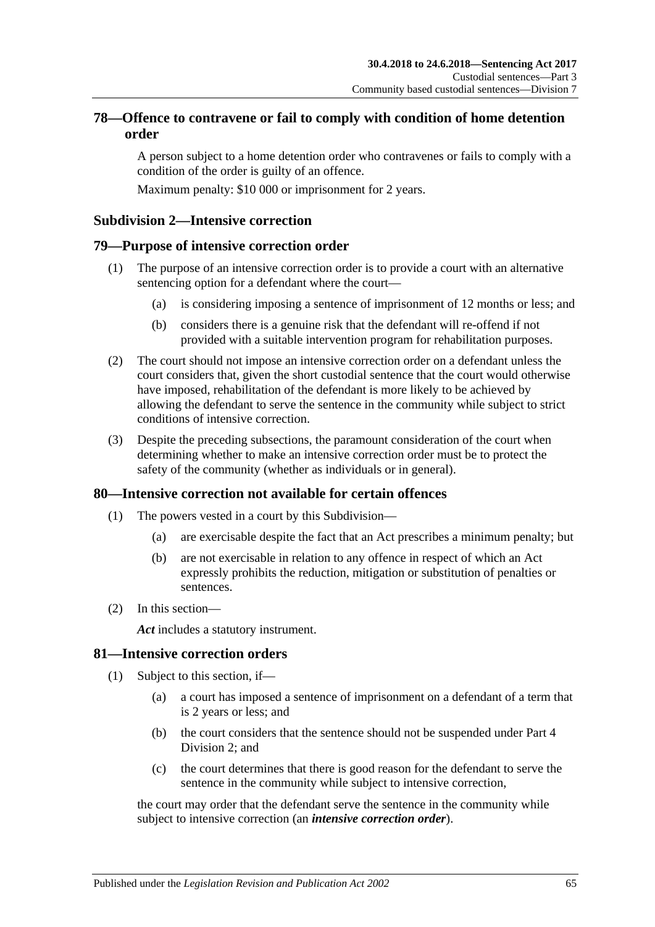# **78—Offence to contravene or fail to comply with condition of home detention order**

A person subject to a home detention order who contravenes or fails to comply with a condition of the order is guilty of an offence.

Maximum penalty: \$10 000 or imprisonment for 2 years.

### **Subdivision 2—Intensive correction**

### **79—Purpose of intensive correction order**

- (1) The purpose of an intensive correction order is to provide a court with an alternative sentencing option for a defendant where the court—
	- (a) is considering imposing a sentence of imprisonment of 12 months or less; and
	- (b) considers there is a genuine risk that the defendant will re-offend if not provided with a suitable intervention program for rehabilitation purposes.
- (2) The court should not impose an intensive correction order on a defendant unless the court considers that, given the short custodial sentence that the court would otherwise have imposed, rehabilitation of the defendant is more likely to be achieved by allowing the defendant to serve the sentence in the community while subject to strict conditions of intensive correction.
- (3) Despite the preceding subsections, the paramount consideration of the court when determining whether to make an intensive correction order must be to protect the safety of the community (whether as individuals or in general).

### **80—Intensive correction not available for certain offences**

- (1) The powers vested in a court by this Subdivision—
	- (a) are exercisable despite the fact that an Act prescribes a minimum penalty; but
	- (b) are not exercisable in relation to any offence in respect of which an Act expressly prohibits the reduction, mitigation or substitution of penalties or sentences.
- (2) In this section—

*Act* includes a statutory instrument.

### **81—Intensive correction orders**

- (1) Subject to this section, if—
	- (a) a court has imposed a sentence of imprisonment on a defendant of a term that is 2 years or less; and
	- (b) the court considers that the sentence should not be suspended under [Part](#page-73-1) 4 [Division](#page-73-1) 2; and
	- (c) the court determines that there is good reason for the defendant to serve the sentence in the community while subject to intensive correction,

<span id="page-64-0"></span>the court may order that the defendant serve the sentence in the community while subject to intensive correction (an *intensive correction order*).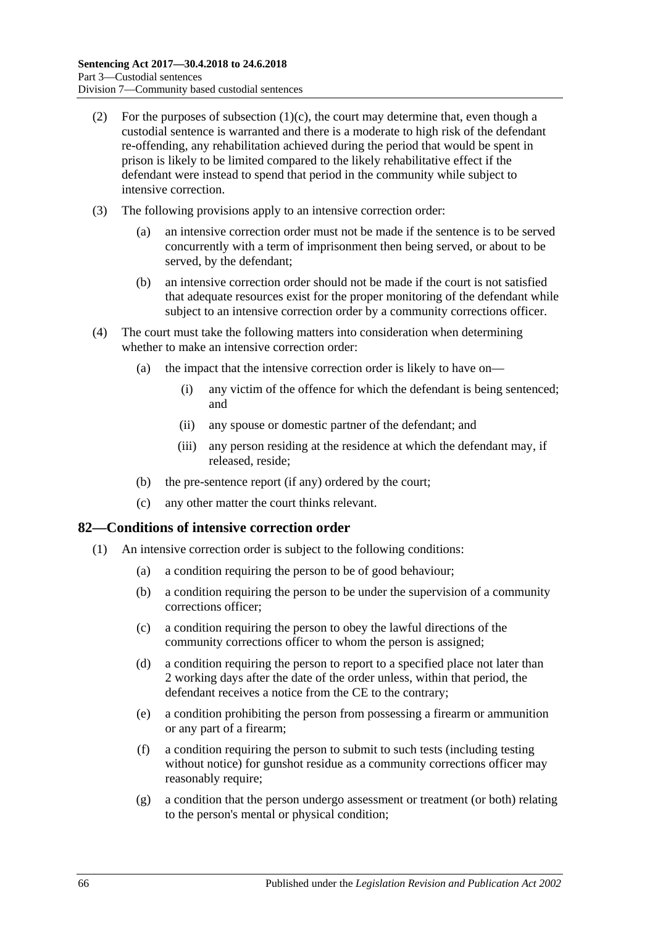- (2) For the purposes of [subsection](#page-64-0)  $(1)(c)$ , the court may determine that, even though a custodial sentence is warranted and there is a moderate to high risk of the defendant re-offending, any rehabilitation achieved during the period that would be spent in prison is likely to be limited compared to the likely rehabilitative effect if the defendant were instead to spend that period in the community while subject to intensive correction.
- (3) The following provisions apply to an intensive correction order:
	- (a) an intensive correction order must not be made if the sentence is to be served concurrently with a term of imprisonment then being served, or about to be served, by the defendant;
	- (b) an intensive correction order should not be made if the court is not satisfied that adequate resources exist for the proper monitoring of the defendant while subject to an intensive correction order by a community corrections officer.
- (4) The court must take the following matters into consideration when determining whether to make an intensive correction order:
	- (a) the impact that the intensive correction order is likely to have on—
		- (i) any victim of the offence for which the defendant is being sentenced; and
		- (ii) any spouse or domestic partner of the defendant; and
		- (iii) any person residing at the residence at which the defendant may, if released, reside;
	- (b) the pre-sentence report (if any) ordered by the court;
	- (c) any other matter the court thinks relevant.

### **82—Conditions of intensive correction order**

- <span id="page-65-1"></span><span id="page-65-0"></span>(1) An intensive correction order is subject to the following conditions:
	- (a) a condition requiring the person to be of good behaviour;
	- (b) a condition requiring the person to be under the supervision of a community corrections officer;
	- (c) a condition requiring the person to obey the lawful directions of the community corrections officer to whom the person is assigned;
	- (d) a condition requiring the person to report to a specified place not later than 2 working days after the date of the order unless, within that period, the defendant receives a notice from the CE to the contrary;
	- (e) a condition prohibiting the person from possessing a firearm or ammunition or any part of a firearm;
	- (f) a condition requiring the person to submit to such tests (including testing without notice) for gunshot residue as a community corrections officer may reasonably require;
	- (g) a condition that the person undergo assessment or treatment (or both) relating to the person's mental or physical condition;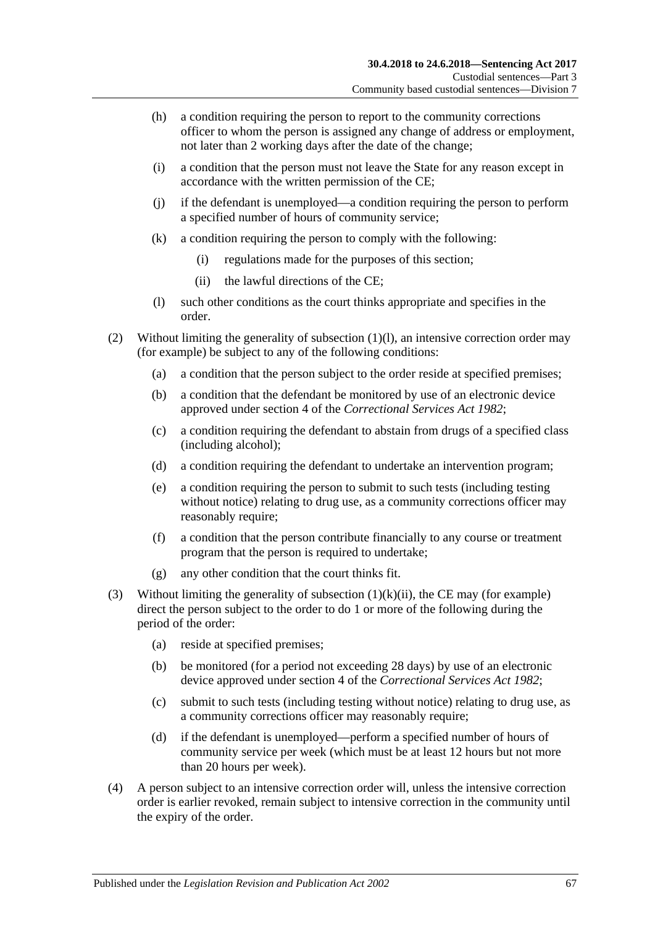- (h) a condition requiring the person to report to the community corrections officer to whom the person is assigned any change of address or employment, not later than 2 working days after the date of the change;
- (i) a condition that the person must not leave the State for any reason except in accordance with the written permission of the CE;
- (j) if the defendant is unemployed—a condition requiring the person to perform a specified number of hours of community service;
- (k) a condition requiring the person to comply with the following:
	- (i) regulations made for the purposes of this section;
	- (ii) the lawful directions of the CE;
- (l) such other conditions as the court thinks appropriate and specifies in the order.
- <span id="page-66-1"></span><span id="page-66-0"></span>(2) Without limiting the generality of [subsection](#page-66-0) (1)(l), an intensive correction order may (for example) be subject to any of the following conditions:
	- (a) a condition that the person subject to the order reside at specified premises;
	- (b) a condition that the defendant be monitored by use of an electronic device approved under section 4 of the *[Correctional Services Act](http://www.legislation.sa.gov.au/index.aspx?action=legref&type=act&legtitle=Correctional%20Services%20Act%201982) 1982*;
	- (c) a condition requiring the defendant to abstain from drugs of a specified class (including alcohol);
	- (d) a condition requiring the defendant to undertake an intervention program;
	- (e) a condition requiring the person to submit to such tests (including testing without notice) relating to drug use, as a community corrections officer may reasonably require;
	- (f) a condition that the person contribute financially to any course or treatment program that the person is required to undertake;
	- (g) any other condition that the court thinks fit.
- (3) Without limiting the generality of [subsection](#page-66-1)  $(1)(k)(ii)$ , the CE may (for example) direct the person subject to the order to do 1 or more of the following during the period of the order:
	- (a) reside at specified premises;
	- (b) be monitored (for a period not exceeding 28 days) by use of an electronic device approved under section 4 of the *[Correctional Services Act](http://www.legislation.sa.gov.au/index.aspx?action=legref&type=act&legtitle=Correctional%20Services%20Act%201982) 1982*;
	- (c) submit to such tests (including testing without notice) relating to drug use, as a community corrections officer may reasonably require;
	- (d) if the defendant is unemployed—perform a specified number of hours of community service per week (which must be at least 12 hours but not more than 20 hours per week).
- (4) A person subject to an intensive correction order will, unless the intensive correction order is earlier revoked, remain subject to intensive correction in the community until the expiry of the order.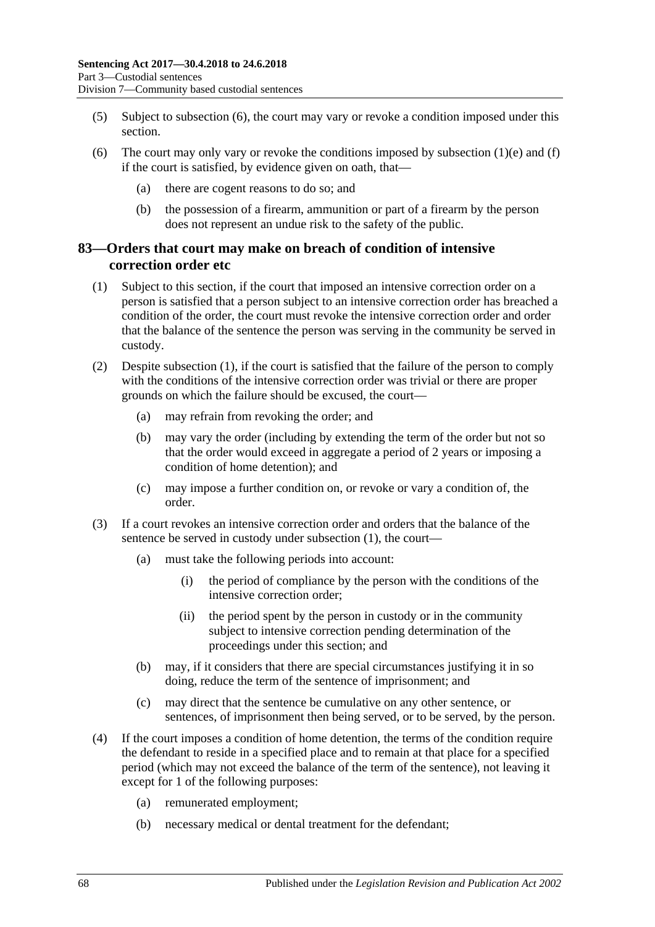- (5) Subject to [subsection](#page-67-0) (6), the court may vary or revoke a condition imposed under this section.
- <span id="page-67-0"></span>(6) The court may only vary or revoke the conditions imposed by [subsection](#page-65-0)  $(1)(e)$  and  $(f)$ if the court is satisfied, by evidence given on oath, that—
	- (a) there are cogent reasons to do so; and
	- (b) the possession of a firearm, ammunition or part of a firearm by the person does not represent an undue risk to the safety of the public.

## <span id="page-67-2"></span>**83—Orders that court may make on breach of condition of intensive correction order etc**

- <span id="page-67-1"></span>(1) Subject to this section, if the court that imposed an intensive correction order on a person is satisfied that a person subject to an intensive correction order has breached a condition of the order, the court must revoke the intensive correction order and order that the balance of the sentence the person was serving in the community be served in custody.
- (2) Despite [subsection](#page-67-1) (1), if the court is satisfied that the failure of the person to comply with the conditions of the intensive correction order was trivial or there are proper grounds on which the failure should be excused, the court—
	- (a) may refrain from revoking the order; and
	- (b) may vary the order (including by extending the term of the order but not so that the order would exceed in aggregate a period of 2 years or imposing a condition of home detention); and
	- (c) may impose a further condition on, or revoke or vary a condition of, the order.
- (3) If a court revokes an intensive correction order and orders that the balance of the sentence be served in custody under [subsection](#page-67-1) (1), the court—
	- (a) must take the following periods into account:
		- (i) the period of compliance by the person with the conditions of the intensive correction order;
		- (ii) the period spent by the person in custody or in the community subject to intensive correction pending determination of the proceedings under this section; and
	- (b) may, if it considers that there are special circumstances justifying it in so doing, reduce the term of the sentence of imprisonment; and
	- (c) may direct that the sentence be cumulative on any other sentence, or sentences, of imprisonment then being served, or to be served, by the person.
- (4) If the court imposes a condition of home detention, the terms of the condition require the defendant to reside in a specified place and to remain at that place for a specified period (which may not exceed the balance of the term of the sentence), not leaving it except for 1 of the following purposes:
	- (a) remunerated employment;
	- (b) necessary medical or dental treatment for the defendant;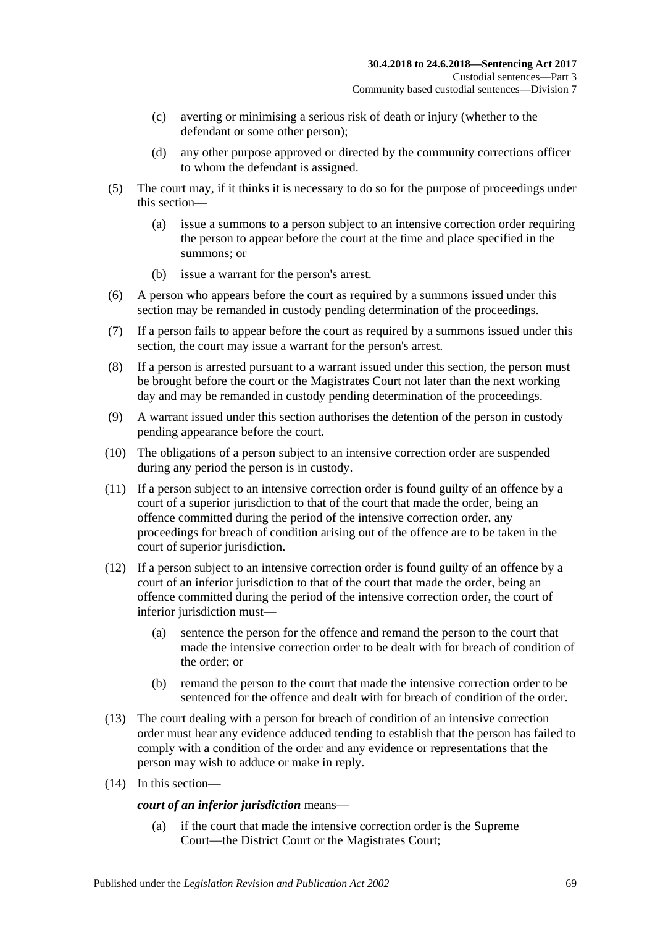- (c) averting or minimising a serious risk of death or injury (whether to the defendant or some other person);
- (d) any other purpose approved or directed by the community corrections officer to whom the defendant is assigned.
- (5) The court may, if it thinks it is necessary to do so for the purpose of proceedings under this section—
	- (a) issue a summons to a person subject to an intensive correction order requiring the person to appear before the court at the time and place specified in the summons; or
	- (b) issue a warrant for the person's arrest.
- (6) A person who appears before the court as required by a summons issued under this section may be remanded in custody pending determination of the proceedings.
- (7) If a person fails to appear before the court as required by a summons issued under this section, the court may issue a warrant for the person's arrest.
- (8) If a person is arrested pursuant to a warrant issued under this section, the person must be brought before the court or the Magistrates Court not later than the next working day and may be remanded in custody pending determination of the proceedings.
- <span id="page-68-0"></span>(9) A warrant issued under this section authorises the detention of the person in custody pending appearance before the court.
- (10) The obligations of a person subject to an intensive correction order are suspended during any period the person is in custody.
- <span id="page-68-1"></span>(11) If a person subject to an intensive correction order is found guilty of an offence by a court of a superior jurisdiction to that of the court that made the order, being an offence committed during the period of the intensive correction order, any proceedings for breach of condition arising out of the offence are to be taken in the court of superior jurisdiction.
- (12) If a person subject to an intensive correction order is found guilty of an offence by a court of an inferior jurisdiction to that of the court that made the order, being an offence committed during the period of the intensive correction order, the court of inferior jurisdiction must—
	- (a) sentence the person for the offence and remand the person to the court that made the intensive correction order to be dealt with for breach of condition of the order; or
	- (b) remand the person to the court that made the intensive correction order to be sentenced for the offence and dealt with for breach of condition of the order.
- (13) The court dealing with a person for breach of condition of an intensive correction order must hear any evidence adduced tending to establish that the person has failed to comply with a condition of the order and any evidence or representations that the person may wish to adduce or make in reply.
- (14) In this section—

### *court of an inferior jurisdiction* means—

(a) if the court that made the intensive correction order is the Supreme Court—the District Court or the Magistrates Court;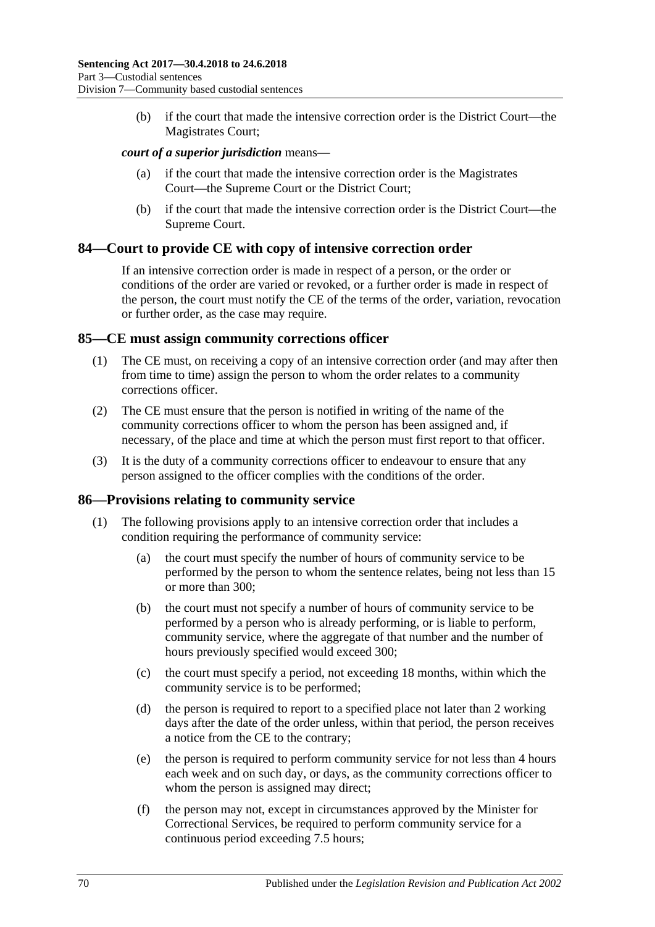(b) if the court that made the intensive correction order is the District Court—the Magistrates Court;

### *court of a superior jurisdiction* means—

- (a) if the court that made the intensive correction order is the Magistrates Court—the Supreme Court or the District Court;
- (b) if the court that made the intensive correction order is the District Court—the Supreme Court.

### **84—Court to provide CE with copy of intensive correction order**

If an intensive correction order is made in respect of a person, or the order or conditions of the order are varied or revoked, or a further order is made in respect of the person, the court must notify the CE of the terms of the order, variation, revocation or further order, as the case may require.

### **85—CE must assign community corrections officer**

- (1) The CE must, on receiving a copy of an intensive correction order (and may after then from time to time) assign the person to whom the order relates to a community corrections officer.
- (2) The CE must ensure that the person is notified in writing of the name of the community corrections officer to whom the person has been assigned and, if necessary, of the place and time at which the person must first report to that officer.
- (3) It is the duty of a community corrections officer to endeavour to ensure that any person assigned to the officer complies with the conditions of the order.

### **86—Provisions relating to community service**

- (1) The following provisions apply to an intensive correction order that includes a condition requiring the performance of community service:
	- (a) the court must specify the number of hours of community service to be performed by the person to whom the sentence relates, being not less than 15 or more than 300;
	- (b) the court must not specify a number of hours of community service to be performed by a person who is already performing, or is liable to perform, community service, where the aggregate of that number and the number of hours previously specified would exceed 300;
	- (c) the court must specify a period, not exceeding 18 months, within which the community service is to be performed;
	- (d) the person is required to report to a specified place not later than 2 working days after the date of the order unless, within that period, the person receives a notice from the CE to the contrary;
	- (e) the person is required to perform community service for not less than 4 hours each week and on such day, or days, as the community corrections officer to whom the person is assigned may direct;
	- (f) the person may not, except in circumstances approved by the Minister for Correctional Services, be required to perform community service for a continuous period exceeding 7.5 hours;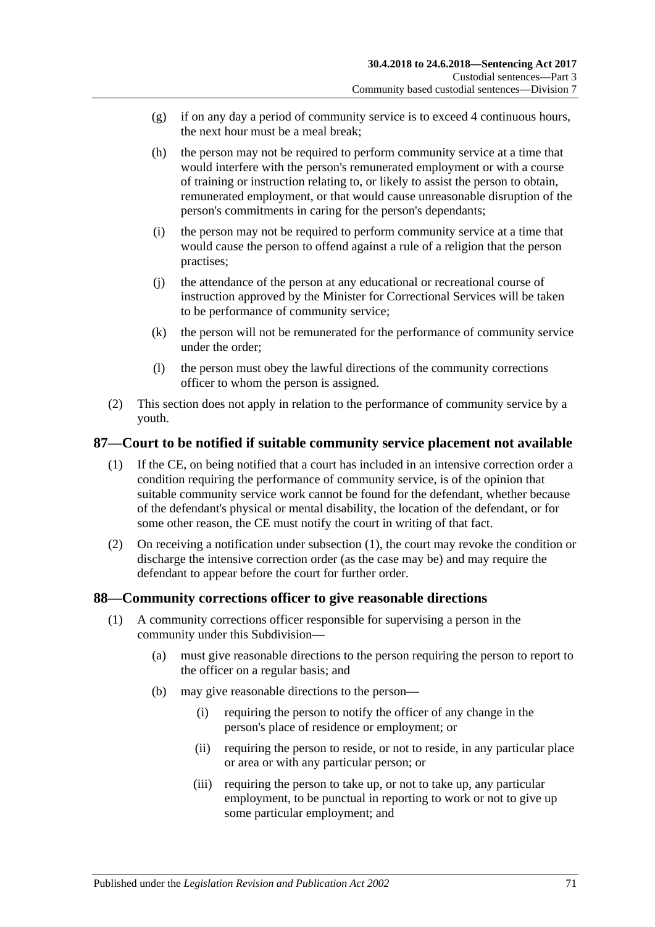- (g) if on any day a period of community service is to exceed 4 continuous hours, the next hour must be a meal break;
- (h) the person may not be required to perform community service at a time that would interfere with the person's remunerated employment or with a course of training or instruction relating to, or likely to assist the person to obtain, remunerated employment, or that would cause unreasonable disruption of the person's commitments in caring for the person's dependants;
- (i) the person may not be required to perform community service at a time that would cause the person to offend against a rule of a religion that the person practises;
- (j) the attendance of the person at any educational or recreational course of instruction approved by the Minister for Correctional Services will be taken to be performance of community service;
- (k) the person will not be remunerated for the performance of community service under the order;
- (l) the person must obey the lawful directions of the community corrections officer to whom the person is assigned.
- (2) This section does not apply in relation to the performance of community service by a youth.

# <span id="page-70-0"></span>**87—Court to be notified if suitable community service placement not available**

- (1) If the CE, on being notified that a court has included in an intensive correction order a condition requiring the performance of community service, is of the opinion that suitable community service work cannot be found for the defendant, whether because of the defendant's physical or mental disability, the location of the defendant, or for some other reason, the CE must notify the court in writing of that fact.
- (2) On receiving a notification under [subsection](#page-70-0) (1), the court may revoke the condition or discharge the intensive correction order (as the case may be) and may require the defendant to appear before the court for further order.

## **88—Community corrections officer to give reasonable directions**

- (1) A community corrections officer responsible for supervising a person in the community under this Subdivision—
	- (a) must give reasonable directions to the person requiring the person to report to the officer on a regular basis; and
	- (b) may give reasonable directions to the person—
		- (i) requiring the person to notify the officer of any change in the person's place of residence or employment; or
		- (ii) requiring the person to reside, or not to reside, in any particular place or area or with any particular person; or
		- (iii) requiring the person to take up, or not to take up, any particular employment, to be punctual in reporting to work or not to give up some particular employment; and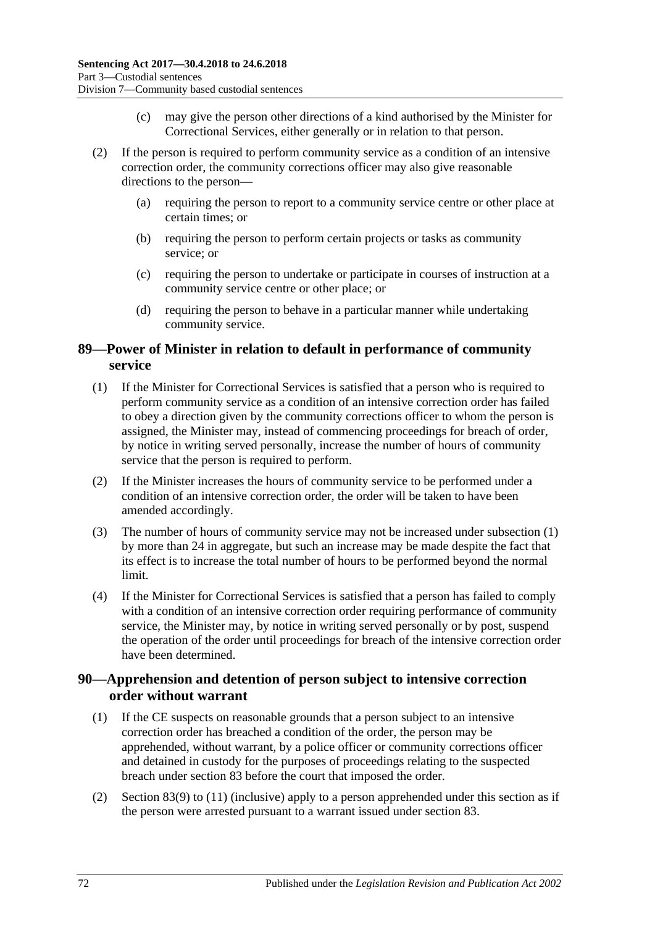- (c) may give the person other directions of a kind authorised by the Minister for Correctional Services, either generally or in relation to that person.
- (2) If the person is required to perform community service as a condition of an intensive correction order, the community corrections officer may also give reasonable directions to the person—
	- (a) requiring the person to report to a community service centre or other place at certain times; or
	- (b) requiring the person to perform certain projects or tasks as community service; or
	- (c) requiring the person to undertake or participate in courses of instruction at a community service centre or other place; or
	- (d) requiring the person to behave in a particular manner while undertaking community service.

# **89—Power of Minister in relation to default in performance of community service**

- <span id="page-71-0"></span>(1) If the Minister for Correctional Services is satisfied that a person who is required to perform community service as a condition of an intensive correction order has failed to obey a direction given by the community corrections officer to whom the person is assigned, the Minister may, instead of commencing proceedings for breach of order, by notice in writing served personally, increase the number of hours of community service that the person is required to perform.
- (2) If the Minister increases the hours of community service to be performed under a condition of an intensive correction order, the order will be taken to have been amended accordingly.
- (3) The number of hours of community service may not be increased unde[r subsection](#page-71-0) (1) by more than 24 in aggregate, but such an increase may be made despite the fact that its effect is to increase the total number of hours to be performed beyond the normal limit.
- (4) If the Minister for Correctional Services is satisfied that a person has failed to comply with a condition of an intensive correction order requiring performance of community service, the Minister may, by notice in writing served personally or by post, suspend the operation of the order until proceedings for breach of the intensive correction order have been determined.

## **90—Apprehension and detention of person subject to intensive correction order without warrant**

- (1) If the CE suspects on reasonable grounds that a person subject to an intensive correction order has breached a condition of the order, the person may be apprehended, without warrant, by a police officer or community corrections officer and detained in custody for the purposes of proceedings relating to the suspected breach under [section](#page-67-2) 83 before the court that imposed the order.
- (2) [Section](#page-68-0) 83(9) to [\(11\)](#page-68-1) (inclusive) apply to a person apprehended under this section as if the person were arrested pursuant to a warrant issued under [section](#page-67-2) 83.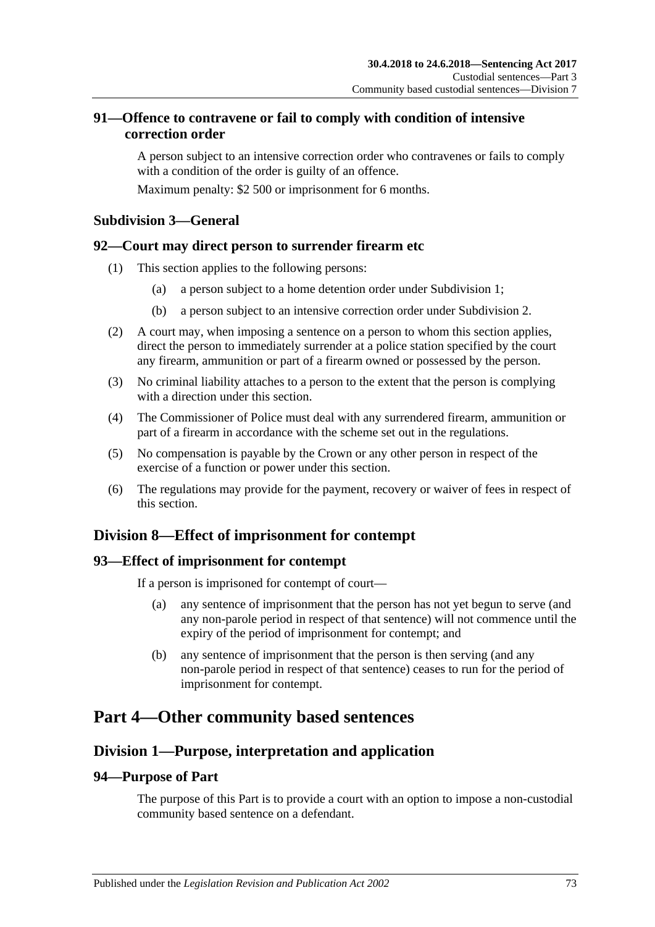## **91—Offence to contravene or fail to comply with condition of intensive correction order**

A person subject to an intensive correction order who contravenes or fails to comply with a condition of the order is guilty of an offence.

Maximum penalty: \$2 500 or imprisonment for 6 months.

## **Subdivision 3—General**

### **92—Court may direct person to surrender firearm etc**

- (1) This section applies to the following persons:
	- (a) a person subject to a home detention order under [Subdivision](#page-56-0) 1;
	- (b) a person subject to an intensive correction order under [Subdivision](#page-64-0) 2.
- (2) A court may, when imposing a sentence on a person to whom this section applies, direct the person to immediately surrender at a police station specified by the court any firearm, ammunition or part of a firearm owned or possessed by the person.
- (3) No criminal liability attaches to a person to the extent that the person is complying with a direction under this section
- (4) The Commissioner of Police must deal with any surrendered firearm, ammunition or part of a firearm in accordance with the scheme set out in the regulations.
- (5) No compensation is payable by the Crown or any other person in respect of the exercise of a function or power under this section.
- (6) The regulations may provide for the payment, recovery or waiver of fees in respect of this section.

## **Division 8—Effect of imprisonment for contempt**

#### **93—Effect of imprisonment for contempt**

If a person is imprisoned for contempt of court—

- (a) any sentence of imprisonment that the person has not yet begun to serve (and any non-parole period in respect of that sentence) will not commence until the expiry of the period of imprisonment for contempt; and
- (b) any sentence of imprisonment that the person is then serving (and any non-parole period in respect of that sentence) ceases to run for the period of imprisonment for contempt.

## **Part 4—Other community based sentences**

## **Division 1—Purpose, interpretation and application**

## **94—Purpose of Part**

The purpose of this Part is to provide a court with an option to impose a non-custodial community based sentence on a defendant.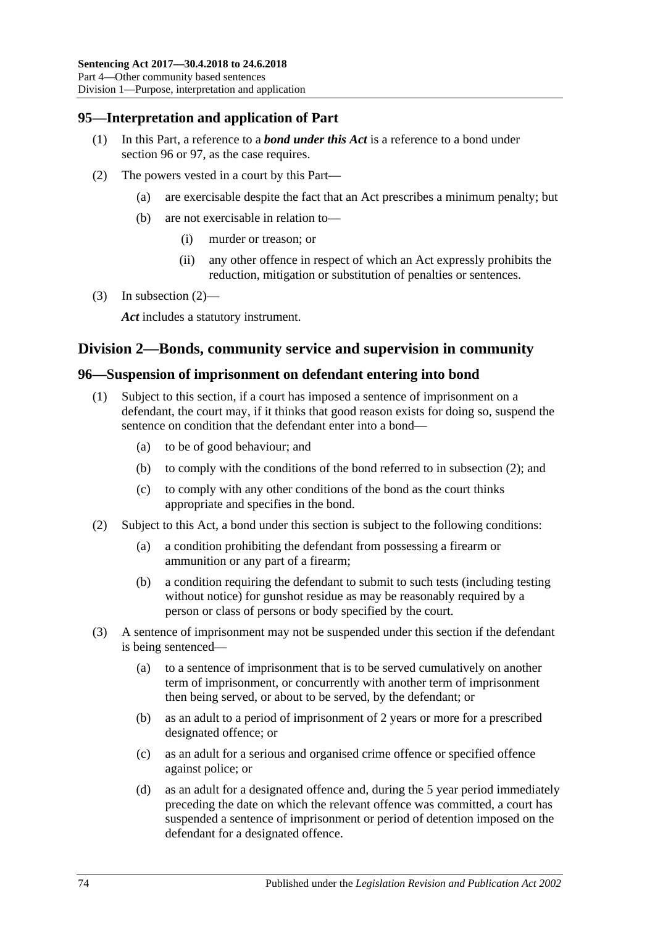## **95—Interpretation and application of Part**

- (1) In this Part, a reference to a *bond under this Act* is a reference to a bond under [section](#page-73-0) 96 or [97,](#page-76-0) as the case requires.
- <span id="page-73-1"></span>(2) The powers vested in a court by this Part—
	- (a) are exercisable despite the fact that an Act prescribes a minimum penalty; but
	- (b) are not exercisable in relation to—
		- (i) murder or treason; or
		- (ii) any other offence in respect of which an Act expressly prohibits the reduction, mitigation or substitution of penalties or sentences.
- (3) In [subsection](#page-73-1)  $(2)$ —

*Act* includes a statutory instrument.

### **Division 2—Bonds, community service and supervision in community**

#### <span id="page-73-4"></span><span id="page-73-0"></span>**96—Suspension of imprisonment on defendant entering into bond**

- (1) Subject to this section, if a court has imposed a sentence of imprisonment on a defendant, the court may, if it thinks that good reason exists for doing so, suspend the sentence on condition that the defendant enter into a bond—
	- (a) to be of good behaviour; and
	- (b) to comply with the conditions of the bond referred to in [subsection](#page-73-2) (2); and
	- (c) to comply with any other conditions of the bond as the court thinks appropriate and specifies in the bond.
- <span id="page-73-8"></span><span id="page-73-2"></span>(2) Subject to this Act, a bond under this section is subject to the following conditions:
	- (a) a condition prohibiting the defendant from possessing a firearm or ammunition or any part of a firearm;
	- (b) a condition requiring the defendant to submit to such tests (including testing without notice) for gunshot residue as may be reasonably required by a person or class of persons or body specified by the court.
- <span id="page-73-7"></span><span id="page-73-6"></span><span id="page-73-5"></span><span id="page-73-3"></span>(3) A sentence of imprisonment may not be suspended under this section if the defendant is being sentenced—
	- (a) to a sentence of imprisonment that is to be served cumulatively on another term of imprisonment, or concurrently with another term of imprisonment then being served, or about to be served, by the defendant; or
	- (b) as an adult to a period of imprisonment of 2 years or more for a prescribed designated offence; or
	- (c) as an adult for a serious and organised crime offence or specified offence against police; or
	- (d) as an adult for a designated offence and, during the 5 year period immediately preceding the date on which the relevant offence was committed, a court has suspended a sentence of imprisonment or period of detention imposed on the defendant for a designated offence.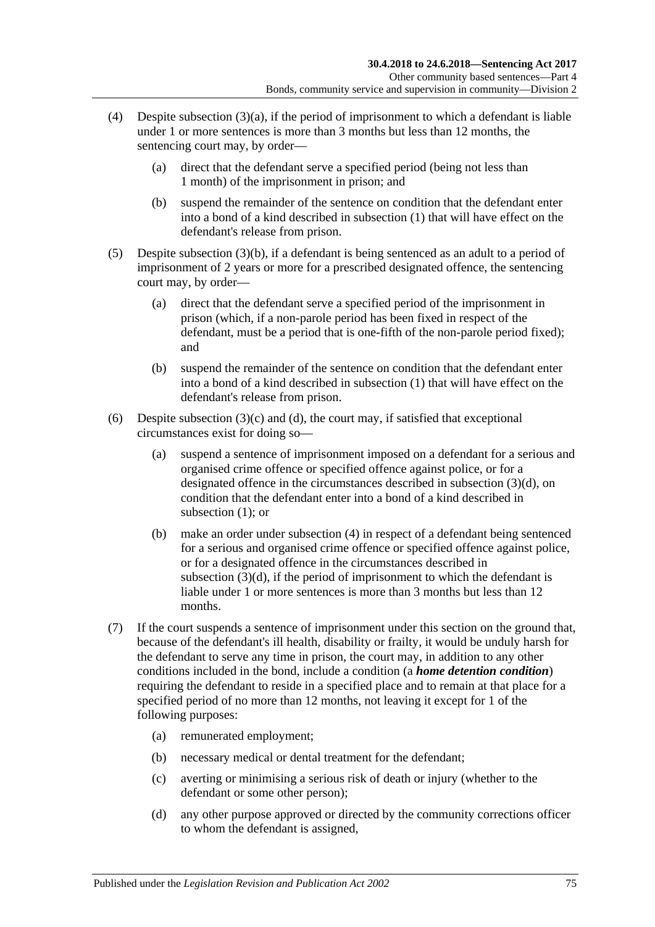- <span id="page-74-0"></span>(4) Despite [subsection](#page-73-3)  $(3)(a)$ , if the period of imprisonment to which a defendant is liable under 1 or more sentences is more than 3 months but less than 12 months, the sentencing court may, by order—
	- (a) direct that the defendant serve a specified period (being not less than 1 month) of the imprisonment in prison; and
	- (b) suspend the remainder of the sentence on condition that the defendant enter into a bond of a kind described in [subsection](#page-73-4) (1) that will have effect on the defendant's release from prison.
- <span id="page-74-1"></span>(5) Despite [subsection](#page-73-5) (3)(b), if a defendant is being sentenced as an adult to a period of imprisonment of 2 years or more for a prescribed designated offence, the sentencing court may, by order—
	- (a) direct that the defendant serve a specified period of the imprisonment in prison (which, if a non-parole period has been fixed in respect of the defendant, must be a period that is one-fifth of the non-parole period fixed); and
	- (b) suspend the remainder of the sentence on condition that the defendant enter into a bond of a kind described in [subsection](#page-73-4) (1) that will have effect on the defendant's release from prison.
- (6) Despite [subsection](#page-73-6)  $(3)(c)$  and  $(d)$ , the court may, if satisfied that exceptional circumstances exist for doing so—
	- (a) suspend a sentence of imprisonment imposed on a defendant for a serious and organised crime offence or specified offence against police, or for a designated offence in the circumstances described in [subsection](#page-73-7) (3)(d), on condition that the defendant enter into a bond of a kind described in [subsection](#page-73-4) (1); or
	- (b) make an order under [subsection](#page-74-0) (4) in respect of a defendant being sentenced for a serious and organised crime offence or specified offence against police, or for a designated offence in the circumstances described in [subsection](#page-73-7) (3)(d), if the period of imprisonment to which the defendant is liable under 1 or more sentences is more than 3 months but less than 12 months.
- (7) If the court suspends a sentence of imprisonment under this section on the ground that, because of the defendant's ill health, disability or frailty, it would be unduly harsh for the defendant to serve any time in prison, the court may, in addition to any other conditions included in the bond, include a condition (a *home detention condition*) requiring the defendant to reside in a specified place and to remain at that place for a specified period of no more than 12 months, not leaving it except for 1 of the following purposes:
	- (a) remunerated employment;
	- (b) necessary medical or dental treatment for the defendant;
	- (c) averting or minimising a serious risk of death or injury (whether to the defendant or some other person);
	- (d) any other purpose approved or directed by the community corrections officer to whom the defendant is assigned,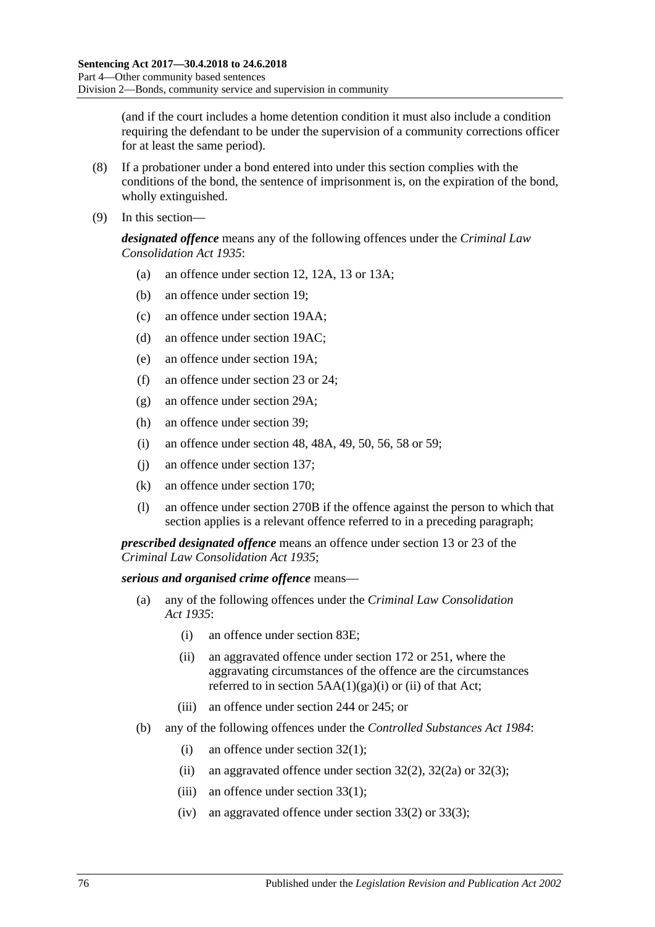(and if the court includes a home detention condition it must also include a condition requiring the defendant to be under the supervision of a community corrections officer for at least the same period).

- (8) If a probationer under a bond entered into under this section complies with the conditions of the bond, the sentence of imprisonment is, on the expiration of the bond, wholly extinguished.
- (9) In this section—

*designated offence* means any of the following offences under the *[Criminal Law](http://www.legislation.sa.gov.au/index.aspx?action=legref&type=act&legtitle=Criminal%20Law%20Consolidation%20Act%201935)  [Consolidation Act](http://www.legislation.sa.gov.au/index.aspx?action=legref&type=act&legtitle=Criminal%20Law%20Consolidation%20Act%201935) 1935*:

- (a) an offence under section 12, 12A, 13 or 13A;
- (b) an offence under section 19;
- (c) an offence under section 19AA;
- (d) an offence under section 19AC;
- (e) an offence under section 19A;
- (f) an offence under section 23 or 24;
- (g) an offence under section 29A;
- (h) an offence under section 39;
- (i) an offence under section 48, 48A, 49, 50, 56, 58 or 59;
- (j) an offence under section 137;
- (k) an offence under section 170;
- (l) an offence under section 270B if the offence against the person to which that section applies is a relevant offence referred to in a preceding paragraph;

*prescribed designated offence* means an offence under section 13 or 23 of the *[Criminal Law Consolidation Act](http://www.legislation.sa.gov.au/index.aspx?action=legref&type=act&legtitle=Criminal%20Law%20Consolidation%20Act%201935) 1935*;

#### *serious and organised crime offence* means—

- (a) any of the following offences under the *[Criminal Law Consolidation](http://www.legislation.sa.gov.au/index.aspx?action=legref&type=act&legtitle=Criminal%20Law%20Consolidation%20Act%201935)  Act [1935](http://www.legislation.sa.gov.au/index.aspx?action=legref&type=act&legtitle=Criminal%20Law%20Consolidation%20Act%201935)*:
	- (i) an offence under section 83E;
	- (ii) an aggravated offence under section 172 or 251, where the aggravating circumstances of the offence are the circumstances referred to in section  $5AA(1)(ga)(i)$  or (ii) of that Act;
	- (iii) an offence under section 244 or 245; or
- (b) any of the following offences under the *[Controlled Substances Act](http://www.legislation.sa.gov.au/index.aspx?action=legref&type=act&legtitle=Controlled%20Substances%20Act%201984) 1984*:
	- (i) an offence under section 32(1);
	- (ii) an aggravated offence under section  $32(2)$ ,  $32(2a)$  or  $32(3)$ ;
	- (iii) an offence under section 33(1);
	- (iv) an aggravated offence under section  $33(2)$  or  $33(3)$ ;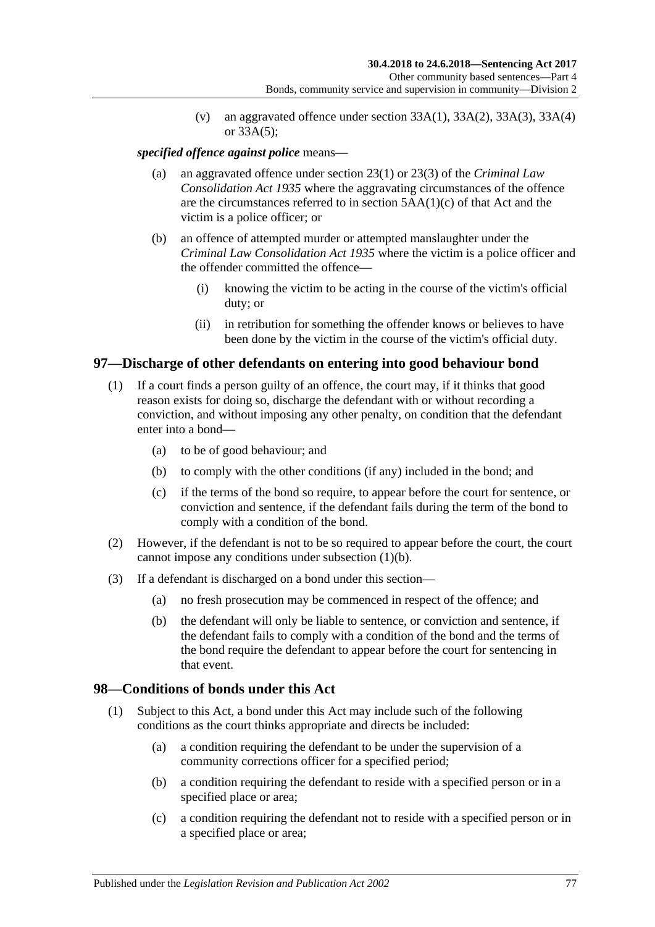(v) an aggravated offence under section  $33A(1)$ ,  $33A(2)$ ,  $33A(3)$ ,  $33A(4)$ or 33A(5);

#### *specified offence against police* means—

- (a) an aggravated offence under section 23(1) or 23(3) of the *[Criminal Law](http://www.legislation.sa.gov.au/index.aspx?action=legref&type=act&legtitle=Criminal%20Law%20Consolidation%20Act%201935)  [Consolidation Act](http://www.legislation.sa.gov.au/index.aspx?action=legref&type=act&legtitle=Criminal%20Law%20Consolidation%20Act%201935) 1935* where the aggravating circumstances of the offence are the circumstances referred to in section 5AA(1)(c) of that Act and the victim is a police officer; or
- (b) an offence of attempted murder or attempted manslaughter under the *[Criminal Law Consolidation Act](http://www.legislation.sa.gov.au/index.aspx?action=legref&type=act&legtitle=Criminal%20Law%20Consolidation%20Act%201935) 1935* where the victim is a police officer and the offender committed the offence—
	- (i) knowing the victim to be acting in the course of the victim's official duty; or
	- (ii) in retribution for something the offender knows or believes to have been done by the victim in the course of the victim's official duty.

#### <span id="page-76-0"></span>**97—Discharge of other defendants on entering into good behaviour bond**

- <span id="page-76-1"></span>(1) If a court finds a person guilty of an offence, the court may, if it thinks that good reason exists for doing so, discharge the defendant with or without recording a conviction, and without imposing any other penalty, on condition that the defendant enter into a bond—
	- (a) to be of good behaviour; and
	- (b) to comply with the other conditions (if any) included in the bond; and
	- (c) if the terms of the bond so require, to appear before the court for sentence, or conviction and sentence, if the defendant fails during the term of the bond to comply with a condition of the bond.
- (2) However, if the defendant is not to be so required to appear before the court, the court cannot impose any conditions under [subsection](#page-76-1) (1)(b).
- (3) If a defendant is discharged on a bond under this section—
	- (a) no fresh prosecution may be commenced in respect of the offence; and
	- (b) the defendant will only be liable to sentence, or conviction and sentence, if the defendant fails to comply with a condition of the bond and the terms of the bond require the defendant to appear before the court for sentencing in that event.

#### **98—Conditions of bonds under this Act**

- (1) Subject to this Act, a bond under this Act may include such of the following conditions as the court thinks appropriate and directs be included:
	- (a) a condition requiring the defendant to be under the supervision of a community corrections officer for a specified period;
	- (b) a condition requiring the defendant to reside with a specified person or in a specified place or area;
	- (c) a condition requiring the defendant not to reside with a specified person or in a specified place or area;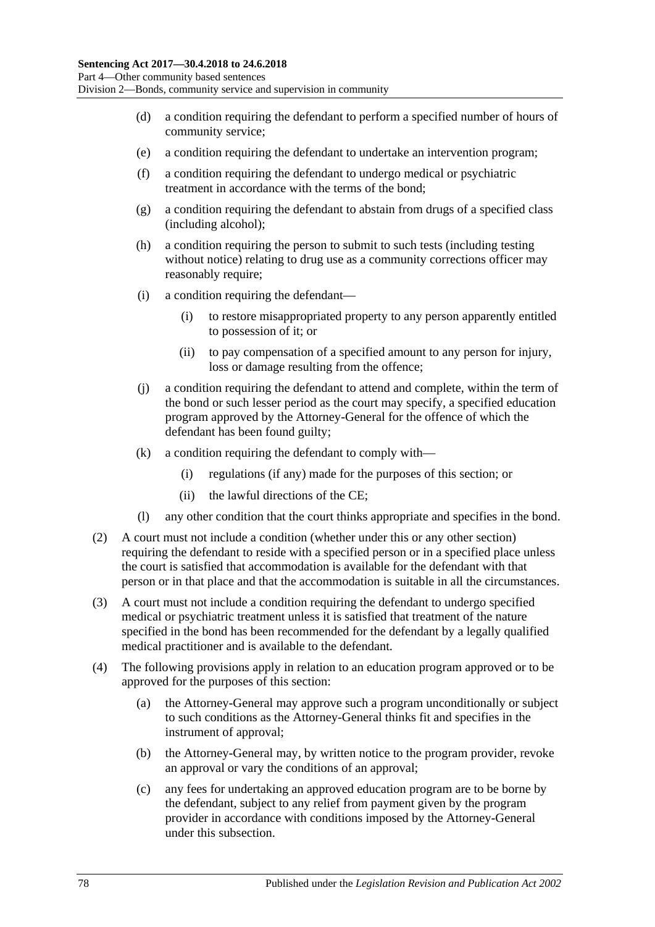- (d) a condition requiring the defendant to perform a specified number of hours of community service;
- (e) a condition requiring the defendant to undertake an intervention program;
- (f) a condition requiring the defendant to undergo medical or psychiatric treatment in accordance with the terms of the bond;
- (g) a condition requiring the defendant to abstain from drugs of a specified class (including alcohol);
- (h) a condition requiring the person to submit to such tests (including testing without notice) relating to drug use as a community corrections officer may reasonably require;
- (i) a condition requiring the defendant—
	- (i) to restore misappropriated property to any person apparently entitled to possession of it; or
	- (ii) to pay compensation of a specified amount to any person for injury, loss or damage resulting from the offence;
- (j) a condition requiring the defendant to attend and complete, within the term of the bond or such lesser period as the court may specify, a specified education program approved by the Attorney-General for the offence of which the defendant has been found guilty;
- (k) a condition requiring the defendant to comply with—
	- (i) regulations (if any) made for the purposes of this section; or
	- (ii) the lawful directions of the CE;
- (l) any other condition that the court thinks appropriate and specifies in the bond.
- (2) A court must not include a condition (whether under this or any other section) requiring the defendant to reside with a specified person or in a specified place unless the court is satisfied that accommodation is available for the defendant with that person or in that place and that the accommodation is suitable in all the circumstances.
- (3) A court must not include a condition requiring the defendant to undergo specified medical or psychiatric treatment unless it is satisfied that treatment of the nature specified in the bond has been recommended for the defendant by a legally qualified medical practitioner and is available to the defendant.
- (4) The following provisions apply in relation to an education program approved or to be approved for the purposes of this section:
	- (a) the Attorney-General may approve such a program unconditionally or subject to such conditions as the Attorney-General thinks fit and specifies in the instrument of approval;
	- (b) the Attorney-General may, by written notice to the program provider, revoke an approval or vary the conditions of an approval;
	- (c) any fees for undertaking an approved education program are to be borne by the defendant, subject to any relief from payment given by the program provider in accordance with conditions imposed by the Attorney-General under this subsection.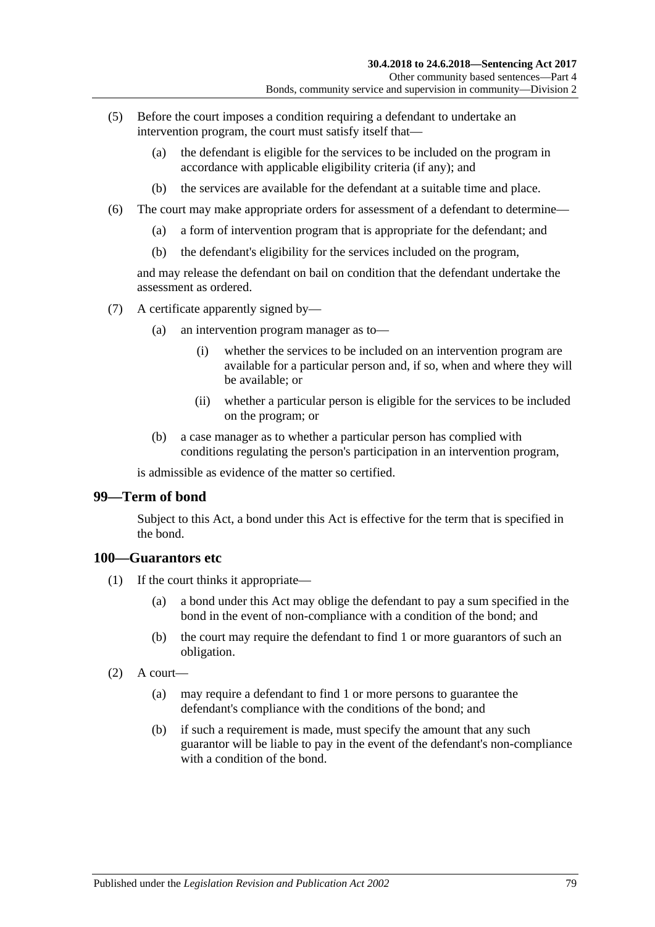- (5) Before the court imposes a condition requiring a defendant to undertake an intervention program, the court must satisfy itself that—
	- (a) the defendant is eligible for the services to be included on the program in accordance with applicable eligibility criteria (if any); and
	- (b) the services are available for the defendant at a suitable time and place.
- (6) The court may make appropriate orders for assessment of a defendant to determine—
	- (a) a form of intervention program that is appropriate for the defendant; and
	- (b) the defendant's eligibility for the services included on the program,

and may release the defendant on bail on condition that the defendant undertake the assessment as ordered.

- (7) A certificate apparently signed by—
	- (a) an intervention program manager as to—
		- (i) whether the services to be included on an intervention program are available for a particular person and, if so, when and where they will be available; or
		- (ii) whether a particular person is eligible for the services to be included on the program; or
	- (b) a case manager as to whether a particular person has complied with conditions regulating the person's participation in an intervention program,

is admissible as evidence of the matter so certified.

#### **99—Term of bond**

Subject to this Act, a bond under this Act is effective for the term that is specified in the bond.

#### **100—Guarantors etc**

- (1) If the court thinks it appropriate—
	- (a) a bond under this Act may oblige the defendant to pay a sum specified in the bond in the event of non-compliance with a condition of the bond; and
	- (b) the court may require the defendant to find 1 or more guarantors of such an obligation.
- $(2)$  A court—
	- (a) may require a defendant to find 1 or more persons to guarantee the defendant's compliance with the conditions of the bond; and
	- (b) if such a requirement is made, must specify the amount that any such guarantor will be liable to pay in the event of the defendant's non-compliance with a condition of the bond.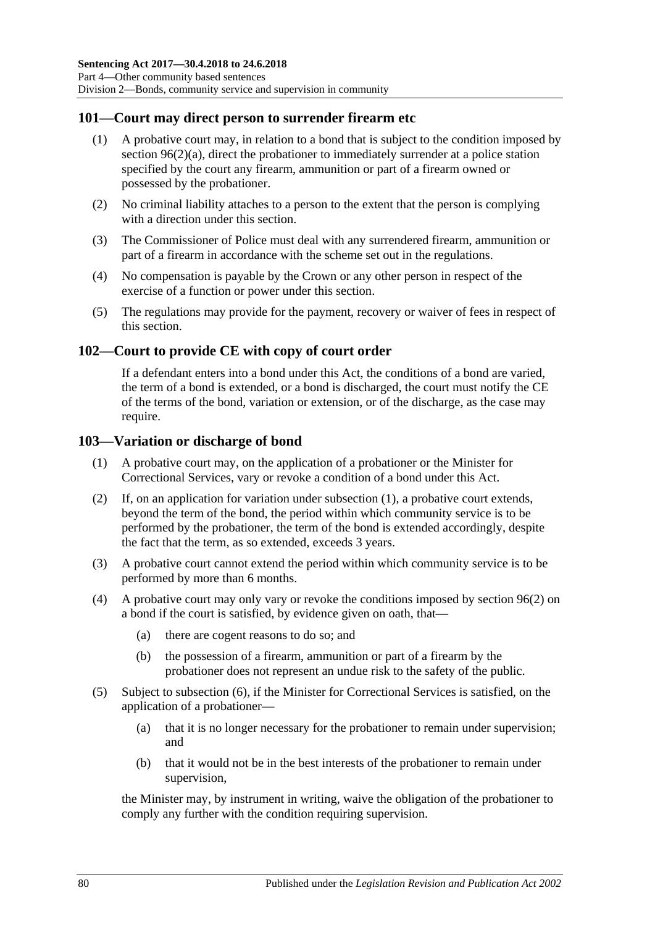### **101—Court may direct person to surrender firearm etc**

- (1) A probative court may, in relation to a bond that is subject to the condition imposed by section [96\(2\)\(a\),](#page-73-8) direct the probationer to immediately surrender at a police station specified by the court any firearm, ammunition or part of a firearm owned or possessed by the probationer.
- (2) No criminal liability attaches to a person to the extent that the person is complying with a direction under this section.
- (3) The Commissioner of Police must deal with any surrendered firearm, ammunition or part of a firearm in accordance with the scheme set out in the regulations.
- (4) No compensation is payable by the Crown or any other person in respect of the exercise of a function or power under this section.
- (5) The regulations may provide for the payment, recovery or waiver of fees in respect of this section.

#### **102—Court to provide CE with copy of court order**

If a defendant enters into a bond under this Act, the conditions of a bond are varied, the term of a bond is extended, or a bond is discharged, the court must notify the CE of the terms of the bond, variation or extension, or of the discharge, as the case may require.

#### <span id="page-79-0"></span>**103—Variation or discharge of bond**

- (1) A probative court may, on the application of a probationer or the Minister for Correctional Services, vary or revoke a condition of a bond under this Act.
- (2) If, on an application for variation under [subsection](#page-79-0) (1), a probative court extends, beyond the term of the bond, the period within which community service is to be performed by the probationer, the term of the bond is extended accordingly, despite the fact that the term, as so extended, exceeds 3 years.
- (3) A probative court cannot extend the period within which community service is to be performed by more than 6 months.
- (4) A probative court may only vary or revoke the conditions imposed by [section](#page-73-2) 96(2) on a bond if the court is satisfied, by evidence given on oath, that—
	- (a) there are cogent reasons to do so; and
	- (b) the possession of a firearm, ammunition or part of a firearm by the probationer does not represent an undue risk to the safety of the public.
- (5) Subject to [subsection](#page-80-0) (6), if the Minister for Correctional Services is satisfied, on the application of a probationer—
	- (a) that it is no longer necessary for the probationer to remain under supervision; and
	- (b) that it would not be in the best interests of the probationer to remain under supervision,

the Minister may, by instrument in writing, waive the obligation of the probationer to comply any further with the condition requiring supervision.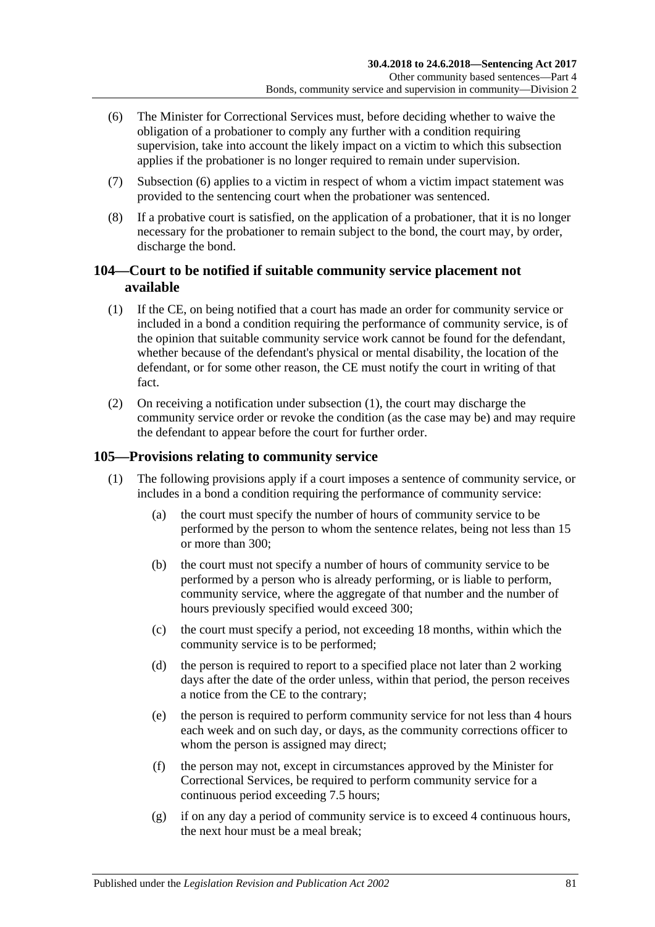- <span id="page-80-0"></span>(6) The Minister for Correctional Services must, before deciding whether to waive the obligation of a probationer to comply any further with a condition requiring supervision, take into account the likely impact on a victim to which this subsection applies if the probationer is no longer required to remain under supervision.
- (7) [Subsection](#page-80-0) (6) applies to a victim in respect of whom a victim impact statement was provided to the sentencing court when the probationer was sentenced.
- (8) If a probative court is satisfied, on the application of a probationer, that it is no longer necessary for the probationer to remain subject to the bond, the court may, by order, discharge the bond.

## **104—Court to be notified if suitable community service placement not available**

- <span id="page-80-1"></span>(1) If the CE, on being notified that a court has made an order for community service or included in a bond a condition requiring the performance of community service, is of the opinion that suitable community service work cannot be found for the defendant, whether because of the defendant's physical or mental disability, the location of the defendant, or for some other reason, the CE must notify the court in writing of that fact.
- (2) On receiving a notification under [subsection](#page-80-1) (1), the court may discharge the community service order or revoke the condition (as the case may be) and may require the defendant to appear before the court for further order.

## <span id="page-80-2"></span>**105—Provisions relating to community service**

- (1) The following provisions apply if a court imposes a sentence of community service, or includes in a bond a condition requiring the performance of community service:
	- (a) the court must specify the number of hours of community service to be performed by the person to whom the sentence relates, being not less than 15 or more than 300;
	- (b) the court must not specify a number of hours of community service to be performed by a person who is already performing, or is liable to perform, community service, where the aggregate of that number and the number of hours previously specified would exceed 300;
	- (c) the court must specify a period, not exceeding 18 months, within which the community service is to be performed;
	- (d) the person is required to report to a specified place not later than 2 working days after the date of the order unless, within that period, the person receives a notice from the CE to the contrary;
	- (e) the person is required to perform community service for not less than 4 hours each week and on such day, or days, as the community corrections officer to whom the person is assigned may direct:
	- (f) the person may not, except in circumstances approved by the Minister for Correctional Services, be required to perform community service for a continuous period exceeding 7.5 hours;
	- (g) if on any day a period of community service is to exceed 4 continuous hours, the next hour must be a meal break;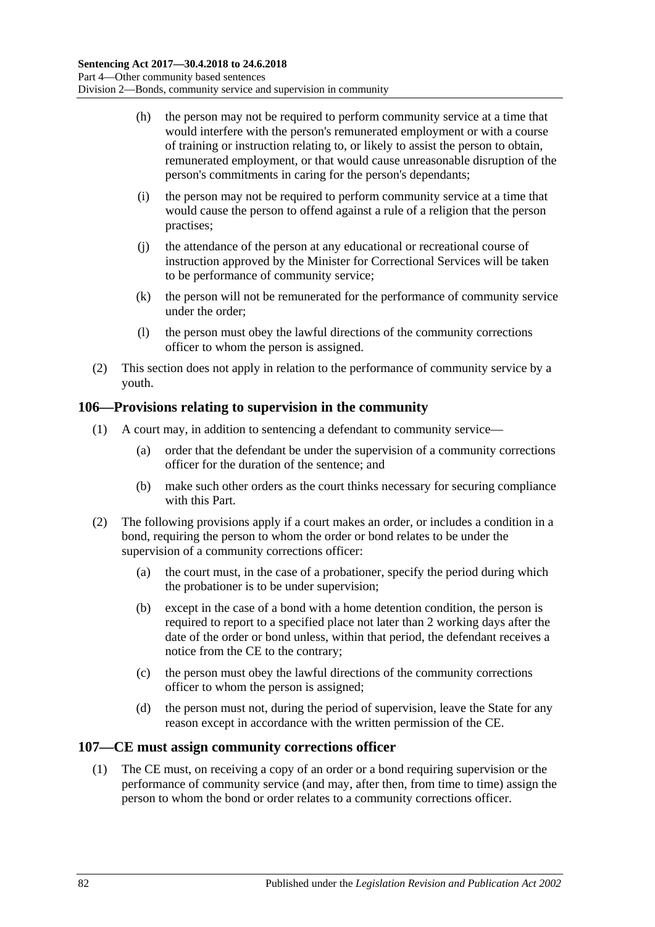- (h) the person may not be required to perform community service at a time that would interfere with the person's remunerated employment or with a course of training or instruction relating to, or likely to assist the person to obtain, remunerated employment, or that would cause unreasonable disruption of the person's commitments in caring for the person's dependants;
- (i) the person may not be required to perform community service at a time that would cause the person to offend against a rule of a religion that the person practises;
- (j) the attendance of the person at any educational or recreational course of instruction approved by the Minister for Correctional Services will be taken to be performance of community service;
- (k) the person will not be remunerated for the performance of community service under the order;
- (l) the person must obey the lawful directions of the community corrections officer to whom the person is assigned.
- (2) This section does not apply in relation to the performance of community service by a youth.

#### **106—Provisions relating to supervision in the community**

- (1) A court may, in addition to sentencing a defendant to community service—
	- (a) order that the defendant be under the supervision of a community corrections officer for the duration of the sentence; and
	- (b) make such other orders as the court thinks necessary for securing compliance with this Part.
- (2) The following provisions apply if a court makes an order, or includes a condition in a bond, requiring the person to whom the order or bond relates to be under the supervision of a community corrections officer:
	- (a) the court must, in the case of a probationer, specify the period during which the probationer is to be under supervision;
	- (b) except in the case of a bond with a home detention condition, the person is required to report to a specified place not later than 2 working days after the date of the order or bond unless, within that period, the defendant receives a notice from the CE to the contrary;
	- (c) the person must obey the lawful directions of the community corrections officer to whom the person is assigned;
	- (d) the person must not, during the period of supervision, leave the State for any reason except in accordance with the written permission of the CE.

### **107—CE must assign community corrections officer**

(1) The CE must, on receiving a copy of an order or a bond requiring supervision or the performance of community service (and may, after then, from time to time) assign the person to whom the bond or order relates to a community corrections officer.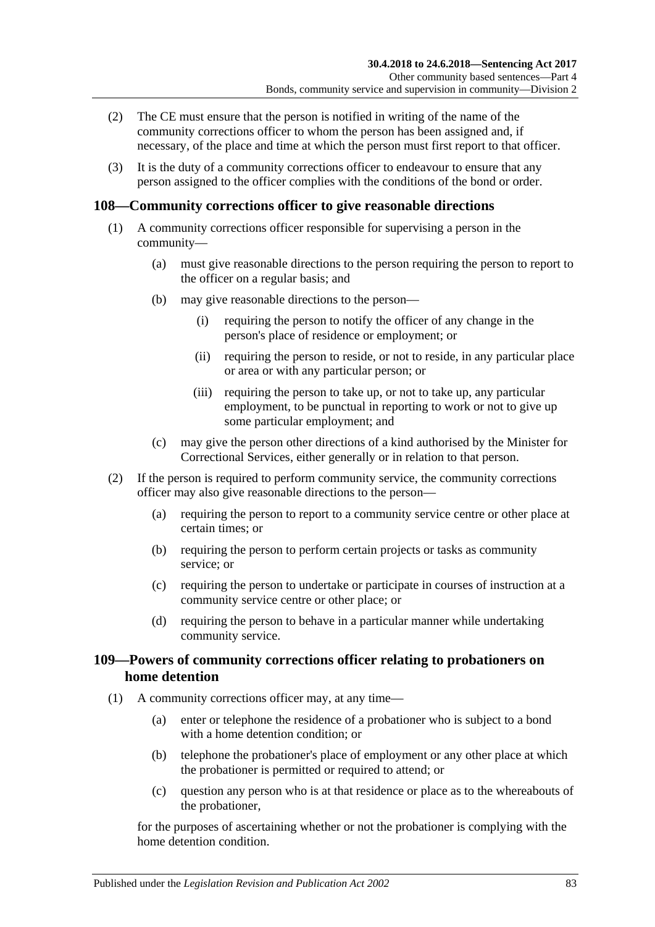- (2) The CE must ensure that the person is notified in writing of the name of the community corrections officer to whom the person has been assigned and, if necessary, of the place and time at which the person must first report to that officer.
- (3) It is the duty of a community corrections officer to endeavour to ensure that any person assigned to the officer complies with the conditions of the bond or order.

## **108—Community corrections officer to give reasonable directions**

- (1) A community corrections officer responsible for supervising a person in the community—
	- (a) must give reasonable directions to the person requiring the person to report to the officer on a regular basis; and
	- (b) may give reasonable directions to the person—
		- (i) requiring the person to notify the officer of any change in the person's place of residence or employment; or
		- (ii) requiring the person to reside, or not to reside, in any particular place or area or with any particular person; or
		- (iii) requiring the person to take up, or not to take up, any particular employment, to be punctual in reporting to work or not to give up some particular employment; and
	- (c) may give the person other directions of a kind authorised by the Minister for Correctional Services, either generally or in relation to that person.
- (2) If the person is required to perform community service, the community corrections officer may also give reasonable directions to the person—
	- (a) requiring the person to report to a community service centre or other place at certain times; or
	- (b) requiring the person to perform certain projects or tasks as community service; or
	- (c) requiring the person to undertake or participate in courses of instruction at a community service centre or other place; or
	- (d) requiring the person to behave in a particular manner while undertaking community service.

## **109—Powers of community corrections officer relating to probationers on home detention**

- (1) A community corrections officer may, at any time—
	- (a) enter or telephone the residence of a probationer who is subject to a bond with a home detention condition; or
	- (b) telephone the probationer's place of employment or any other place at which the probationer is permitted or required to attend; or
	- (c) question any person who is at that residence or place as to the whereabouts of the probationer,

for the purposes of ascertaining whether or not the probationer is complying with the home detention condition.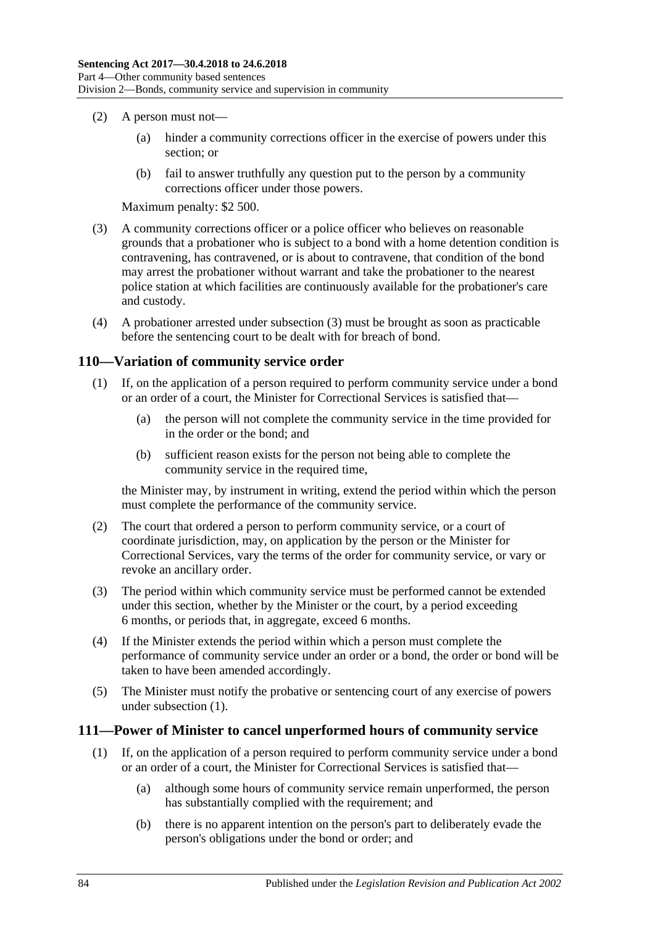- (2) A person must not—
	- (a) hinder a community corrections officer in the exercise of powers under this section; or
	- (b) fail to answer truthfully any question put to the person by a community corrections officer under those powers.

Maximum penalty: \$2 500.

- <span id="page-83-0"></span>(3) A community corrections officer or a police officer who believes on reasonable grounds that a probationer who is subject to a bond with a home detention condition is contravening, has contravened, or is about to contravene, that condition of the bond may arrest the probationer without warrant and take the probationer to the nearest police station at which facilities are continuously available for the probationer's care and custody.
- (4) A probationer arrested under [subsection](#page-83-0) (3) must be brought as soon as practicable before the sentencing court to be dealt with for breach of bond.

### <span id="page-83-1"></span>**110—Variation of community service order**

- (1) If, on the application of a person required to perform community service under a bond or an order of a court, the Minister for Correctional Services is satisfied that—
	- (a) the person will not complete the community service in the time provided for in the order or the bond; and
	- (b) sufficient reason exists for the person not being able to complete the community service in the required time,

the Minister may, by instrument in writing, extend the period within which the person must complete the performance of the community service.

- (2) The court that ordered a person to perform community service, or a court of coordinate jurisdiction, may, on application by the person or the Minister for Correctional Services, vary the terms of the order for community service, or vary or revoke an ancillary order.
- (3) The period within which community service must be performed cannot be extended under this section, whether by the Minister or the court, by a period exceeding 6 months, or periods that, in aggregate, exceed 6 months.
- (4) If the Minister extends the period within which a person must complete the performance of community service under an order or a bond, the order or bond will be taken to have been amended accordingly.
- (5) The Minister must notify the probative or sentencing court of any exercise of powers under [subsection](#page-83-1) (1).

#### <span id="page-83-2"></span>**111—Power of Minister to cancel unperformed hours of community service**

- (1) If, on the application of a person required to perform community service under a bond or an order of a court, the Minister for Correctional Services is satisfied that—
	- (a) although some hours of community service remain unperformed, the person has substantially complied with the requirement; and
	- (b) there is no apparent intention on the person's part to deliberately evade the person's obligations under the bond or order; and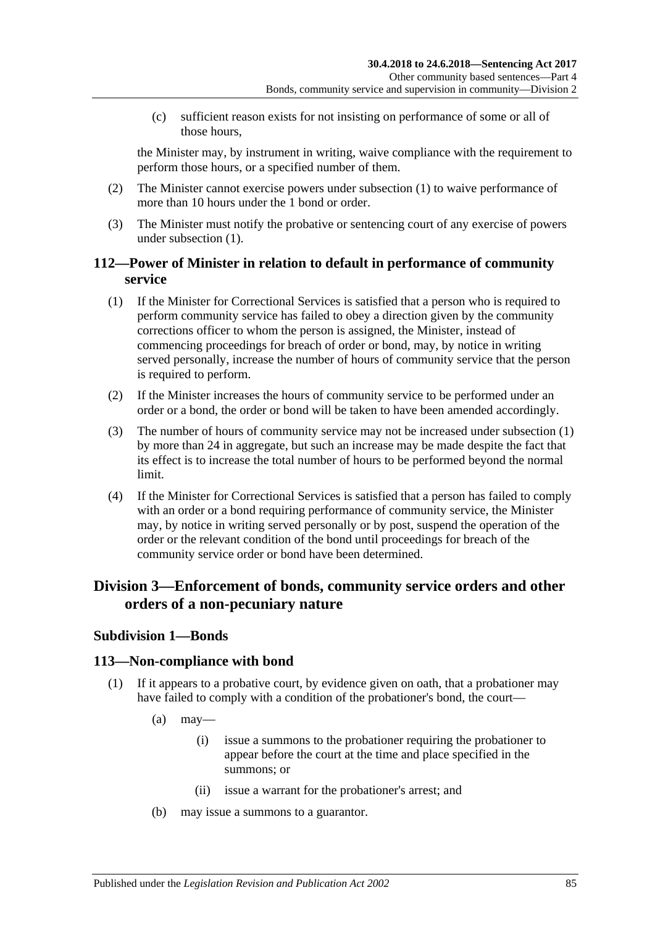(c) sufficient reason exists for not insisting on performance of some or all of those hours,

the Minister may, by instrument in writing, waive compliance with the requirement to perform those hours, or a specified number of them.

- (2) The Minister cannot exercise powers under [subsection](#page-83-2) (1) to waive performance of more than 10 hours under the 1 bond or order.
- (3) The Minister must notify the probative or sentencing court of any exercise of powers under [subsection](#page-83-2) (1).

## **112—Power of Minister in relation to default in performance of community service**

- <span id="page-84-0"></span>(1) If the Minister for Correctional Services is satisfied that a person who is required to perform community service has failed to obey a direction given by the community corrections officer to whom the person is assigned, the Minister, instead of commencing proceedings for breach of order or bond, may, by notice in writing served personally, increase the number of hours of community service that the person is required to perform.
- (2) If the Minister increases the hours of community service to be performed under an order or a bond, the order or bond will be taken to have been amended accordingly.
- (3) The number of hours of community service may not be increased under [subsection](#page-84-0) (1) by more than 24 in aggregate, but such an increase may be made despite the fact that its effect is to increase the total number of hours to be performed beyond the normal limit.
- (4) If the Minister for Correctional Services is satisfied that a person has failed to comply with an order or a bond requiring performance of community service, the Minister may, by notice in writing served personally or by post, suspend the operation of the order or the relevant condition of the bond until proceedings for breach of the community service order or bond have been determined.

## **Division 3—Enforcement of bonds, community service orders and other orders of a non-pecuniary nature**

## **Subdivision 1—Bonds**

### **113—Non-compliance with bond**

- (1) If it appears to a probative court, by evidence given on oath, that a probationer may have failed to comply with a condition of the probationer's bond, the court—
	- $(a)$  may—
		- (i) issue a summons to the probationer requiring the probationer to appear before the court at the time and place specified in the summons; or
		- (ii) issue a warrant for the probationer's arrest; and
	- (b) may issue a summons to a guarantor.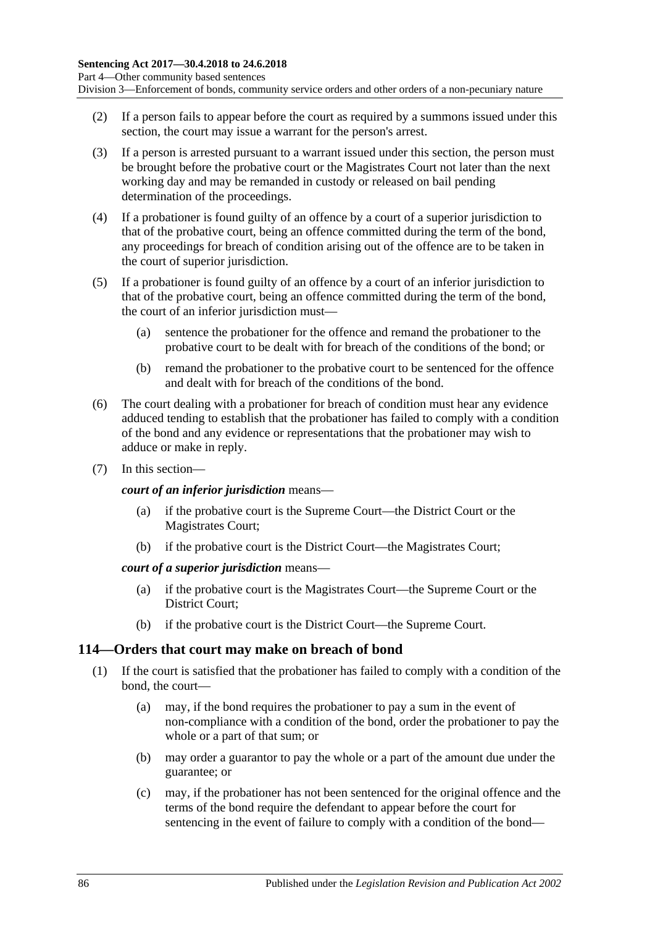Division 3—Enforcement of bonds, community service orders and other orders of a non-pecuniary nature

- (2) If a person fails to appear before the court as required by a summons issued under this section, the court may issue a warrant for the person's arrest.
- (3) If a person is arrested pursuant to a warrant issued under this section, the person must be brought before the probative court or the Magistrates Court not later than the next working day and may be remanded in custody or released on bail pending determination of the proceedings.
- (4) If a probationer is found guilty of an offence by a court of a superior jurisdiction to that of the probative court, being an offence committed during the term of the bond, any proceedings for breach of condition arising out of the offence are to be taken in the court of superior jurisdiction.
- (5) If a probationer is found guilty of an offence by a court of an inferior jurisdiction to that of the probative court, being an offence committed during the term of the bond, the court of an inferior jurisdiction must—
	- (a) sentence the probationer for the offence and remand the probationer to the probative court to be dealt with for breach of the conditions of the bond; or
	- (b) remand the probationer to the probative court to be sentenced for the offence and dealt with for breach of the conditions of the bond.
- (6) The court dealing with a probationer for breach of condition must hear any evidence adduced tending to establish that the probationer has failed to comply with a condition of the bond and any evidence or representations that the probationer may wish to adduce or make in reply.
- (7) In this section—

*court of an inferior jurisdiction* means—

- (a) if the probative court is the Supreme Court—the District Court or the Magistrates Court;
- (b) if the probative court is the District Court—the Magistrates Court;

#### *court of a superior jurisdiction* means—

- (a) if the probative court is the Magistrates Court—the Supreme Court or the District Court;
- (b) if the probative court is the District Court—the Supreme Court.

#### **114—Orders that court may make on breach of bond**

- <span id="page-85-0"></span>(1) If the court is satisfied that the probationer has failed to comply with a condition of the bond, the court—
	- (a) may, if the bond requires the probationer to pay a sum in the event of non-compliance with a condition of the bond, order the probationer to pay the whole or a part of that sum; or
	- (b) may order a guarantor to pay the whole or a part of the amount due under the guarantee; or
	- (c) may, if the probationer has not been sentenced for the original offence and the terms of the bond require the defendant to appear before the court for sentencing in the event of failure to comply with a condition of the bond—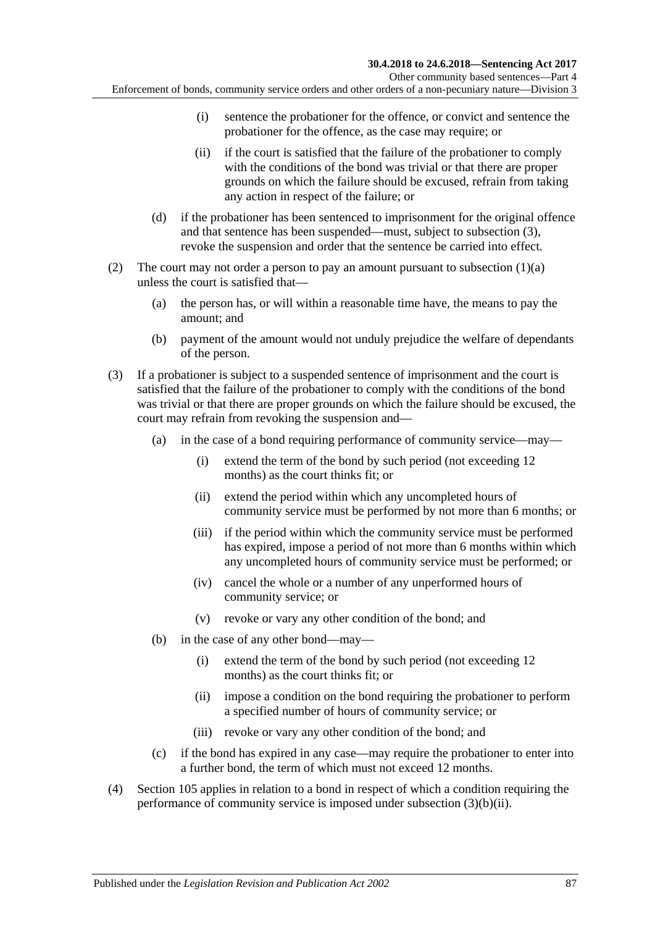Other community based sentences—Part 4

Enforcement of bonds, community service orders and other orders of a non-pecuniary nature—Division 3

- (i) sentence the probationer for the offence, or convict and sentence the probationer for the offence, as the case may require; or
- (ii) if the court is satisfied that the failure of the probationer to comply with the conditions of the bond was trivial or that there are proper grounds on which the failure should be excused, refrain from taking any action in respect of the failure; or
- (d) if the probationer has been sentenced to imprisonment for the original offence and that sentence has been suspended—must, subject to [subsection](#page-86-0) (3), revoke the suspension and order that the sentence be carried into effect.
- (2) The court may not order a person to pay an amount pursuant to [subsection](#page-85-0)  $(1)(a)$ unless the court is satisfied that—
	- (a) the person has, or will within a reasonable time have, the means to pay the amount; and
	- (b) payment of the amount would not unduly prejudice the welfare of dependants of the person.
- <span id="page-86-0"></span>(3) If a probationer is subject to a suspended sentence of imprisonment and the court is satisfied that the failure of the probationer to comply with the conditions of the bond was trivial or that there are proper grounds on which the failure should be excused, the court may refrain from revoking the suspension and—
	- (a) in the case of a bond requiring performance of community service—may—
		- (i) extend the term of the bond by such period (not exceeding 12 months) as the court thinks fit; or
		- (ii) extend the period within which any uncompleted hours of community service must be performed by not more than 6 months; or
		- (iii) if the period within which the community service must be performed has expired, impose a period of not more than 6 months within which any uncompleted hours of community service must be performed; or
		- (iv) cancel the whole or a number of any unperformed hours of community service; or
		- (v) revoke or vary any other condition of the bond; and
	- (b) in the case of any other bond—may—
		- (i) extend the term of the bond by such period (not exceeding 12 months) as the court thinks fit; or
		- (ii) impose a condition on the bond requiring the probationer to perform a specified number of hours of community service; or
		- (iii) revoke or vary any other condition of the bond; and
	- (c) if the bond has expired in any case—may require the probationer to enter into a further bond, the term of which must not exceed 12 months.
- <span id="page-86-1"></span>(4) [Section](#page-80-2) 105 applies in relation to a bond in respect of which a condition requiring the performance of community service is imposed under [subsection](#page-86-1) (3)(b)(ii).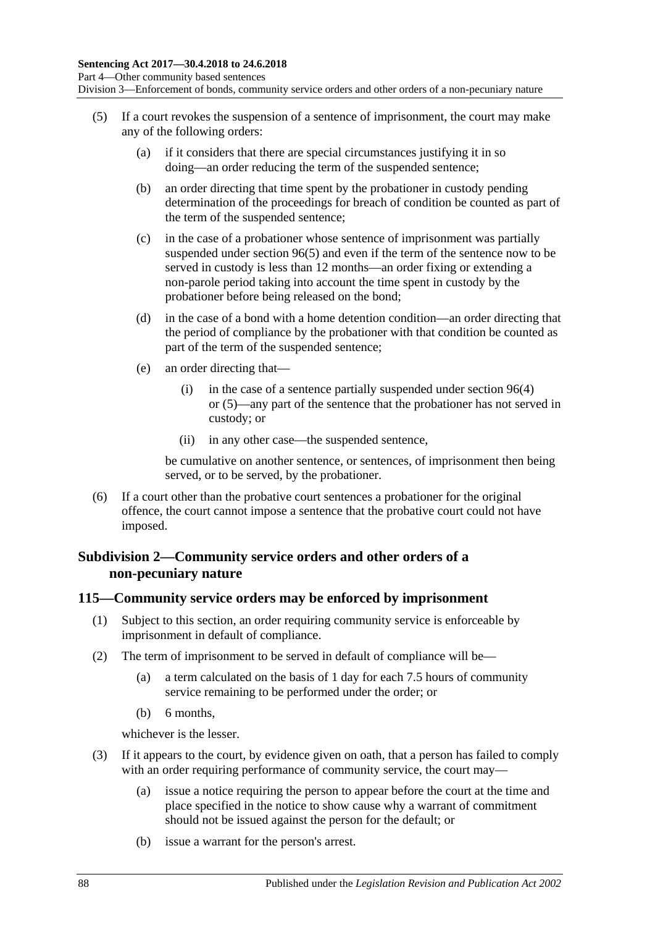Division 3—Enforcement of bonds, community service orders and other orders of a non-pecuniary nature

- (5) If a court revokes the suspension of a sentence of imprisonment, the court may make any of the following orders:
	- (a) if it considers that there are special circumstances justifying it in so doing—an order reducing the term of the suspended sentence;
	- (b) an order directing that time spent by the probationer in custody pending determination of the proceedings for breach of condition be counted as part of the term of the suspended sentence;
	- (c) in the case of a probationer whose sentence of imprisonment was partially suspended under [section](#page-74-1) 96(5) and even if the term of the sentence now to be served in custody is less than 12 months—an order fixing or extending a non-parole period taking into account the time spent in custody by the probationer before being released on the bond;
	- (d) in the case of a bond with a home detention condition—an order directing that the period of compliance by the probationer with that condition be counted as part of the term of the suspended sentence;
	- (e) an order directing that—
		- (i) in the case of a sentence partially suspended under [section](#page-74-0) 96(4) or [\(5\)—](#page-74-1)any part of the sentence that the probationer has not served in custody; or
		- (ii) in any other case—the suspended sentence,

be cumulative on another sentence, or sentences, of imprisonment then being served, or to be served, by the probationer.

(6) If a court other than the probative court sentences a probationer for the original offence, the court cannot impose a sentence that the probative court could not have imposed.

### **Subdivision 2—Community service orders and other orders of a non-pecuniary nature**

#### <span id="page-87-2"></span>**115—Community service orders may be enforced by imprisonment**

- (1) Subject to this section, an order requiring community service is enforceable by imprisonment in default of compliance.
- <span id="page-87-1"></span>(2) The term of imprisonment to be served in default of compliance will be—
	- (a) a term calculated on the basis of 1 day for each 7.5 hours of community service remaining to be performed under the order; or
	- (b) 6 months,

whichever is the lesser.

- <span id="page-87-0"></span>(3) If it appears to the court, by evidence given on oath, that a person has failed to comply with an order requiring performance of community service, the court may—
	- (a) issue a notice requiring the person to appear before the court at the time and place specified in the notice to show cause why a warrant of commitment should not be issued against the person for the default; or
	- (b) issue a warrant for the person's arrest.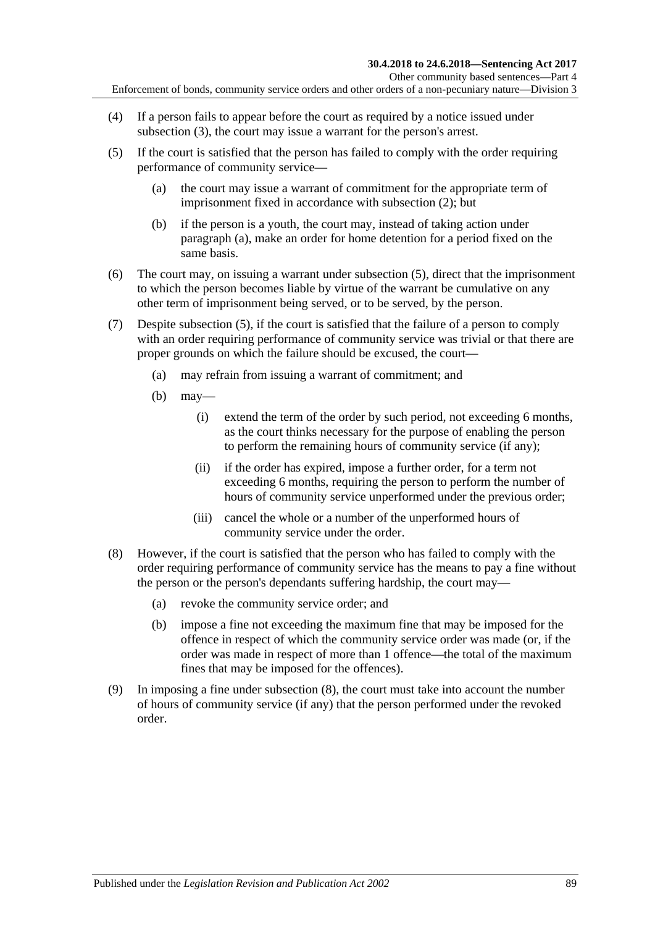- (4) If a person fails to appear before the court as required by a notice issued under [subsection](#page-87-0) (3), the court may issue a warrant for the person's arrest.
- <span id="page-88-1"></span><span id="page-88-0"></span>(5) If the court is satisfied that the person has failed to comply with the order requiring performance of community service—
	- (a) the court may issue a warrant of commitment for the appropriate term of imprisonment fixed in accordance with [subsection](#page-87-1) (2); but
	- (b) if the person is a youth, the court may, instead of taking action under [paragraph](#page-88-0) (a), make an order for home detention for a period fixed on the same basis.
- (6) The court may, on issuing a warrant under [subsection](#page-88-1) (5), direct that the imprisonment to which the person becomes liable by virtue of the warrant be cumulative on any other term of imprisonment being served, or to be served, by the person.
- (7) Despite [subsection](#page-88-1) (5), if the court is satisfied that the failure of a person to comply with an order requiring performance of community service was trivial or that there are proper grounds on which the failure should be excused, the court—
	- (a) may refrain from issuing a warrant of commitment; and
	- (b) may—
		- (i) extend the term of the order by such period, not exceeding 6 months, as the court thinks necessary for the purpose of enabling the person to perform the remaining hours of community service (if any);
		- (ii) if the order has expired, impose a further order, for a term not exceeding 6 months, requiring the person to perform the number of hours of community service unperformed under the previous order;
		- (iii) cancel the whole or a number of the unperformed hours of community service under the order.
- <span id="page-88-2"></span>(8) However, if the court is satisfied that the person who has failed to comply with the order requiring performance of community service has the means to pay a fine without the person or the person's dependants suffering hardship, the court may—
	- (a) revoke the community service order; and
	- (b) impose a fine not exceeding the maximum fine that may be imposed for the offence in respect of which the community service order was made (or, if the order was made in respect of more than 1 offence—the total of the maximum fines that may be imposed for the offences).
- (9) In imposing a fine under [subsection](#page-88-2) (8), the court must take into account the number of hours of community service (if any) that the person performed under the revoked order.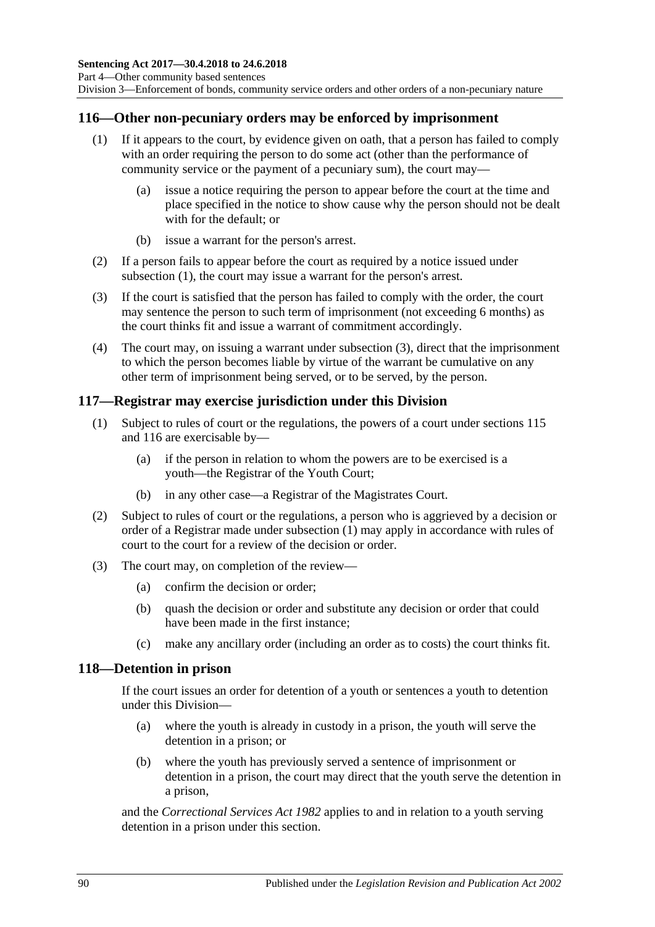### <span id="page-89-2"></span><span id="page-89-0"></span>**116—Other non-pecuniary orders may be enforced by imprisonment**

- (1) If it appears to the court, by evidence given on oath, that a person has failed to comply with an order requiring the person to do some act (other than the performance of community service or the payment of a pecuniary sum), the court may—
	- (a) issue a notice requiring the person to appear before the court at the time and place specified in the notice to show cause why the person should not be dealt with for the default; or
	- (b) issue a warrant for the person's arrest.
- (2) If a person fails to appear before the court as required by a notice issued under [subsection](#page-89-0) (1), the court may issue a warrant for the person's arrest.
- <span id="page-89-1"></span>(3) If the court is satisfied that the person has failed to comply with the order, the court may sentence the person to such term of imprisonment (not exceeding 6 months) as the court thinks fit and issue a warrant of commitment accordingly.
- (4) The court may, on issuing a warrant under [subsection](#page-89-1) (3), direct that the imprisonment to which the person becomes liable by virtue of the warrant be cumulative on any other term of imprisonment being served, or to be served, by the person.

#### <span id="page-89-3"></span>**117—Registrar may exercise jurisdiction under this Division**

- (1) Subject to rules of court or the regulations, the powers of a court under [sections](#page-87-2) 115 and [116](#page-89-2) are exercisable by—
	- (a) if the person in relation to whom the powers are to be exercised is a youth—the Registrar of the Youth Court;
	- (b) in any other case—a Registrar of the Magistrates Court.
- (2) Subject to rules of court or the regulations, a person who is aggrieved by a decision or order of a Registrar made under [subsection](#page-89-3) (1) may apply in accordance with rules of court to the court for a review of the decision or order.
- (3) The court may, on completion of the review—
	- (a) confirm the decision or order;
	- (b) quash the decision or order and substitute any decision or order that could have been made in the first instance;
	- (c) make any ancillary order (including an order as to costs) the court thinks fit.

#### **118—Detention in prison**

If the court issues an order for detention of a youth or sentences a youth to detention under this Division—

- (a) where the youth is already in custody in a prison, the youth will serve the detention in a prison; or
- (b) where the youth has previously served a sentence of imprisonment or detention in a prison, the court may direct that the youth serve the detention in a prison,

and the *[Correctional Services Act](http://www.legislation.sa.gov.au/index.aspx?action=legref&type=act&legtitle=Correctional%20Services%20Act%201982) 1982* applies to and in relation to a youth serving detention in a prison under this section.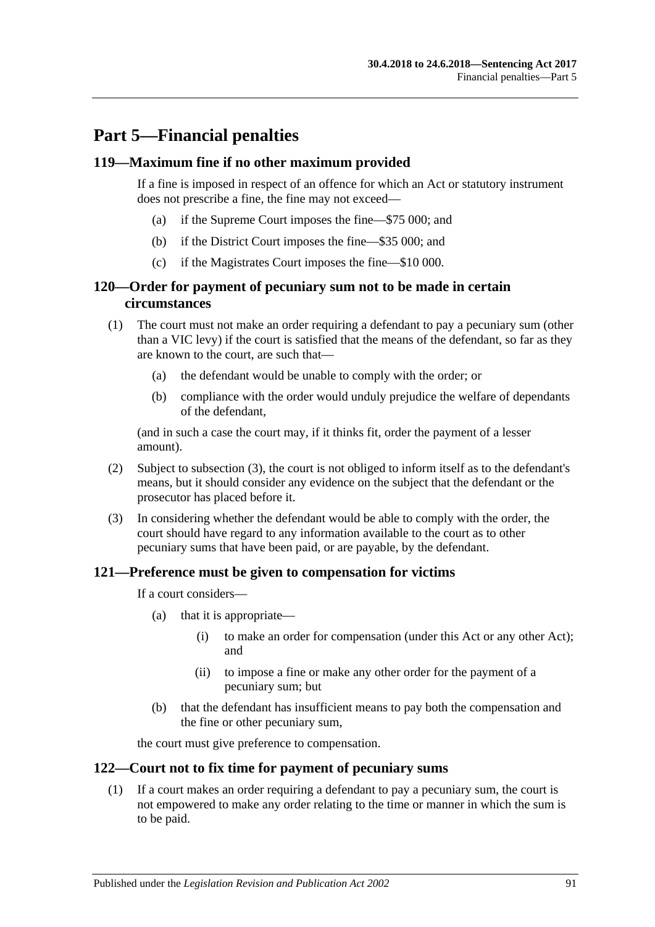# **Part 5—Financial penalties**

#### **119—Maximum fine if no other maximum provided**

If a fine is imposed in respect of an offence for which an Act or statutory instrument does not prescribe a fine, the fine may not exceed—

- (a) if the Supreme Court imposes the fine—\$75 000; and
- (b) if the District Court imposes the fine—\$35 000; and
- (c) if the Magistrates Court imposes the fine—\$10 000.

## **120—Order for payment of pecuniary sum not to be made in certain circumstances**

- (1) The court must not make an order requiring a defendant to pay a pecuniary sum (other than a VIC levy) if the court is satisfied that the means of the defendant, so far as they are known to the court, are such that—
	- (a) the defendant would be unable to comply with the order; or
	- (b) compliance with the order would unduly prejudice the welfare of dependants of the defendant,

(and in such a case the court may, if it thinks fit, order the payment of a lesser amount).

- (2) Subject to [subsection](#page-90-0) (3), the court is not obliged to inform itself as to the defendant's means, but it should consider any evidence on the subject that the defendant or the prosecutor has placed before it.
- <span id="page-90-0"></span>(3) In considering whether the defendant would be able to comply with the order, the court should have regard to any information available to the court as to other pecuniary sums that have been paid, or are payable, by the defendant.

#### **121—Preference must be given to compensation for victims**

If a court considers—

- (a) that it is appropriate—
	- (i) to make an order for compensation (under this Act or any other Act); and
	- (ii) to impose a fine or make any other order for the payment of a pecuniary sum; but
- (b) that the defendant has insufficient means to pay both the compensation and the fine or other pecuniary sum,

the court must give preference to compensation.

## <span id="page-90-1"></span>**122—Court not to fix time for payment of pecuniary sums**

(1) If a court makes an order requiring a defendant to pay a pecuniary sum, the court is not empowered to make any order relating to the time or manner in which the sum is to be paid.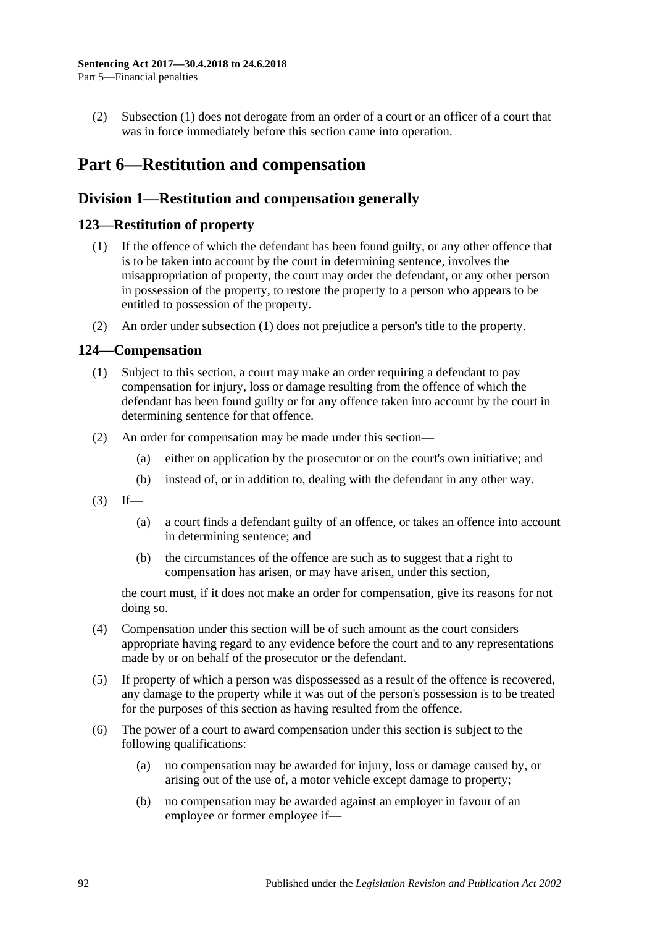(2) [Subsection](#page-90-1) (1) does not derogate from an order of a court or an officer of a court that was in force immediately before this section came into operation.

# **Part 6—Restitution and compensation**

## **Division 1—Restitution and compensation generally**

## <span id="page-91-1"></span><span id="page-91-0"></span>**123—Restitution of property**

- (1) If the offence of which the defendant has been found guilty, or any other offence that is to be taken into account by the court in determining sentence, involves the misappropriation of property, the court may order the defendant, or any other person in possession of the property, to restore the property to a person who appears to be entitled to possession of the property.
- (2) An order under [subsection](#page-91-0) (1) does not prejudice a person's title to the property.

### **124—Compensation**

- (1) Subject to this section, a court may make an order requiring a defendant to pay compensation for injury, loss or damage resulting from the offence of which the defendant has been found guilty or for any offence taken into account by the court in determining sentence for that offence.
- (2) An order for compensation may be made under this section—
	- (a) either on application by the prosecutor or on the court's own initiative; and
	- (b) instead of, or in addition to, dealing with the defendant in any other way.
- $(3)$  If—
	- (a) a court finds a defendant guilty of an offence, or takes an offence into account in determining sentence; and
	- (b) the circumstances of the offence are such as to suggest that a right to compensation has arisen, or may have arisen, under this section,

the court must, if it does not make an order for compensation, give its reasons for not doing so.

- (4) Compensation under this section will be of such amount as the court considers appropriate having regard to any evidence before the court and to any representations made by or on behalf of the prosecutor or the defendant.
- (5) If property of which a person was dispossessed as a result of the offence is recovered, any damage to the property while it was out of the person's possession is to be treated for the purposes of this section as having resulted from the offence.
- (6) The power of a court to award compensation under this section is subject to the following qualifications:
	- (a) no compensation may be awarded for injury, loss or damage caused by, or arising out of the use of, a motor vehicle except damage to property;
	- (b) no compensation may be awarded against an employer in favour of an employee or former employee if—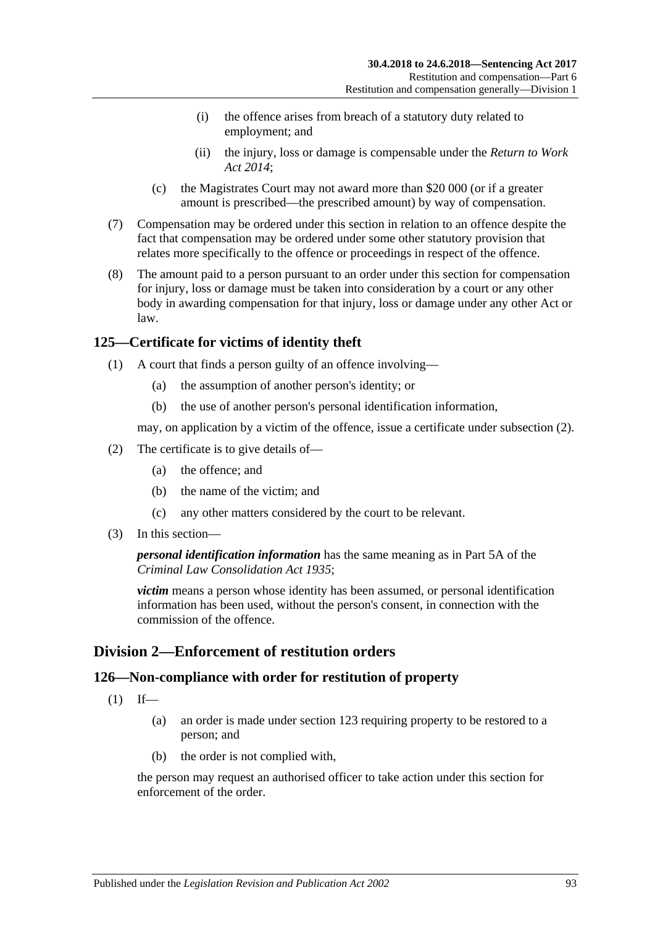- (i) the offence arises from breach of a statutory duty related to employment; and
- (ii) the injury, loss or damage is compensable under the *[Return to Work](http://www.legislation.sa.gov.au/index.aspx?action=legref&type=act&legtitle=Return%20to%20Work%20Act%202014)  [Act 2014](http://www.legislation.sa.gov.au/index.aspx?action=legref&type=act&legtitle=Return%20to%20Work%20Act%202014)*;
- (c) the Magistrates Court may not award more than \$20 000 (or if a greater amount is prescribed—the prescribed amount) by way of compensation.
- (7) Compensation may be ordered under this section in relation to an offence despite the fact that compensation may be ordered under some other statutory provision that relates more specifically to the offence or proceedings in respect of the offence.
- (8) The amount paid to a person pursuant to an order under this section for compensation for injury, loss or damage must be taken into consideration by a court or any other body in awarding compensation for that injury, loss or damage under any other Act or law.

## **125—Certificate for victims of identity theft**

- (1) A court that finds a person guilty of an offence involving—
	- (a) the assumption of another person's identity; or
	- (b) the use of another person's personal identification information,

may, on application by a victim of the offence, issue a certificate under [subsection](#page-92-0) (2).

- <span id="page-92-0"></span>(2) The certificate is to give details of—
	- (a) the offence; and
	- (b) the name of the victim; and
	- (c) any other matters considered by the court to be relevant.
- (3) In this section—

#### *personal identification information* has the same meaning as in Part 5A of the *[Criminal Law Consolidation Act](http://www.legislation.sa.gov.au/index.aspx?action=legref&type=act&legtitle=Criminal%20Law%20Consolidation%20Act%201935) 1935*;

*victim* means a person whose identity has been assumed, or personal identification information has been used, without the person's consent, in connection with the commission of the offence.

## **Division 2—Enforcement of restitution orders**

### **126—Non-compliance with order for restitution of property**

- $(1)$  If—
	- (a) an order is made under [section](#page-91-1) 123 requiring property to be restored to a person; and
	- (b) the order is not complied with,

the person may request an authorised officer to take action under this section for enforcement of the order.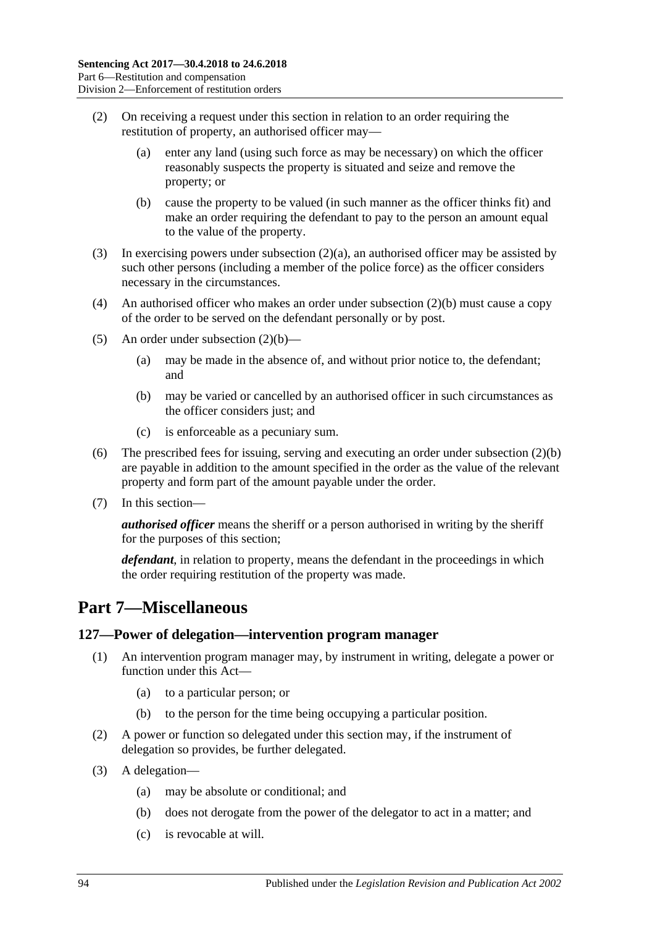- <span id="page-93-0"></span>(2) On receiving a request under this section in relation to an order requiring the restitution of property, an authorised officer may—
	- (a) enter any land (using such force as may be necessary) on which the officer reasonably suspects the property is situated and seize and remove the property; or
	- (b) cause the property to be valued (in such manner as the officer thinks fit) and make an order requiring the defendant to pay to the person an amount equal to the value of the property.
- <span id="page-93-1"></span>(3) In exercising powers under [subsection](#page-93-0) (2)(a), an authorised officer may be assisted by such other persons (including a member of the police force) as the officer considers necessary in the circumstances.
- (4) An authorised officer who makes an order under [subsection](#page-93-1) (2)(b) must cause a copy of the order to be served on the defendant personally or by post.
- (5) An order under [subsection](#page-93-1)  $(2)(b)$ 
	- (a) may be made in the absence of, and without prior notice to, the defendant; and
	- (b) may be varied or cancelled by an authorised officer in such circumstances as the officer considers just; and
	- (c) is enforceable as a pecuniary sum.
- (6) The prescribed fees for issuing, serving and executing an order under [subsection](#page-93-1) (2)(b) are payable in addition to the amount specified in the order as the value of the relevant property and form part of the amount payable under the order.
- (7) In this section—

*authorised officer* means the sheriff or a person authorised in writing by the sheriff for the purposes of this section;

*defendant*, in relation to property, means the defendant in the proceedings in which the order requiring restitution of the property was made.

## **Part 7—Miscellaneous**

#### **127—Power of delegation—intervention program manager**

- (1) An intervention program manager may, by instrument in writing, delegate a power or function under this Act—
	- (a) to a particular person; or
	- (b) to the person for the time being occupying a particular position.
- (2) A power or function so delegated under this section may, if the instrument of delegation so provides, be further delegated.
- (3) A delegation—
	- (a) may be absolute or conditional; and
	- (b) does not derogate from the power of the delegator to act in a matter; and
	- (c) is revocable at will.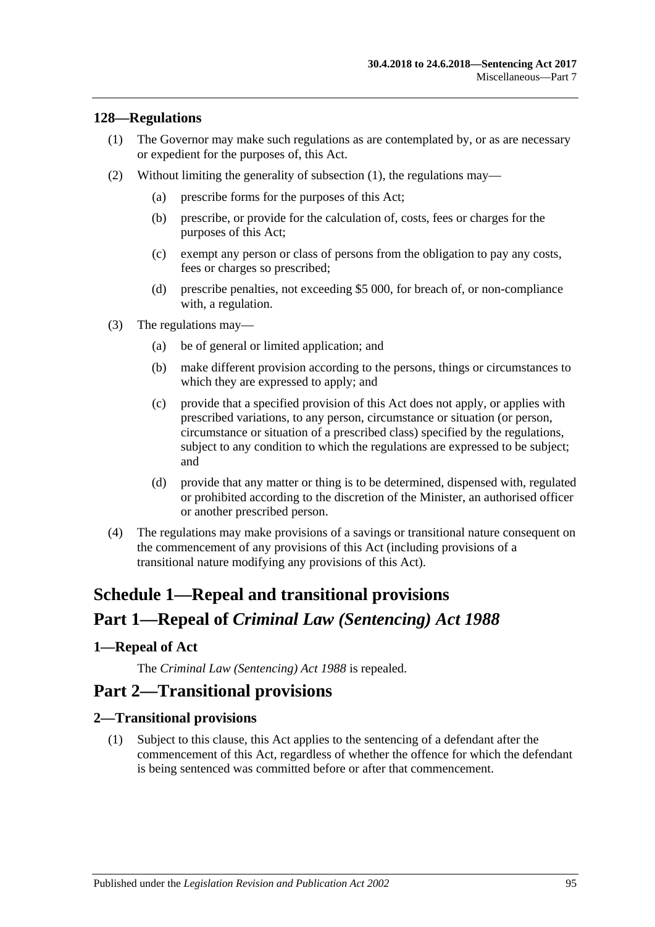#### <span id="page-94-0"></span>**128—Regulations**

- (1) The Governor may make such regulations as are contemplated by, or as are necessary or expedient for the purposes of, this Act.
- (2) Without limiting the generality of [subsection](#page-94-0) (1), the regulations may—
	- (a) prescribe forms for the purposes of this Act;
	- (b) prescribe, or provide for the calculation of, costs, fees or charges for the purposes of this Act;
	- (c) exempt any person or class of persons from the obligation to pay any costs, fees or charges so prescribed;
	- (d) prescribe penalties, not exceeding \$5 000, for breach of, or non-compliance with, a regulation.
- (3) The regulations may—
	- (a) be of general or limited application; and
	- (b) make different provision according to the persons, things or circumstances to which they are expressed to apply; and
	- (c) provide that a specified provision of this Act does not apply, or applies with prescribed variations, to any person, circumstance or situation (or person, circumstance or situation of a prescribed class) specified by the regulations, subject to any condition to which the regulations are expressed to be subject; and
	- (d) provide that any matter or thing is to be determined, dispensed with, regulated or prohibited according to the discretion of the Minister, an authorised officer or another prescribed person.
- (4) The regulations may make provisions of a savings or transitional nature consequent on the commencement of any provisions of this Act (including provisions of a transitional nature modifying any provisions of this Act).

# **Schedule 1—Repeal and transitional provisions Part 1—Repeal of** *Criminal Law (Sentencing) Act 1988*

### <span id="page-94-1"></span>**1—Repeal of Act**

The *[Criminal Law \(Sentencing\) Act](http://www.legislation.sa.gov.au/index.aspx?action=legref&type=act&legtitle=Criminal%20Law%20(Sentencing)%20Act%201988) 1988* is repealed.

## **Part 2—Transitional provisions**

#### **2—Transitional provisions**

(1) Subject to this clause, this Act applies to the sentencing of a defendant after the commencement of this Act, regardless of whether the offence for which the defendant is being sentenced was committed before or after that commencement.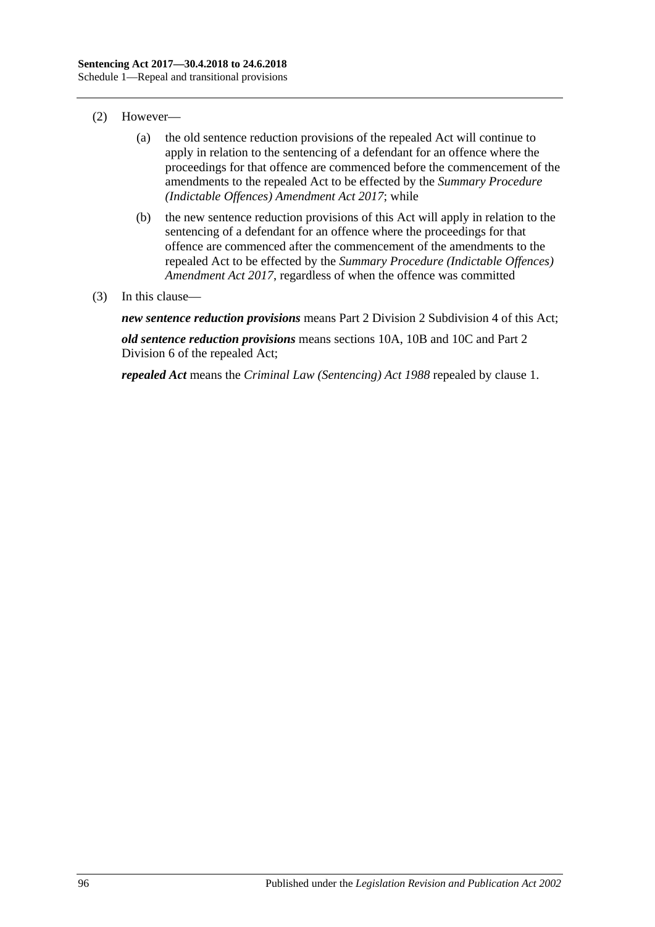- (2) However—
	- (a) the old sentence reduction provisions of the repealed Act will continue to apply in relation to the sentencing of a defendant for an offence where the proceedings for that offence are commenced before the commencement of the amendments to the repealed Act to be effected by the *[Summary Procedure](http://www.legislation.sa.gov.au/index.aspx?action=legref&type=act&legtitle=Summary%20Procedure%20(Indictable%20Offences)%20Amendment%20Act%202017)  [\(Indictable Offences\) Amendment Act 2017](http://www.legislation.sa.gov.au/index.aspx?action=legref&type=act&legtitle=Summary%20Procedure%20(Indictable%20Offences)%20Amendment%20Act%202017)*; while
	- (b) the new sentence reduction provisions of this Act will apply in relation to the sentencing of a defendant for an offence where the proceedings for that offence are commenced after the commencement of the amendments to the repealed Act to be effected by the *[Summary Procedure \(Indictable Offences\)](http://www.legislation.sa.gov.au/index.aspx?action=legref&type=act&legtitle=Summary%20Procedure%20(Indictable%20Offences)%20Amendment%20Act%202017)  [Amendment Act](http://www.legislation.sa.gov.au/index.aspx?action=legref&type=act&legtitle=Summary%20Procedure%20(Indictable%20Offences)%20Amendment%20Act%202017) 2017*, regardless of when the offence was committed
- (3) In this clause—

*new sentence reduction provisions* means Part 2 Division [2 Subdivision](#page-27-0) 4 of this Act;

*old sentence reduction provisions* means sections 10A, 10B and 10C and Part 2 Division 6 of the repealed Act;

*repealed Act* means the *[Criminal Law \(Sentencing\) Act](http://www.legislation.sa.gov.au/index.aspx?action=legref&type=act&legtitle=Criminal%20Law%20(Sentencing)%20Act%201988) 1988* repealed by [clause](#page-94-1) 1.